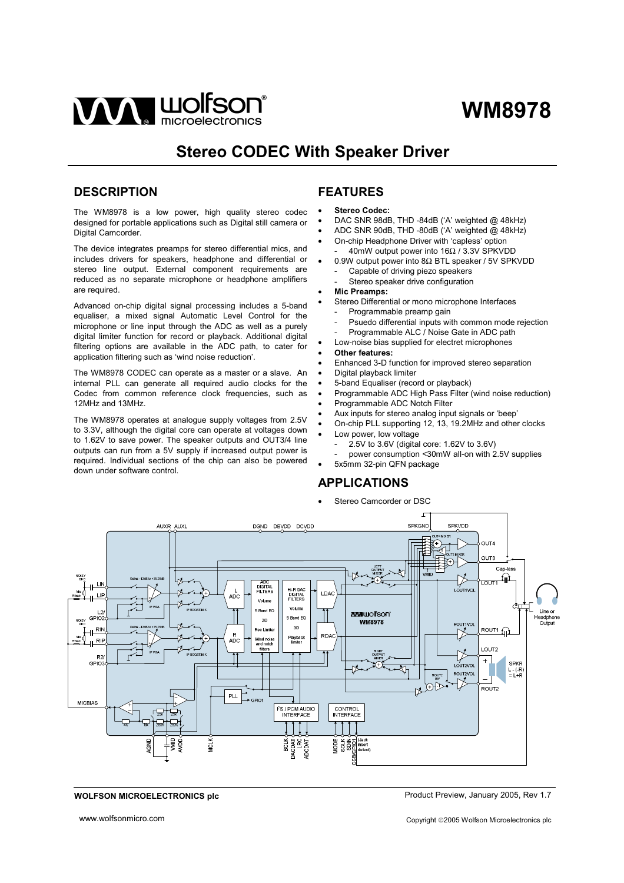

# **Stereo CODEC With Speaker Driver**

## **DESCRIPTION**

The WM8978 is a low power, high quality stereo codec designed for portable applications such as Digital still camera or Digital Camcorder.

The device integrates preamps for stereo differential mics, and includes drivers for speakers, headphone and differential or stereo line output. External component requirements are reduced as no separate microphone or headphone amplifiers are required.

Advanced on-chip digital signal processing includes a 5-band equaliser, a mixed signal Automatic Level Control for the microphone or line input through the ADC as well as a purely digital limiter function for record or playback. Additional digital filtering options are available in the ADC path, to cater for application filtering such as 'wind noise reduction'.

The WM8978 CODEC can operate as a master or a slave. An internal PLL can generate all required audio clocks for the Codec from common reference clock frequencies, such as 12MHz and 13MHz.

The WM8978 operates at analogue supply voltages from 2.5V to 3.3V, although the digital core can operate at voltages down to 1.62V to save power. The speaker outputs and OUT3/4 line outputs can run from a 5V supply if increased output power is required. Individual sections of the chip can also be powered down under software control.

## **FEATURES**

- **Stereo Codec:**
- DAC SNR 98dB, THD -84dB ('A' weighted @ 48kHz)
- ADC SNR 90dB, THD -80dB ('A' weighted @ 48kHz)
- On-chip Headphone Driver with 'capless' option - 40mW output power into 16Ω / 3.3V SPKVDD
- 0.9W output power into 8Ω BTL speaker / 5V SPKVDD Capable of driving piezo speakers
	- Stereo speaker drive configuration
- **Mic Preamps:** 
	- Stereo Differential or mono microphone Interfaces
	- Programmable preamp gain
	- Psuedo differential inputs with common mode rejection
	- Programmable ALC / Noise Gate in ADC path • Low-noise bias supplied for electret microphones
	- **Other features:**
	- Enhanced 3-D function for improved stereo separation
- Digital playback limiter
- 5-band Equaliser (record or playback)
- Programmable ADC High Pass Filter (wind noise reduction)
- Programmable ADC Notch Filter
- Aux inputs for stereo analog input signals or 'beep'
- On-chip PLL supporting 12, 13, 19.2MHz and other clocks
- Low power, low voltage
- 2.5V to 3.6V (digital core: 1.62V to 3.6V)
- power consumption <30mW all-on with 2.5V supplies
- 5x5mm 32-pin QFN package

## **APPLICATIONS**

Stereo Camcorder or DSC



**WOLFSON MICROELECTRONICS plc**

Product Preview, January 2005, Rev 1.7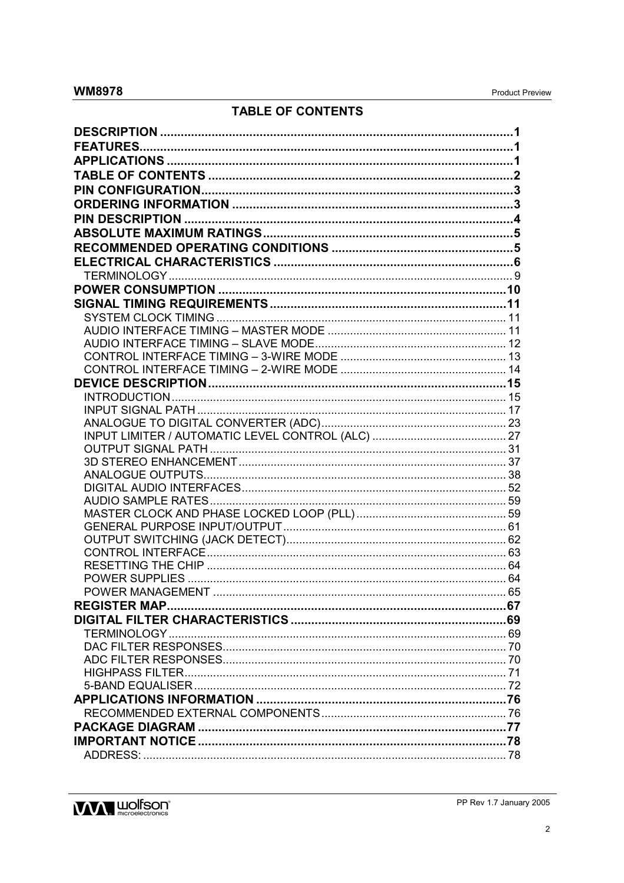# **TABLE OF CONTENTS**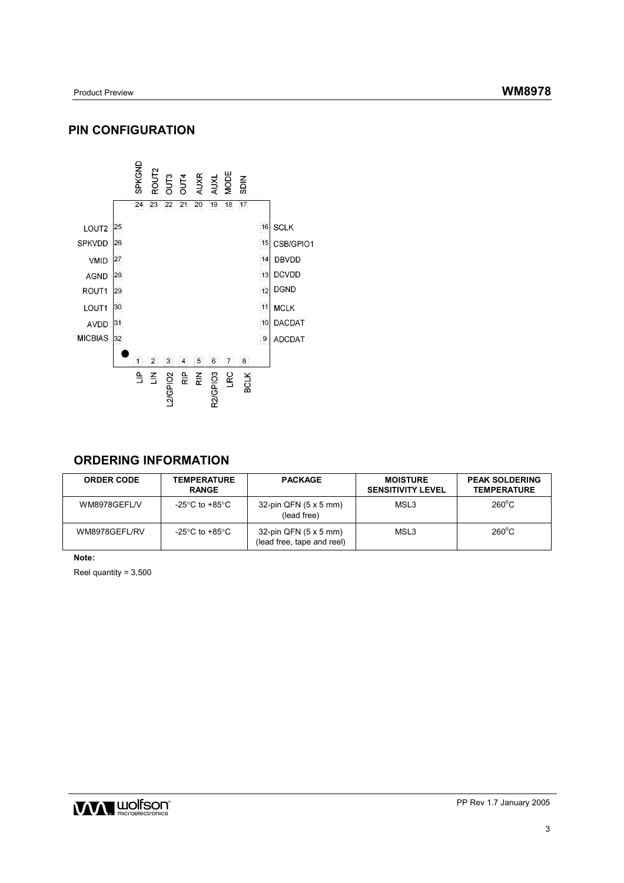## **PIN CONFIGURATION**



## **ORDERING INFORMATION**

| <b>ORDER CODE</b> | <b>TEMPERATURE</b><br><b>RANGE</b> | <b>PACKAGE</b>                                                     | <b>MOISTURE</b><br><b>SENSITIVITY LEVEL</b> | <b>PEAK SOLDERING</b><br><b>TEMPERATURE</b> |
|-------------------|------------------------------------|--------------------------------------------------------------------|---------------------------------------------|---------------------------------------------|
| WM8978GEFL/V      | -25°C to +85°C                     | $32$ -pin QFN $(5 \times 5 \text{ mm})$<br>(lead free)             | MSL3                                        | $260^{\circ}$ C                             |
| WM8978GEFL/RV     | -25°C to +85°C                     | 32-pin QFN $(5 \times 5 \text{ mm})$<br>(lead free, tape and reel) | MSL3                                        | $260^{\circ}$ C                             |

**Note:** 

Reel quantity = 3,500

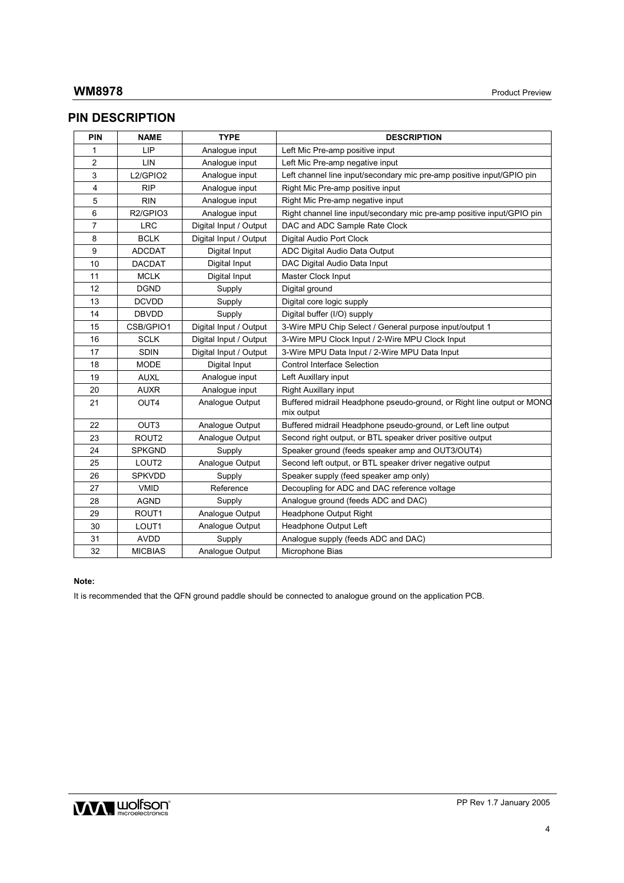## **PIN DESCRIPTION**

| PIN            | <b>NAME</b>                       | <b>TYPE</b>            | <b>DESCRIPTION</b>                                                                   |
|----------------|-----------------------------------|------------------------|--------------------------------------------------------------------------------------|
| 1              | <b>LIP</b>                        | Analogue input         | Left Mic Pre-amp positive input                                                      |
| $\overline{2}$ | LIN                               | Analogue input         | Left Mic Pre-amp negative input                                                      |
| 3              | L2/GPIO2                          | Analogue input         | Left channel line input/secondary mic pre-amp positive input/GPIO pin                |
| 4              | <b>RIP</b>                        | Analogue input         | Right Mic Pre-amp positive input                                                     |
| 5              | <b>RIN</b>                        | Analogue input         | Right Mic Pre-amp negative input                                                     |
| 6              | R <sub>2</sub> /GPIO <sub>3</sub> | Analogue input         | Right channel line input/secondary mic pre-amp positive input/GPIO pin               |
| $\overline{7}$ | <b>LRC</b>                        | Digital Input / Output | DAC and ADC Sample Rate Clock                                                        |
| 8              | <b>BCLK</b>                       | Digital Input / Output | Digital Audio Port Clock                                                             |
| 9              | <b>ADCDAT</b>                     | Digital Input          | ADC Digital Audio Data Output                                                        |
| 10             | <b>DACDAT</b>                     | Digital Input          | DAC Digital Audio Data Input                                                         |
| 11             | <b>MCLK</b>                       | Digital Input          | Master Clock Input                                                                   |
| 12             | <b>DGND</b>                       | Supply                 | Digital ground                                                                       |
| 13             | <b>DCVDD</b>                      | Supply                 | Digital core logic supply                                                            |
| 14             | <b>DBVDD</b>                      | Supply                 | Digital buffer (I/O) supply                                                          |
| 15             | CSB/GPIO1                         | Digital Input / Output | 3-Wire MPU Chip Select / General purpose input/output 1                              |
| 16             | <b>SCLK</b>                       | Digital Input / Output | 3-Wire MPU Clock Input / 2-Wire MPU Clock Input                                      |
| 17             | SDIN                              | Digital Input / Output | 3-Wire MPU Data Input / 2-Wire MPU Data Input                                        |
| 18             | <b>MODE</b>                       | Digital Input          | <b>Control Interface Selection</b>                                                   |
| 19             | <b>AUXL</b>                       | Analogue input         | Left Auxillary input                                                                 |
| 20             | <b>AUXR</b>                       | Analogue input         | <b>Right Auxillary input</b>                                                         |
| 21             | OUT4                              | Analogue Output        | Buffered midrail Headphone pseudo-ground, or Right line output or MONO<br>mix output |
| 22             | OUT3                              | Analogue Output        | Buffered midrail Headphone pseudo-ground, or Left line output                        |
| 23             | ROUT2                             | Analogue Output        | Second right output, or BTL speaker driver positive output                           |
| 24             | <b>SPKGND</b>                     | Supply                 | Speaker ground (feeds speaker amp and OUT3/OUT4)                                     |
| 25             | LOUT <sub>2</sub>                 | Analogue Output        | Second left output, or BTL speaker driver negative output                            |
| 26             | <b>SPKVDD</b>                     | Supply                 | Speaker supply (feed speaker amp only)                                               |
| 27             | <b>VMID</b>                       | Reference              | Decoupling for ADC and DAC reference voltage                                         |
| 28             | <b>AGND</b>                       | Supply                 | Analogue ground (feeds ADC and DAC)                                                  |
| 29             | ROUT1                             | Analogue Output        | Headphone Output Right                                                               |
| 30             | LOUT1                             | Analogue Output        | Headphone Output Left                                                                |
| 31             | <b>AVDD</b>                       | Supply                 | Analogue supply (feeds ADC and DAC)                                                  |
| 32             | <b>MICBIAS</b>                    | Analoque Output        | Microphone Bias                                                                      |

### **Note:**

It is recommended that the QFN ground paddle should be connected to analogue ground on the application PCB.

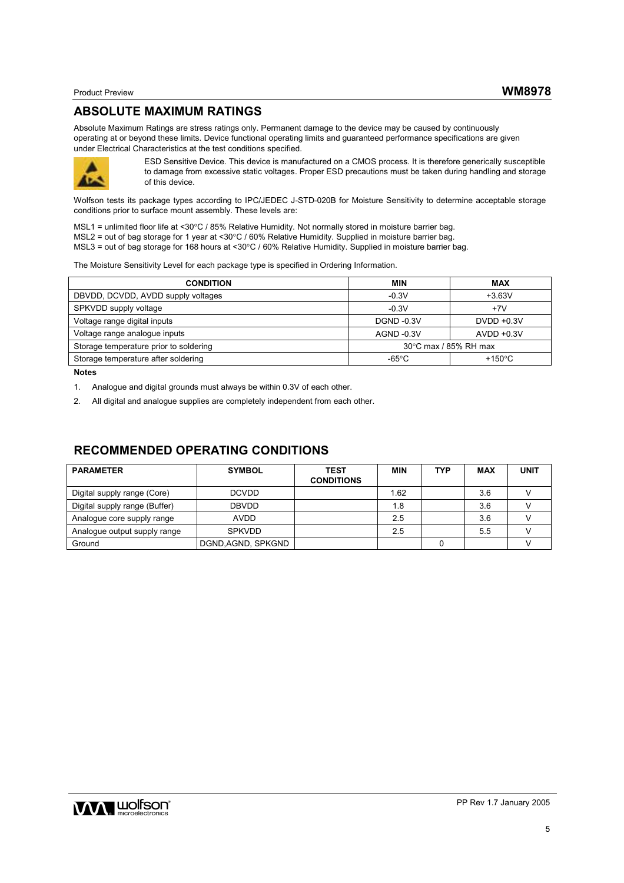## **ABSOLUTE MAXIMUM RATINGS**

Absolute Maximum Ratings are stress ratings only. Permanent damage to the device may be caused by continuously operating at or beyond these limits. Device functional operating limits and guaranteed performance specifications are given under Electrical Characteristics at the test conditions specified.



ESD Sensitive Device. This device is manufactured on a CMOS process. It is therefore generically susceptible to damage from excessive static voltages. Proper ESD precautions must be taken during handling and storage of this device.

Wolfson tests its package types according to IPC/JEDEC J-STD-020B for Moisture Sensitivity to determine acceptable storage conditions prior to surface mount assembly. These levels are:

MSL1 = unlimited floor life at <30°C / 85% Relative Humidity. Not normally stored in moisture barrier bag. MSL2 = out of bag storage for 1 year at <30°C / 60% Relative Humidity. Supplied in moisture barrier bag. MSL3 = out of bag storage for 168 hours at <30°C / 60% Relative Humidity. Supplied in moisture barrier bag.

The Moisture Sensitivity Level for each package type is specified in Ordering Information.

| <b>CONDITION</b>                       | <b>MIN</b>            | MAX              |  |
|----------------------------------------|-----------------------|------------------|--|
| DBVDD, DCVDD, AVDD supply voltages     | $-0.3V$               | $+3.63V$         |  |
| SPKVDD supply voltage                  | $-0.3V$               | $+7V$            |  |
| Voltage range digital inputs           | <b>DGND -0.3V</b>     | $DVDD +0.3V$     |  |
| Voltage range analogue inputs          | AGND -0.3V            | $AVDD +0.3V$     |  |
| Storage temperature prior to soldering | 30°C max / 85% RH max |                  |  |
| Storage temperature after soldering    | -65°C                 | +150 $\degree$ C |  |

**Notes** 

1. Analogue and digital grounds must always be within 0.3V of each other.

2. All digital and analogue supplies are completely independent from each other.

## **RECOMMENDED OPERATING CONDITIONS**

| <b>PARAMETER</b>              | <b>SYMBOL</b>      | <b>TEST</b><br><b>CONDITIONS</b> | <b>MIN</b> | <b>TYP</b> | <b>MAX</b> | <b>UNIT</b> |
|-------------------------------|--------------------|----------------------------------|------------|------------|------------|-------------|
| Digital supply range (Core)   | <b>DCVDD</b>       |                                  | 1.62       |            | 3.6        |             |
| Digital supply range (Buffer) | <b>DBVDD</b>       |                                  | 1.8        |            | 3.6        |             |
| Analogue core supply range    | AVDD               |                                  | 2.5        |            | 3.6        |             |
| Analogue output supply range  | <b>SPKVDD</b>      |                                  | 2.5        |            | 5.5        |             |
| Ground                        | DGND, AGND, SPKGND |                                  |            |            |            |             |

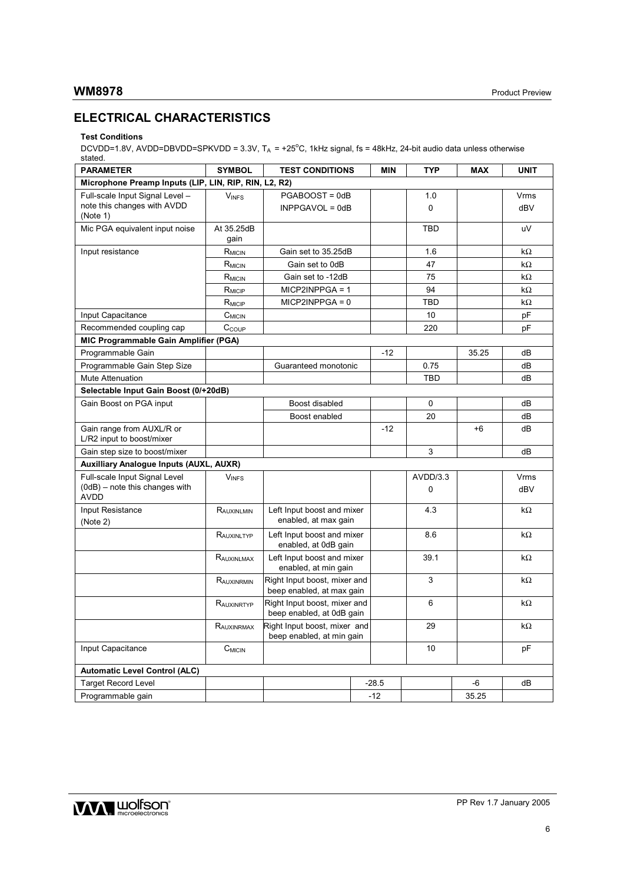# **ELECTRICAL CHARACTERISTICS**

## **Test Conditions**

DCVDD=1.8V, AVDD=DBVDD=SPKVDD = 3.3V,  $T_A = +25^{\circ}C$ , 1kHz signal, fs = 48kHz, 24-bit audio data unless otherwise stated.

| <b>PARAMETER</b>                                                                 | <b>SYMBOL</b>      | <b>TEST CONDITIONS</b>                                    | <b>MIN</b> | <b>TYP</b>           | <b>MAX</b> | <b>UNIT</b> |
|----------------------------------------------------------------------------------|--------------------|-----------------------------------------------------------|------------|----------------------|------------|-------------|
| Microphone Preamp Inputs (LIP, LIN, RIP, RIN, L2, R2)                            |                    |                                                           |            |                      |            |             |
| Full-scale Input Signal Level -                                                  | <b>VINFS</b>       | PGABOOST = 0dB                                            |            | 1.0                  |            | <b>Vrms</b> |
| note this changes with AVDD<br>(Note 1)                                          |                    | $INPPGAVOL = OdB$                                         |            | $\Omega$             |            | dBV         |
| Mic PGA equivalent input noise                                                   | At 35.25dB         |                                                           |            | TBD                  |            | uV          |
|                                                                                  | gain               |                                                           |            |                      |            |             |
| Input resistance                                                                 | R <sub>MICIN</sub> | Gain set to 35.25dB                                       |            | 1.6                  |            | kΩ          |
|                                                                                  | R <sub>MICIN</sub> | Gain set to 0dB                                           |            | 47                   |            | kΩ          |
|                                                                                  | $R_{MICIN}$        | Gain set to -12dB                                         |            | 75                   |            | kΩ          |
|                                                                                  | $R_{MICIP}$        | $MICP2INPPGA = 1$                                         |            | 94                   |            | kΩ          |
|                                                                                  | R <sub>MICIP</sub> | $MICP2INPPGA = 0$                                         |            | <b>TBD</b>           |            | kΩ          |
| Input Capacitance                                                                | $C_{MICIN}$        |                                                           |            | 10                   |            | pF          |
| Recommended coupling cap                                                         | $C_{\text{COUP}}$  |                                                           |            | 220                  |            | рF          |
| MIC Programmable Gain Amplifier (PGA)                                            |                    |                                                           |            |                      |            |             |
| Programmable Gain                                                                |                    |                                                           | $-12$      |                      | 35.25      | dВ          |
| Programmable Gain Step Size                                                      |                    | Guaranteed monotonic                                      |            | 0.75                 |            | dB          |
| Mute Attenuation                                                                 |                    |                                                           |            | <b>TBD</b>           |            | dВ          |
| Selectable Input Gain Boost (0/+20dB)                                            |                    |                                                           |            |                      |            |             |
| Gain Boost on PGA input                                                          |                    | Boost disabled                                            |            | $\Omega$             |            | dВ          |
|                                                                                  |                    | Boost enabled                                             |            | 20                   |            | dВ          |
| Gain range from AUXL/R or<br>L/R2 input to boost/mixer                           |                    |                                                           | $-12$      |                      | $+6$       | dB          |
| Gain step size to boost/mixer                                                    |                    |                                                           |            | 3                    |            | dВ          |
| <b>Auxilliary Analogue Inputs (AUXL, AUXR)</b>                                   |                    |                                                           |            |                      |            |             |
| Full-scale Input Signal Level<br>$(0dB)$ – note this changes with<br><b>AVDD</b> | <b>VINFS</b>       |                                                           |            | AVDD/3.3<br>$\Omega$ |            | Vrms<br>dBV |
| Input Resistance                                                                 | RAUXINLMIN         | Left Input boost and mixer                                |            | 4.3                  |            | kΩ          |
| (Note 2)                                                                         |                    | enabled, at max gain                                      |            |                      |            |             |
|                                                                                  | RAUXINLTYP         | Left Input boost and mixer<br>enabled, at 0dB gain        |            | 8.6                  |            | kΩ          |
|                                                                                  | RAUXINLMAX         | Left Input boost and mixer<br>enabled, at min gain        |            | 39.1                 |            | kΩ          |
|                                                                                  | RAUXINRMIN         | Right Input boost, mixer and<br>beep enabled, at max gain |            | 3                    |            | kΩ          |
|                                                                                  | RAUXINRTYP         | Right Input boost, mixer and<br>beep enabled, at 0dB gain |            | 6                    |            | kΩ          |
|                                                                                  | RAUXINRMAX         | Right Input boost, mixer and<br>beep enabled, at min gain |            | 29                   |            | kΩ          |
| Input Capacitance                                                                | $C_{\text{MICIN}}$ |                                                           |            | 10                   |            | pF          |
| <b>Automatic Level Control (ALC)</b>                                             |                    |                                                           |            |                      |            |             |
| <b>Target Record Level</b>                                                       |                    |                                                           | $-28.5$    |                      | -6         | dB          |
| Programmable gain                                                                |                    |                                                           | $-12$      |                      | 35.25      |             |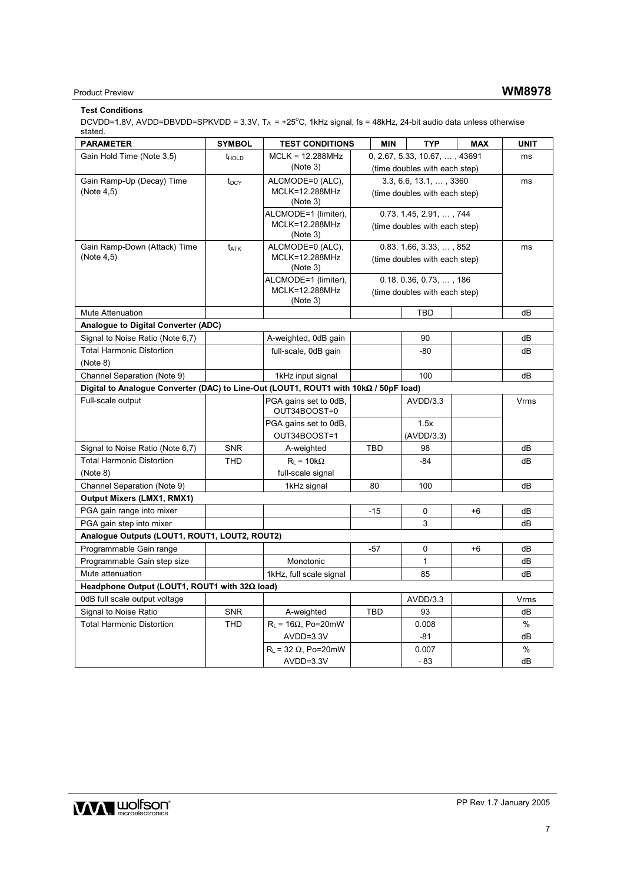# Product Preview **WM8978**

## **Test Conditions**

DCVDD=1.8V, AVDD=DBVDD=SPKVDD = 3.3V, T<sub>A</sub> = +25<sup>o</sup>C, 1kHz signal, fs = 48kHz, 24-bit audio data unless otherwise stated.

| <b>PARAMETER</b>                                                                     | <b>SYMBOL</b>    | <b>TEST CONDITIONS</b>                | <b>MIN</b> | <b>TYP</b>                            | <b>MAX</b> | <b>UNIT</b> |
|--------------------------------------------------------------------------------------|------------------|---------------------------------------|------------|---------------------------------------|------------|-------------|
| Gain Hold Time (Note 3,5)                                                            | <b>THOLD</b>     | $MCLK = 12.288MHz$                    |            | $0, 2.67, 5.33, 10.67, \ldots, 43691$ | ms         |             |
|                                                                                      |                  | (Note 3)                              |            | (time doubles with each step)         |            |             |
| Gain Ramp-Up (Decay) Time                                                            | $t_{\text{DCY}}$ | ALCMODE=0 (ALC),                      |            | $3.3, 6.6, 13.1, \ldots, 3360$        |            | ms          |
| (Note 4,5)                                                                           |                  | MCLK=12.288MHz<br>(Note 3)            |            | (time doubles with each step)         |            |             |
|                                                                                      |                  | ALCMODE=1 (limiter).                  |            | $0.73, 1.45, 2.91, \ldots, 744$       |            |             |
|                                                                                      |                  | MCLK=12.288MHz<br>(Note 3)            |            | (time doubles with each step)         |            |             |
| Gain Ramp-Down (Attack) Time                                                         | $t_{\text{ATK}}$ | ALCMODE=0 (ALC),                      |            | $0.83, 1.66, 3.33, \ldots, 852$       |            | ms          |
| (Note 4,5)                                                                           |                  | MCLK=12.288MHz<br>(Note 3)            |            | (time doubles with each step)         |            |             |
|                                                                                      |                  | ALCMODE=1 (limiter),                  |            | $0.18, 0.36, 0.73, \ldots, 186$       |            |             |
|                                                                                      |                  | MCLK=12.288MHz<br>(Note 3)            |            | (time doubles with each step)         |            |             |
| <b>Mute Attenuation</b>                                                              |                  |                                       |            | <b>TBD</b>                            |            | dB          |
| Analogue to Digital Converter (ADC)                                                  |                  |                                       |            |                                       |            |             |
| Signal to Noise Ratio (Note 6,7)                                                     |                  | A-weighted, 0dB gain                  |            | 90                                    |            | dB          |
| <b>Total Harmonic Distortion</b>                                                     |                  | full-scale, 0dB gain                  |            | -80                                   |            | dB          |
| (Note 8)                                                                             |                  |                                       |            |                                       |            |             |
| Channel Separation (Note 9)                                                          |                  | 1kHz input signal                     |            | 100                                   |            | dB          |
| Digital to Analogue Converter (DAC) to Line-Out (LOUT1, ROUT1 with 10kΩ / 50pF load) |                  |                                       |            |                                       |            |             |
| Full-scale output                                                                    |                  | PGA gains set to 0dB,<br>OUT34BOOST=0 |            | AVDD/3.3                              |            | Vrms        |
|                                                                                      |                  | PGA gains set to 0dB,                 |            | 1.5x                                  |            |             |
|                                                                                      |                  | OUT34BOOST=1                          |            | (AVDD/3.3)                            |            |             |
| Signal to Noise Ratio (Note 6,7)                                                     | <b>SNR</b>       | A-weighted                            | TBD        | 98                                    |            | dB          |
| <b>Total Harmonic Distortion</b>                                                     | <b>THD</b>       | $R_L$ = 10k $\Omega$                  |            | -84                                   |            | dB          |
| (Note 8)                                                                             |                  | full-scale signal                     |            |                                       |            |             |
| Channel Separation (Note 9)                                                          |                  | 1kHz signal                           | 80         | 100                                   |            | dB          |
| Output Mixers (LMX1, RMX1)                                                           |                  |                                       |            |                                       |            |             |
| PGA gain range into mixer                                                            |                  |                                       | $-15$      | 0                                     | $+6$       | dB          |
| PGA gain step into mixer                                                             |                  |                                       |            | 3                                     |            | dB          |
| Analogue Outputs (LOUT1, ROUT1, LOUT2, ROUT2)                                        |                  |                                       |            |                                       |            |             |
| Programmable Gain range                                                              |                  |                                       | $-57$      | 0                                     | $+6$       | dB          |
| Programmable Gain step size                                                          |                  | Monotonic                             |            | $\mathbf{1}$                          |            | dB          |
| Mute attenuation                                                                     |                  | 1kHz, full scale signal               |            | 85                                    |            | dB          |
| Headphone Output (LOUT1, ROUT1 with 320 load)                                        |                  |                                       |            |                                       |            |             |
| 0dB full scale output voltage                                                        |                  |                                       |            | AVDD/3.3                              |            | <b>Vrms</b> |
| Signal to Noise Ratio                                                                | <b>SNR</b>       | A-weighted                            | <b>TBD</b> | 93                                    |            | dB          |
| <b>Total Harmonic Distortion</b>                                                     | <b>THD</b>       | $R_L$ = 16 $\Omega$ , Po=20mW         |            | 0.008                                 |            | %           |
|                                                                                      |                  | AVDD=3.3V                             |            | -81                                   |            | dB          |
|                                                                                      |                  | $R_L$ = 32 $\Omega$ , Po=20mW         |            | 0.007                                 |            | %           |
|                                                                                      |                  | AVDD=3.3V                             |            | $-83$                                 |            | dB          |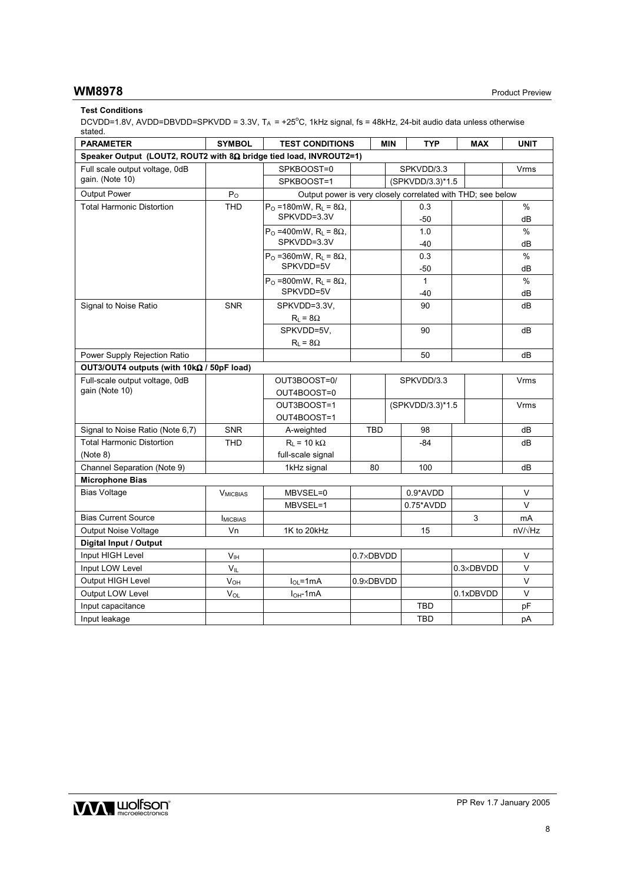## **Test Conditions**

DCVDD=1.8V, AVDD=DBVDD=SPKVDD = 3.3V, T<sub>A</sub> = +25<sup>o</sup>C, 1kHz signal, fs = 48kHz, 24-bit audio data unless otherwise stated.

| <b>PARAMETER</b>                                                   | <b>SYMBOL</b>   | <b>TEST CONDITIONS</b>                             | <b>MIN</b>         | <b>TYP</b>                                                  | <b>MAX</b>         | <b>UNIT</b> |
|--------------------------------------------------------------------|-----------------|----------------------------------------------------|--------------------|-------------------------------------------------------------|--------------------|-------------|
| Speaker Output (LOUT2, ROUT2 with 8Ω bridge tied load, INVROUT2=1) |                 |                                                    |                    |                                                             |                    |             |
| Full scale output voltage, 0dB                                     |                 | SPKBOOST=0                                         |                    | SPKVDD/3.3                                                  |                    | <b>Vrms</b> |
| gain. (Note 10)                                                    |                 | SPKBOOST=1                                         |                    | (SPKVDD/3.3)*1.5                                            |                    |             |
| <b>Output Power</b>                                                | $P_{O}$         |                                                    |                    | Output power is very closely correlated with THD; see below |                    |             |
| <b>Total Harmonic Distortion</b>                                   | <b>THD</b>      | $P_0 = 180$ mW, R <sub>L</sub> = 8Ω,               |                    | 0.3                                                         |                    | %           |
|                                                                    |                 | SPKVDD=3.3V                                        |                    | -50                                                         |                    | dB          |
|                                                                    |                 | $P_{\Omega}$ =400mW, $R_{\text{L}}$ = 8 $\Omega$ , |                    | 1.0                                                         |                    | $\%$        |
|                                                                    |                 | SPKVDD=3.3V                                        |                    | -40                                                         |                    | dB          |
|                                                                    |                 | $P_{\Omega}$ =360mW, R <sub>L</sub> = 8 $\Omega$ , |                    | 0.3                                                         |                    | %           |
|                                                                    |                 | SPKVDD=5V                                          |                    | -50                                                         |                    | dB          |
|                                                                    |                 | $P_{\Omega}$ =800mW, R <sub>L</sub> = 8 $\Omega$ , |                    | $\mathbf{1}$                                                |                    | %           |
|                                                                    |                 | SPKVDD=5V                                          |                    | $-40$                                                       |                    | dB          |
| Signal to Noise Ratio                                              | <b>SNR</b>      | SPKVDD=3.3V,                                       |                    | 90                                                          |                    | dB          |
|                                                                    |                 | $R_L = 8\Omega$                                    |                    |                                                             |                    |             |
|                                                                    |                 | SPKVDD=5V,                                         |                    | 90                                                          |                    | dB          |
|                                                                    |                 | $R_L = 8\Omega$                                    |                    |                                                             |                    |             |
| Power Supply Rejection Ratio                                       |                 |                                                    |                    | 50                                                          |                    | dB          |
| OUT3/OUT4 outputs (with $10k\Omega$ / 50pF load)                   |                 |                                                    |                    |                                                             |                    |             |
| Full-scale output voltage, 0dB                                     |                 | OUT3BOOST=0/                                       |                    | SPKVDD/3.3                                                  |                    | <b>Vrms</b> |
| gain (Note 10)                                                     |                 | OUT4BOOST=0                                        |                    |                                                             |                    |             |
|                                                                    |                 | OUT3BOOST=1                                        |                    | (SPKVDD/3.3)*1.5                                            |                    | <b>Vrms</b> |
|                                                                    |                 | OUT4BOOST=1                                        |                    |                                                             |                    |             |
| Signal to Noise Ratio (Note 6,7)                                   | <b>SNR</b>      | A-weighted                                         | <b>TBD</b>         | 98                                                          |                    | dB          |
| <b>Total Harmonic Distortion</b>                                   | <b>THD</b>      | $R_L$ = 10 k $\Omega$                              |                    | $-84$                                                       |                    | dB          |
| (Note 8)                                                           |                 | full-scale signal                                  |                    |                                                             |                    |             |
| Channel Separation (Note 9)                                        |                 | 1kHz signal                                        | 80                 | 100                                                         |                    | dB          |
| <b>Microphone Bias</b>                                             |                 |                                                    |                    |                                                             |                    |             |
| <b>Bias Voltage</b>                                                | <b>VMICBIAS</b> | MBVSEL=0                                           |                    | $0.9*$ AVDD                                                 |                    | V           |
|                                                                    |                 | MBVSEL=1                                           |                    | $0.75^*$ AVDD                                               |                    | $\vee$      |
| <b>Bias Current Source</b>                                         | <b>IMICBIAS</b> |                                                    |                    |                                                             | 3                  | mA          |
| <b>Output Noise Voltage</b>                                        | Vn              | 1K to 20kHz                                        |                    | 15                                                          |                    | nV/√Hz      |
| Digital Input / Output                                             |                 |                                                    |                    |                                                             |                    |             |
| Input HIGH Level                                                   | V <sub>IH</sub> |                                                    | $0.7 \times$ DBVDD |                                                             |                    | V           |
| Input LOW Level                                                    | $V_{IL}$        |                                                    |                    |                                                             | $0.3 \times$ DBVDD | V           |
| Output HIGH Level                                                  | $V_{OH}$        | $IOL=1mA$                                          | $0.9 \times$ DBVDD |                                                             |                    | V           |
| Output LOW Level                                                   | VOL             | $IOH-1mA$                                          |                    |                                                             | 0.1xDBVDD          | V           |
| Input capacitance                                                  |                 |                                                    |                    | TBD                                                         |                    | pF          |
| Input leakage                                                      |                 |                                                    |                    | TBD                                                         |                    | pA          |

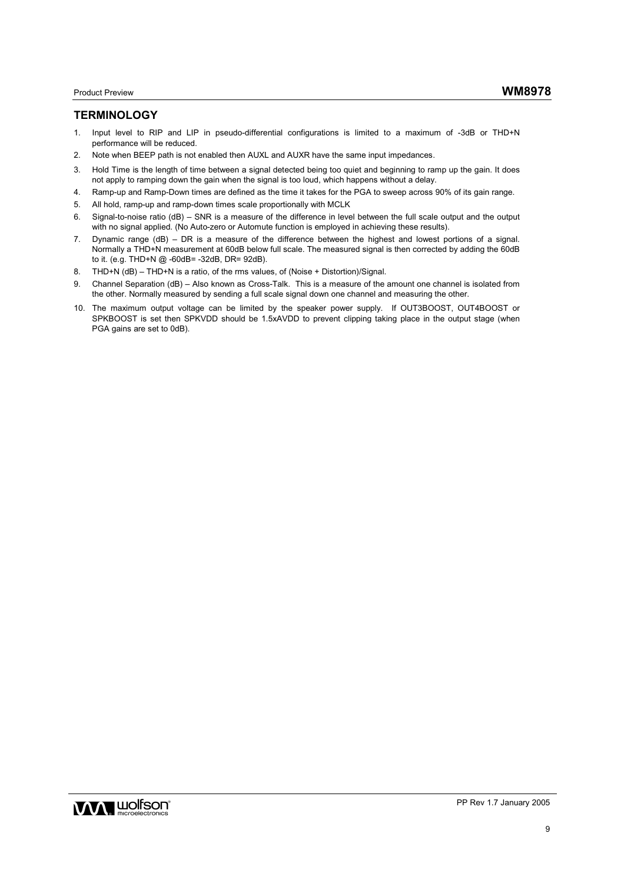- 1. Input level to RIP and LIP in pseudo-differential configurations is limited to a maximum of -3dB or THD+N performance will be reduced.
- 2. Note when BEEP path is not enabled then AUXL and AUXR have the same input impedances.
- 3. Hold Time is the length of time between a signal detected being too quiet and beginning to ramp up the gain. It does not apply to ramping down the gain when the signal is too loud, which happens without a delay.
- 4. Ramp-up and Ramp-Down times are defined as the time it takes for the PGA to sweep across 90% of its gain range.
- 5. All hold, ramp-up and ramp-down times scale proportionally with MCLK
- 6. Signal-to-noise ratio (dB) SNR is a measure of the difference in level between the full scale output and the output with no signal applied. (No Auto-zero or Automute function is employed in achieving these results).
- 7. Dynamic range (dB) DR is a measure of the difference between the highest and lowest portions of a signal. Normally a THD+N measurement at 60dB below full scale. The measured signal is then corrected by adding the 60dB to it. (e.g. THD+N @ -60dB= -32dB, DR= 92dB).
- 8. THD+N (dB) THD+N is a ratio, of the rms values, of (Noise + Distortion)/Signal.
- 9. Channel Separation (dB) Also known as Cross-Talk. This is a measure of the amount one channel is isolated from the other. Normally measured by sending a full scale signal down one channel and measuring the other.
- 10. The maximum output voltage can be limited by the speaker power supply. If OUT3BOOST, OUT4BOOST or SPKBOOST is set then SPKVDD should be 1.5xAVDD to prevent clipping taking place in the output stage (when PGA gains are set to 0dB).

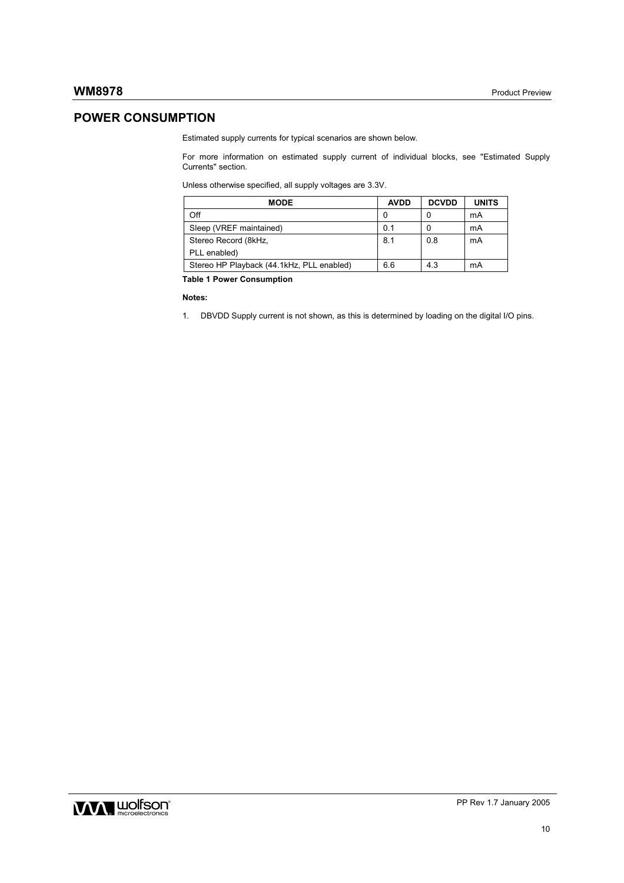## **POWER CONSUMPTION**

Estimated supply currents for typical scenarios are shown below.

For more information on estimated supply current of individual blocks, see "Estimated Supply Currents" section.

Unless otherwise specified, all supply voltages are 3.3V.

| MODE                                      | <b>AVDD</b> | <b>DCVDD</b> | <b>UNITS</b> |
|-------------------------------------------|-------------|--------------|--------------|
| Off                                       |             |              | mA           |
| Sleep (VREF maintained)                   | 0.1         |              | mA           |
| Stereo Record (8kHz,                      | 8.1         | 0.8          | mA           |
| PLL enabled)                              |             |              |              |
| Stereo HP Playback (44.1kHz, PLL enabled) | 6.6         | 4.3          | mA           |

**Table 1 Power Consumption** 

### **Notes:**

1. DBVDD Supply current is not shown, as this is determined by loading on the digital I/O pins.

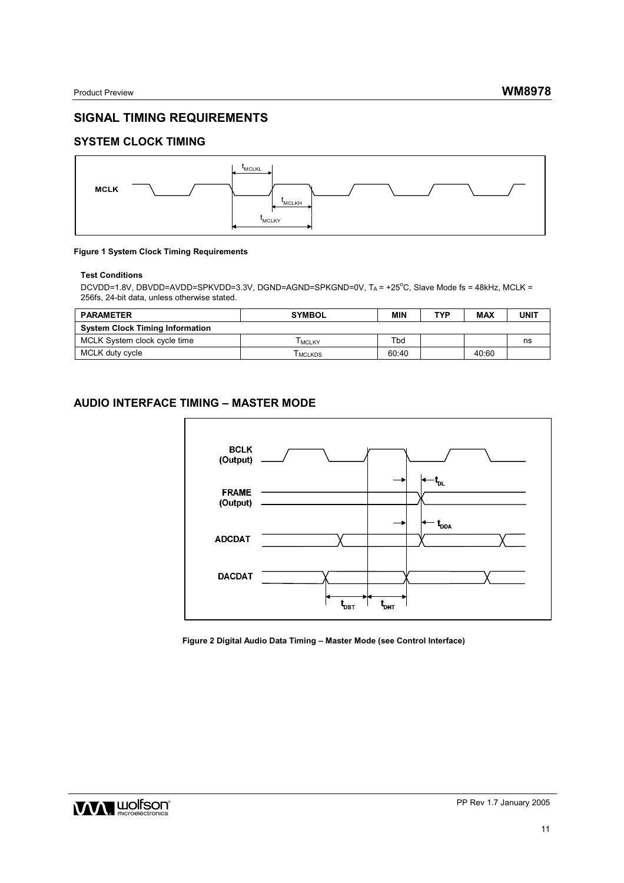## **SIGNAL TIMING REQUIREMENTS**

## **SYSTEM CLOCK TIMING**



### **Figure 1 System Clock Timing Requirements**

#### **Test Conditions**

DCVDD=1.8V, DBVDD=AVDD=SPKVDD=3.3V, DGND=AGND=SPKGND=0V, T<sub>A</sub> = +25°C, Slave Mode fs = 48kHz, MCLK = 256fs, 24-bit data, unless otherwise stated.

| <b>PARAMETER</b>                       | <b>SYMBOL</b> | MIN   | TYP | MAX   | <b>UNIT</b> |
|----------------------------------------|---------------|-------|-----|-------|-------------|
| <b>System Clock Timing Information</b> |               |       |     |       |             |
| MCLK System clock cycle time           | <b>LMCLKY</b> | Tbd   |     |       | ns          |
| MCLK duty cycle                        | I MCLKDS      | 60:40 |     | 40:60 |             |

## **AUDIO INTERFACE TIMING – MASTER MODE**



**Figure 2 Digital Audio Data Timing – Master Mode (see Control Interface)** 

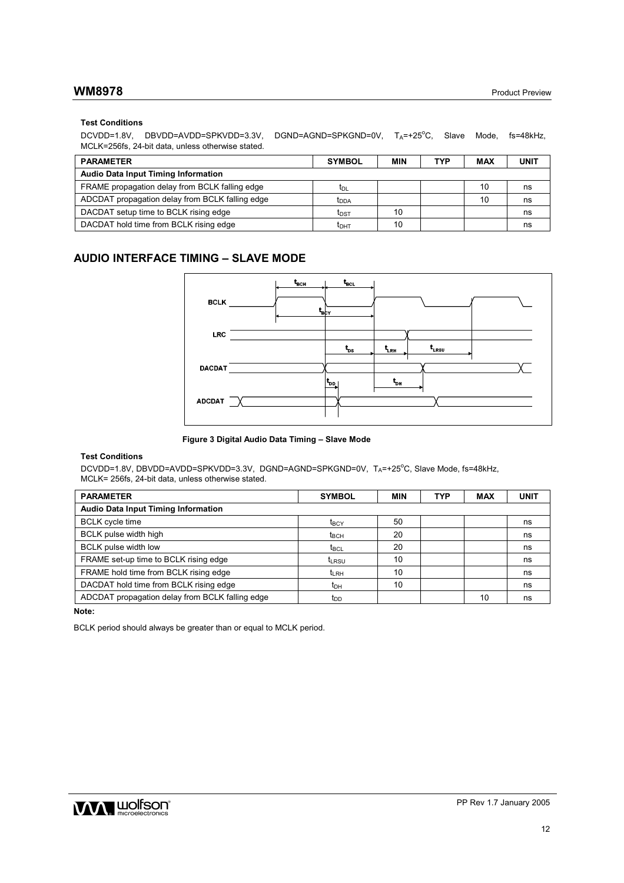## **Test Conditions**

| DCVDD=1.8V. DBVDD=AVDD=SPKVDD=3.3V. DGND=AGND=SPKGND=0V. T <sub>a</sub> =+25 <sup>o</sup> C. Slave Mode. fs=48kHz. |  |  |  |
|--------------------------------------------------------------------------------------------------------------------|--|--|--|
| MCLK=256fs, 24-bit data, unless otherwise stated.                                                                  |  |  |  |

| <b>PARAMETER</b>                                | <b>SYMBOL</b>           | MIN | TYP | MAX | UNIT |
|-------------------------------------------------|-------------------------|-----|-----|-----|------|
| <b>Audio Data Input Timing Information</b>      |                         |     |     |     |      |
| FRAME propagation delay from BCLK falling edge  | I <sub>DL</sub>         |     |     | 10  | ns   |
| ADCDAT propagation delay from BCLK falling edge | <b>t</b> <sub>DDA</sub> |     |     | 10  | ns   |
| DACDAT setup time to BCLK rising edge           | t <sub>DST</sub>        | 10  |     |     | ns   |
| DACDAT hold time from BCLK rising edge          | t <sub>DHT</sub>        | 10  |     |     | ns   |

## **AUDIO INTERFACE TIMING – SLAVE MODE**



#### **Figure 3 Digital Audio Data Timing – Slave Mode**

### **Test Conditions**

DCVDD=1.8V, DBVDD=AVDD=SPKVDD=3.3V, DGND=AGND=SPKGND=0V, T<sub>A</sub>=+25°C, Slave Mode, fs=48kHz, MCLK= 256fs, 24-bit data, unless otherwise stated.

| <b>PARAMETER</b>                                | <b>SYMBOL</b>     | <b>MIN</b> | <b>TYP</b> | MAX | <b>UNIT</b> |
|-------------------------------------------------|-------------------|------------|------------|-----|-------------|
| <b>Audio Data Input Timing Information</b>      |                   |            |            |     |             |
| <b>BCLK</b> cycle time                          | t <sub>BCY</sub>  | 50         |            |     | ns          |
| BCLK pulse width high                           | $t_{\text{BCH}}$  | 20         |            |     | ns          |
| BCLK pulse width low                            | $t_{BCL}$         | 20         |            |     | ns          |
| FRAME set-up time to BCLK rising edge           | t <sub>LRSU</sub> | 10         |            |     | ns          |
| FRAME hold time from BCLK rising edge           | t <sub>LRH</sub>  | 10         |            |     | ns          |
| DACDAT hold time from BCLK rising edge          | t <sub>DH</sub>   | 10         |            |     | ns          |
| ADCDAT propagation delay from BCLK falling edge | t <sub>DD</sub>   |            |            | 10  | ns          |

**Note:** 

BCLK period should always be greater than or equal to MCLK period.

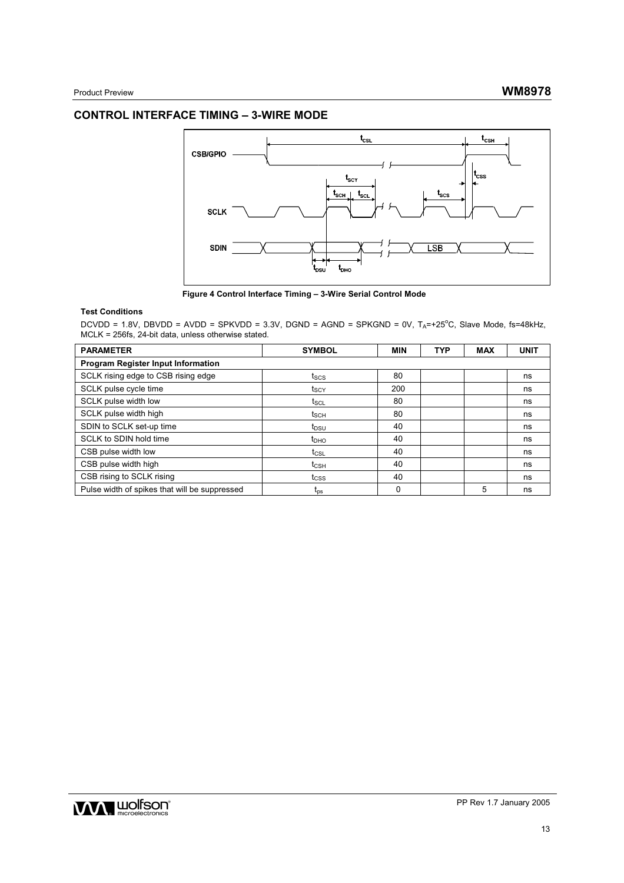## **CONTROL INTERFACE TIMING – 3-WIRE MODE**



**Figure 4 Control Interface Timing – 3-Wire Serial Control Mode** 

#### **Test Conditions**

 $DCVDD = 1.8V$ ,  $DBVDD = AVDD = SPKVDD = 3.3V$ ,  $DGND = AGND = SPKGND = 0V$ ,  $T_A = +25^{\circ}C$ , Slave Mode, fs=48kHz, MCLK = 256fs, 24-bit data, unless otherwise stated.

| <b>PARAMETER</b>                              | <b>SYMBOL</b>                | <b>MIN</b> | <b>TYP</b> | <b>MAX</b> | <b>UNIT</b> |
|-----------------------------------------------|------------------------------|------------|------------|------------|-------------|
| Program Register Input Information            |                              |            |            |            |             |
| SCLK rising edge to CSB rising edge           | tscs                         | 80         |            |            | ns          |
| SCLK pulse cycle time                         | tscy                         | 200        |            |            | ns          |
| SCLK pulse width low                          | t <sub>SCL</sub>             | 80         |            |            | ns          |
| SCLK pulse width high                         | $t_{\scriptstyle\text{SCH}}$ | 80         |            |            | ns          |
| SDIN to SCLK set-up time                      | t <sub>DSU</sub>             | 40         |            |            | ns          |
| SCLK to SDIN hold time                        | $t_{\text{DHO}}$             | 40         |            |            | ns          |
| CSB pulse width low                           | $t_{\text{CSL}}$             | 40         |            |            | ns          |
| CSB pulse width high                          | $t_{\text{CSH}}$             | 40         |            |            | ns          |
| CSB rising to SCLK rising                     | tcss                         | 40         |            |            | ns          |
| Pulse width of spikes that will be suppressed | $t_{\rm ps}$                 | 0          |            | 5          | ns          |

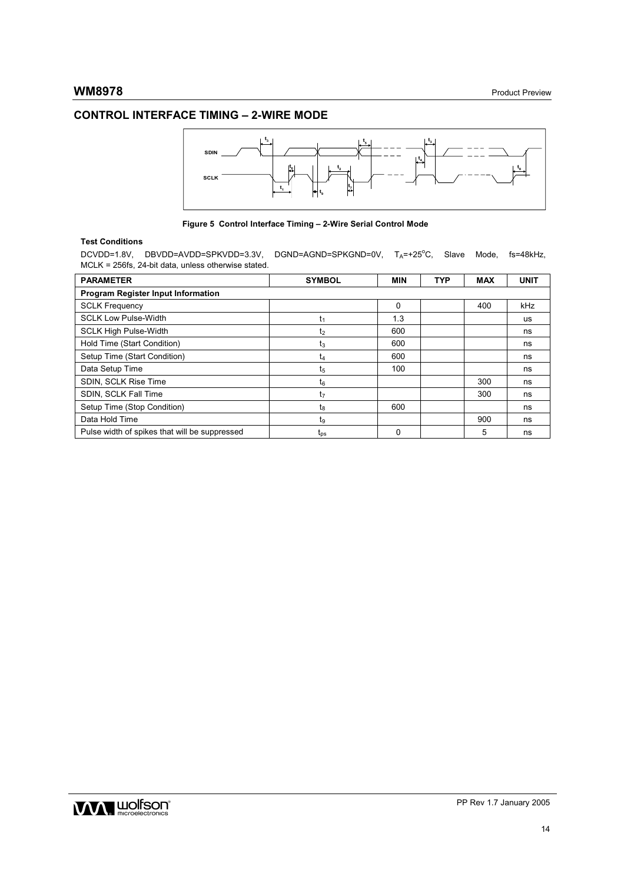## **CONTROL INTERFACE TIMING – 2-WIRE MODE**



**Figure 5 Control Interface Timing – 2-Wire Serial Control Mode** 

#### **Test Conditions**

DCVDD=1.8V, DBVDD=AVDD=SPKVDD=3.3V, DGND=AGND=SPKGND=0V, T<sub>A</sub>=+25<sup>o</sup>C, Slave Mode, fs=48kHz, MCLK = 256fs, 24-bit data, unless otherwise stated.

| <b>PARAMETER</b>                              | <b>SYMBOL</b>  | <b>MIN</b> | TYP | <b>MAX</b> | <b>UNIT</b> |
|-----------------------------------------------|----------------|------------|-----|------------|-------------|
| <b>Program Register Input Information</b>     |                |            |     |            |             |
| <b>SCLK Frequency</b>                         |                | $\Omega$   |     | 400        | kHz         |
| <b>SCLK Low Pulse-Width</b>                   | t1             | 1.3        |     |            | us          |
| <b>SCLK High Pulse-Width</b>                  | t2             | 600        |     |            | ns          |
| Hold Time (Start Condition)                   | $t_3$          | 600        |     |            | ns          |
| Setup Time (Start Condition)                  | t4             | 600        |     |            | ns          |
| Data Setup Time                               | $t_{5}$        | 100        |     |            | ns          |
| SDIN, SCLK Rise Time                          | t <sub>6</sub> |            |     | 300        | ns          |
| SDIN, SCLK Fall Time                          | t7             |            |     | 300        | ns          |
| Setup Time (Stop Condition)                   | tg             | 600        |     |            | ns          |
| Data Hold Time                                | t9             |            |     | 900        | ns          |
| Pulse width of spikes that will be suppressed | $t_{\rm{os}}$  |            |     | 5          | ns          |

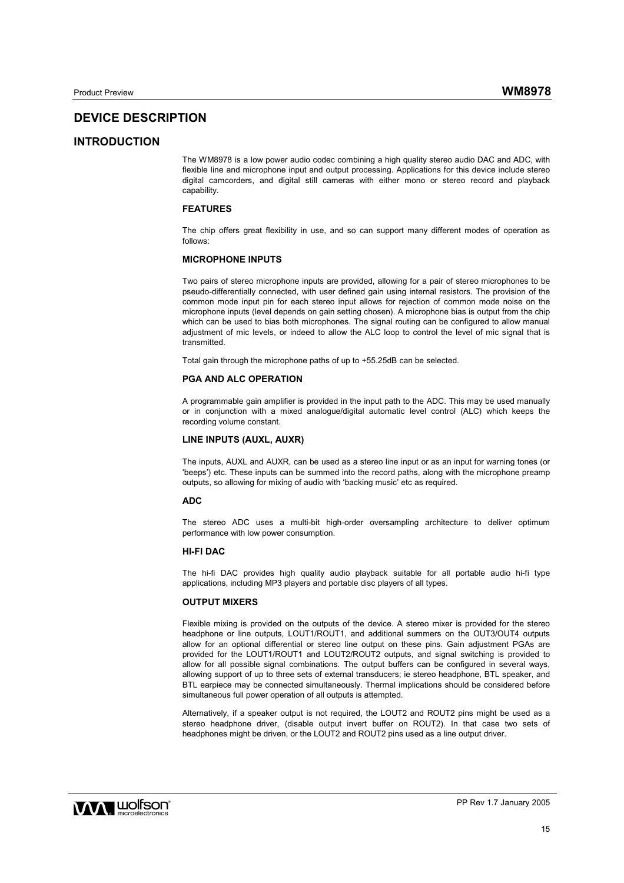# **DEVICE DESCRIPTION**

## **INTRODUCTION**

The WM8978 is a low power audio codec combining a high quality stereo audio DAC and ADC, with flexible line and microphone input and output processing. Applications for this device include stereo digital camcorders, and digital still cameras with either mono or stereo record and playback capability.

#### **FEATURES**

The chip offers great flexibility in use, and so can support many different modes of operation as follows:

#### **MICROPHONE INPUTS**

Two pairs of stereo microphone inputs are provided, allowing for a pair of stereo microphones to be pseudo-differentially connected, with user defined gain using internal resistors. The provision of the common mode input pin for each stereo input allows for rejection of common mode noise on the microphone inputs (level depends on gain setting chosen). A microphone bias is output from the chip which can be used to bias both microphones. The signal routing can be configured to allow manual adjustment of mic levels, or indeed to allow the ALC loop to control the level of mic signal that is transmitted.

Total gain through the microphone paths of up to +55.25dB can be selected.

#### **PGA AND ALC OPERATION**

A programmable gain amplifier is provided in the input path to the ADC. This may be used manually or in conjunction with a mixed analogue/digital automatic level control (ALC) which keeps the recording volume constant.

#### **LINE INPUTS (AUXL, AUXR)**

The inputs, AUXL and AUXR, can be used as a stereo line input or as an input for warning tones (or 'beeps') etc. These inputs can be summed into the record paths, along with the microphone preamp outputs, so allowing for mixing of audio with 'backing music' etc as required.

#### **ADC**

The stereo ADC uses a multi-bit high-order oversampling architecture to deliver optimum performance with low power consumption.

#### **HI-FI DAC**

The hi-fi DAC provides high quality audio playback suitable for all portable audio hi-fi type applications, including MP3 players and portable disc players of all types.

#### **OUTPUT MIXERS**

Flexible mixing is provided on the outputs of the device. A stereo mixer is provided for the stereo headphone or line outputs, LOUT1/ROUT1, and additional summers on the OUT3/OUT4 outputs allow for an optional differential or stereo line output on these pins. Gain adjustment PGAs are provided for the LOUT1/ROUT1 and LOUT2/ROUT2 outputs, and signal switching is provided to allow for all possible signal combinations. The output buffers can be configured in several ways, allowing support of up to three sets of external transducers; ie stereo headphone, BTL speaker, and BTL earpiece may be connected simultaneously. Thermal implications should be considered before simultaneous full power operation of all outputs is attempted.

Alternatively, if a speaker output is not required, the LOUT2 and ROUT2 pins might be used as a stereo headphone driver, (disable output invert buffer on ROUT2). In that case two sets of headphones might be driven, or the LOUT2 and ROUT2 pins used as a line output driver.

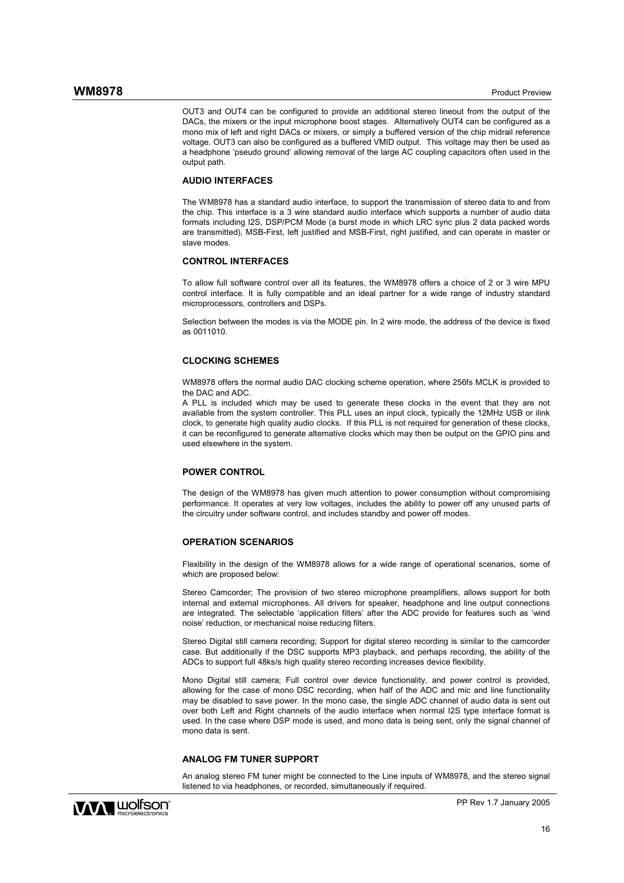OUT3 and OUT4 can be configured to provide an additional stereo lineout from the output of the DACs, the mixers or the input microphone boost stages. Alternatively OUT4 can be configured as a mono mix of left and right DACs or mixers, or simply a buffered version of the chip midrail reference voltage. OUT3 can also be configured as a buffered VMID output. This voltage may then be used as a headphone 'pseudo ground' allowing removal of the large AC coupling capacitors often used in the output path.

### **AUDIO INTERFACES**

The WM8978 has a standard audio interface, to support the transmission of stereo data to and from the chip. This interface is a 3 wire standard audio interface which supports a number of audio data formats including I2S, DSP/PCM Mode (a burst mode in which LRC sync plus 2 data packed words are transmitted), MSB-First, left justified and MSB-First, right justified, and can operate in master or slave modes.

#### **CONTROL INTERFACES**

To allow full software control over all its features, the WM8978 offers a choice of 2 or 3 wire MPU control interface. It is fully compatible and an ideal partner for a wide range of industry standard microprocessors, controllers and DSPs.

Selection between the modes is via the MODE pin. In 2 wire mode, the address of the device is fixed as 0011010.

#### **CLOCKING SCHEMES**

WM8978 offers the normal audio DAC clocking scheme operation, where 256fs MCLK is provided to the DAC and ADC.

A PLL is included which may be used to generate these clocks in the event that they are not available from the system controller. This PLL uses an input clock, typically the 12MHz USB or ilink clock, to generate high quality audio clocks. If this PLL is not required for generation of these clocks, it can be reconfigured to generate alternative clocks which may then be output on the GPIO pins and used elsewhere in the system.

#### **POWER CONTROL**

The design of the WM8978 has given much attention to power consumption without compromising performance. It operates at very low voltages, includes the ability to power off any unused parts of the circuitry under software control, and includes standby and power off modes.

#### **OPERATION SCENARIOS**

Flexibility in the design of the WM8978 allows for a wide range of operational scenarios, some of which are proposed below:

Stereo Camcorder; The provision of two stereo microphone preamplifiers, allows support for both internal and external microphones. All drivers for speaker, headphone and line output connections are integrated. The selectable 'application filters' after the ADC provide for features such as 'wind noise' reduction, or mechanical noise reducing filters.

Stereo Digital still camera recording; Support for digital stereo recording is similar to the camcorder case. But additionally if the DSC supports MP3 playback, and perhaps recording, the ability of the ADCs to support full 48ks/s high quality stereo recording increases device flexibility.

Mono Digital still camera; Full control over device functionality, and power control is provided, allowing for the case of mono DSC recording, when half of the ADC and mic and line functionality may be disabled to save power. In the mono case, the single ADC channel of audio data is sent out over both Left and Right channels of the audio interface when normal I2S type interface format is used. In the case where DSP mode is used, and mono data is being sent, only the signal channel of mono data is sent.

#### **ANALOG FM TUNER SUPPORT**

An analog stereo FM tuner might be connected to the Line inputs of WM8978, and the stereo signal listened to via headphones, or recorded, simultaneously if required.

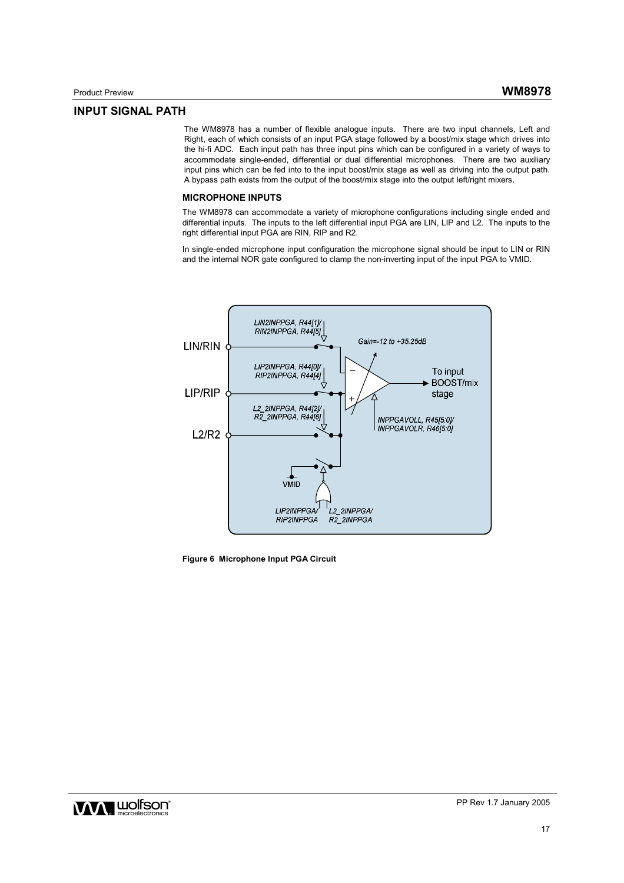## **INPUT SIGNAL PATH**

The WM8978 has a number of flexible analogue inputs. There are two input channels, Left and Right, each of which consists of an input PGA stage followed by a boost/mix stage which drives into the hi-fi ADC. Each input path has three input pins which can be configured in a variety of ways to accommodate single-ended, differential or dual differential microphones. There are two auxiliary input pins which can be fed into to the input boost/mix stage as well as driving into the output path. A bypass path exists from the output of the boost/mix stage into the output left/right mixers.

#### **MICROPHONE INPUTS**

The WM8978 can accommodate a variety of microphone configurations including single ended and differential inputs. The inputs to the left differential input PGA are LIN, LIP and L2. The inputs to the right differential input PGA are RIN, RIP and R2.

In single-ended microphone input configuration the microphone signal should be input to LIN or RIN and the internal NOR gate configured to clamp the non-inverting input of the input PGA to VMID.



**Figure 6 Microphone Input PGA Circuit** 

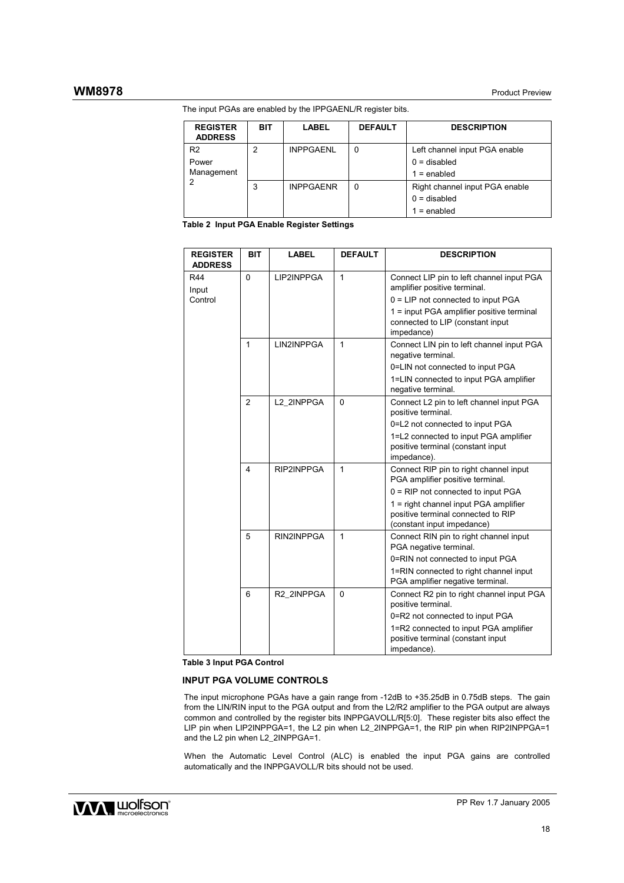| <b>REGISTER</b><br><b>ADDRESS</b>     | BIT | <b>LABEL</b>     | <b>DEFAULT</b> | <b>DESCRIPTION</b>                                                |
|---------------------------------------|-----|------------------|----------------|-------------------------------------------------------------------|
| R <sub>2</sub><br>Power<br>Management | 2   | <b>INPPGAENL</b> | 0              | Left channel input PGA enable<br>$0 =$ disabled<br>$1 =$ enabled  |
| 2                                     | 3   | <b>INPPGAENR</b> | 0              | Right channel input PGA enable<br>$0 =$ disabled<br>$1 =$ enabled |

**Table 2 Input PGA Enable Register Settings** 

| <b>REGISTER</b><br><b>ADDRESS</b> | <b>BIT</b>              | LABEL      | <b>DEFAULT</b> | <b>DESCRIPTION</b>                                                                                                |
|-----------------------------------|-------------------------|------------|----------------|-------------------------------------------------------------------------------------------------------------------|
| R44<br>Input<br>Control           | 0                       | LIP2INPPGA | 1              | Connect LIP pin to left channel input PGA<br>amplifier positive terminal.<br>$0 = LIP$ not connected to input PGA |
|                                   |                         |            |                | 1 = input PGA amplifier positive terminal<br>connected to LIP (constant input<br>impedance)                       |
|                                   | $\mathbf{1}$            | LIN2INPPGA | 1              | Connect LIN pin to left channel input PGA<br>negative terminal.                                                   |
|                                   |                         |            |                | 0=LIN not connected to input PGA                                                                                  |
|                                   |                         |            |                | 1=LIN connected to input PGA amplifier<br>negative terminal.                                                      |
|                                   | $\overline{2}$          | L2 2INPPGA | 0              | Connect L2 pin to left channel input PGA<br>positive terminal.                                                    |
|                                   |                         |            |                | 0=L2 not connected to input PGA                                                                                   |
|                                   |                         |            |                | 1=L2 connected to input PGA amplifier<br>positive terminal (constant input<br>impedance).                         |
|                                   | $\overline{\mathbf{4}}$ | RIP2INPPGA | $\mathbf{1}$   | Connect RIP pin to right channel input<br>PGA amplifier positive terminal.                                        |
|                                   |                         |            |                | $0 = RIP$ not connected to input PGA                                                                              |
|                                   |                         |            |                | 1 = right channel input PGA amplifier<br>positive terminal connected to RIP<br>(constant input impedance)         |
|                                   | 5                       | RIN2INPPGA | $\mathbf{1}$   | Connect RIN pin to right channel input<br>PGA negative terminal.                                                  |
|                                   |                         |            |                | 0=RIN not connected to input PGA                                                                                  |
|                                   |                         |            |                | 1=RIN connected to right channel input<br>PGA amplifier negative terminal.                                        |
|                                   | 6                       | R2 2INPPGA | $\mathbf{0}$   | Connect R2 pin to right channel input PGA<br>positive terminal.                                                   |
|                                   |                         |            |                | 0=R2 not connected to input PGA                                                                                   |
|                                   |                         |            |                | 1=R2 connected to input PGA amplifier<br>positive terminal (constant input<br>impedance).                         |

**Table 3 Input PGA Control** 

#### **INPUT PGA VOLUME CONTROLS**

The input microphone PGAs have a gain range from -12dB to +35.25dB in 0.75dB steps. The gain from the LIN/RIN input to the PGA output and from the L2/R2 amplifier to the PGA output are always common and controlled by the register bits INPPGAVOLL/R[5:0]. These register bits also effect the LIP pin when LIP2INPPGA=1, the L2 pin when L2\_2INPPGA=1, the RIP pin when RIP2INPPGA=1 and the L2 pin when L2\_2INPPGA=1.

When the Automatic Level Control (ALC) is enabled the input PGA gains are controlled automatically and the INPPGAVOLL/R bits should not be used.

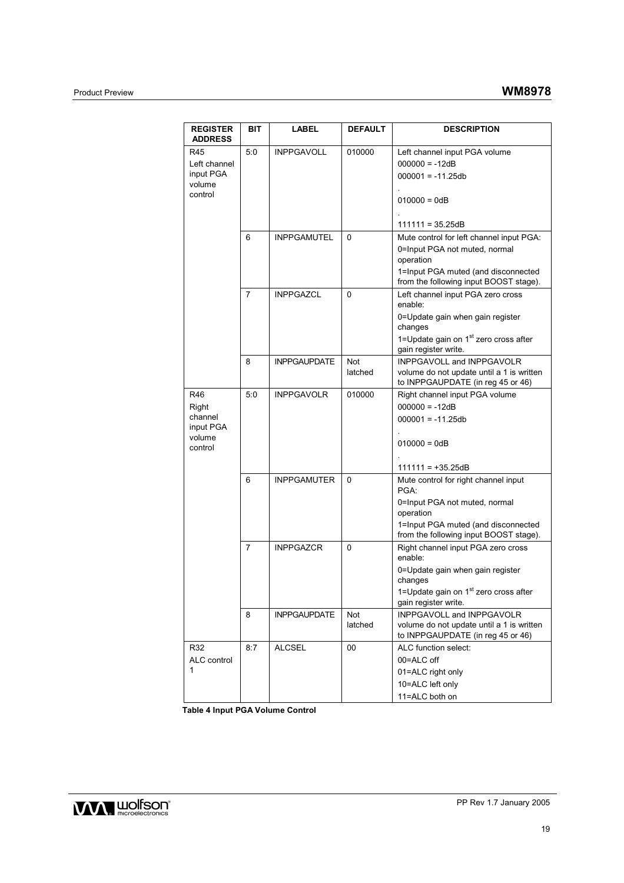| <b>REGISTER</b><br><b>ADDRESS</b>                         | BIT            | <b>LABEL</b>        | <b>DEFAULT</b> | <b>DESCRIPTION</b>                                                                                                                                                          |
|-----------------------------------------------------------|----------------|---------------------|----------------|-----------------------------------------------------------------------------------------------------------------------------------------------------------------------------|
| R45<br>Left channel<br>input PGA<br>volume<br>control     | 5:0            | <b>INPPGAVOLL</b>   | 010000         | Left channel input PGA volume<br>$000000 = -12dB$<br>$000001 = -11.25db$<br>$010000 = 0dB$<br>$111111 = 35.25dB$                                                            |
|                                                           | 6              | <b>INPPGAMUTEL</b>  | 0              | Mute control for left channel input PGA:<br>0=Input PGA not muted, normal<br>operation<br>1=Input PGA muted (and disconnected<br>from the following input BOOST stage).     |
|                                                           | 7              | <b>INPPGAZCL</b>    | 0              | Left channel input PGA zero cross<br>enable:<br>0=Update gain when gain register<br>changes<br>1=Update gain on 1 <sup>st</sup> zero cross after<br>gain register write.    |
|                                                           | 8              | <b>INPPGAUPDATE</b> | Not<br>latched | INPPGAVOLL and INPPGAVOLR<br>volume do not update until a 1 is written<br>to INPPGAUPDATE (in reg 45 or 46)                                                                 |
| R46<br>Right<br>channel<br>input PGA<br>volume<br>control | 5:0            | <b>INPPGAVOLR</b>   | 010000         | Right channel input PGA volume<br>$000000 = -12dB$<br>$000001 = -11.25db$<br>$010000 = 0dB$<br>$111111 = +35.25dB$                                                          |
|                                                           | 6              | <b>INPPGAMUTER</b>  | 0              | Mute control for right channel input<br>PGA:<br>0=Input PGA not muted, normal<br>operation<br>1=Input PGA muted (and disconnected<br>from the following input BOOST stage). |
|                                                           | $\overline{7}$ | <b>INPPGAZCR</b>    | 0              | Right channel input PGA zero cross<br>enable:<br>0=Update gain when gain register<br>changes<br>1=Update gain on 1 <sup>st</sup> zero cross after<br>gain register write.   |
|                                                           | 8              | <b>INPPGAUPDATE</b> | Not<br>latched | INPPGAVOLL and INPPGAVOLR<br>volume do not update until a 1 is written<br>to INPPGAUPDATE (in reg 45 or 46)                                                                 |
| R32<br>ALC control<br>1                                   | 8:7            | <b>ALCSEL</b>       | 00             | ALC function select:<br>00=ALC off<br>01=ALC right only<br>10=ALC left only<br>11=ALC both on                                                                               |

**Table 4 Input PGA Volume Control** 

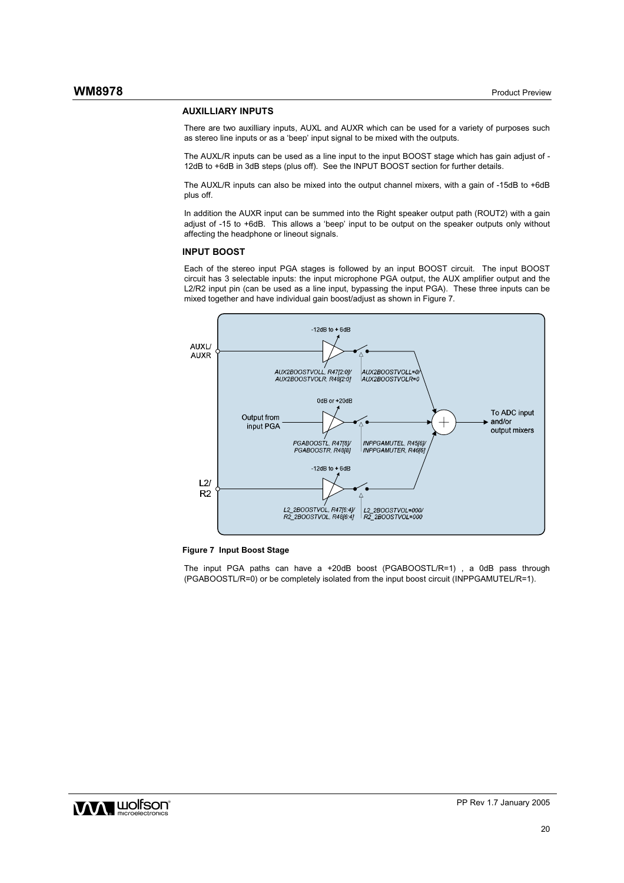#### **AUXILLIARY INPUTS**

There are two auxilliary inputs, AUXL and AUXR which can be used for a variety of purposes such as stereo line inputs or as a 'beep' input signal to be mixed with the outputs.

The AUXL/R inputs can be used as a line input to the input BOOST stage which has gain adjust of - 12dB to +6dB in 3dB steps (plus off). See the INPUT BOOST section for further details.

The AUXL/R inputs can also be mixed into the output channel mixers, with a gain of -15dB to +6dB plus off.

In addition the AUXR input can be summed into the Right speaker output path (ROUT2) with a gain adjust of -15 to +6dB. This allows a 'beep' input to be output on the speaker outputs only without affecting the headphone or lineout signals.

#### **INPUT BOOST**

Each of the stereo input PGA stages is followed by an input BOOST circuit. The input BOOST circuit has 3 selectable inputs: the input microphone PGA output, the AUX amplifier output and the L2/R2 input pin (can be used as a line input, bypassing the input PGA). These three inputs can be mixed together and have individual gain boost/adjust as shown in Figure 7.



#### **Figure 7 Input Boost Stage**

The input PGA paths can have a +20dB boost (PGABOOSTL/R=1) , a 0dB pass through (PGABOOSTL/R=0) or be completely isolated from the input boost circuit (INPPGAMUTEL/R=1).

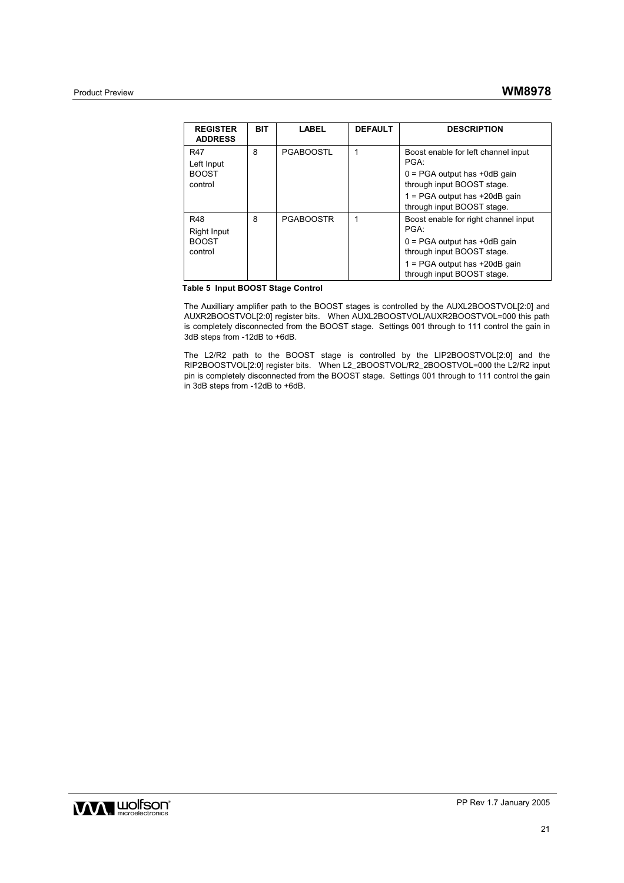| <b>REGISTER</b><br><b>ADDRESS</b> | <b>BIT</b> | <b>LABEL</b>     | <b>DEFAULT</b> | <b>DESCRIPTION</b>                                              |
|-----------------------------------|------------|------------------|----------------|-----------------------------------------------------------------|
| <b>R47</b><br>Left Input          | 8          | <b>PGABOOSTL</b> |                | Boost enable for left channel input<br>PGA:                     |
| <b>BOOST</b><br>control           |            |                  |                | $0 = PGA$ output has $+0dB$ gain<br>through input BOOST stage.  |
|                                   |            |                  |                | $1 = PGA$ output has $+20dB$ gain<br>through input BOOST stage. |
| <b>R48</b><br>Right Input         | 8          | <b>PGABOOSTR</b> |                | Boost enable for right channel input<br>PGA:                    |
| <b>BOOST</b><br>control           |            |                  |                | $0 = PGA$ output has $+0dB$ gain<br>through input BOOST stage.  |
|                                   |            |                  |                | $1 = PGA$ output has $+20dB$ gain<br>through input BOOST stage. |

**Table 5 Input BOOST Stage Control** 

The Auxilliary amplifier path to the BOOST stages is controlled by the AUXL2BOOSTVOL[2:0] and AUXR2BOOSTVOL[2:0] register bits. When AUXL2BOOSTVOL/AUXR2BOOSTVOL=000 this path is completely disconnected from the BOOST stage. Settings 001 through to 111 control the gain in 3dB steps from -12dB to +6dB.

The L2/R2 path to the BOOST stage is controlled by the LIP2BOOSTVOL[2:0] and the RIP2BOOSTVOL[2:0] register bits. When L2\_2BOOSTVOL/R2\_2BOOSTVOL=000 the L2/R2 input pin is completely disconnected from the BOOST stage. Settings 001 through to 111 control the gain in 3dB steps from -12dB to +6dB.

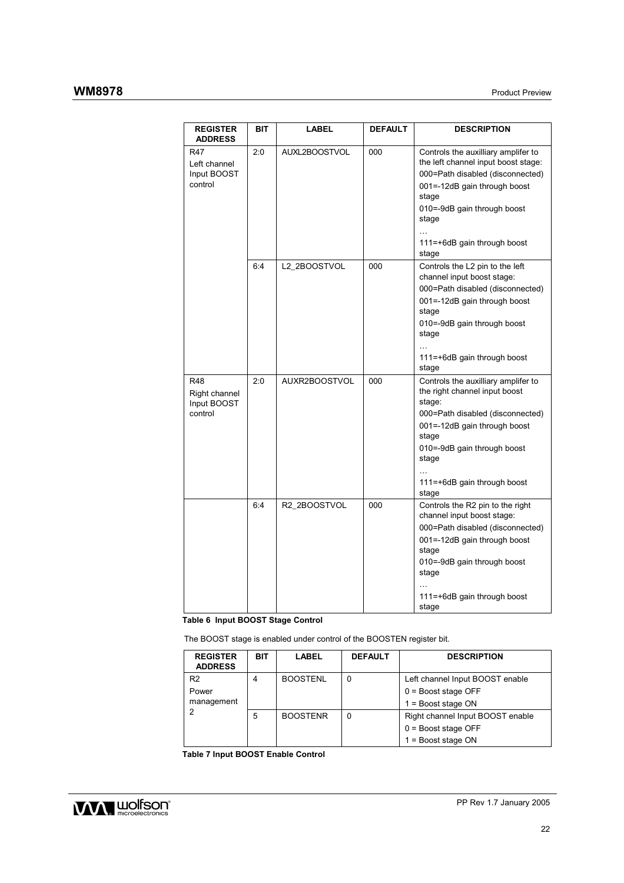| <b>REGISTER</b><br><b>ADDRESS</b>              | BIT | LABEL                    | <b>DEFAULT</b> | <b>DESCRIPTION</b>                                                                                                                                                                                                                                       |
|------------------------------------------------|-----|--------------------------|----------------|----------------------------------------------------------------------------------------------------------------------------------------------------------------------------------------------------------------------------------------------------------|
| R47<br>Left channel<br>Input BOOST<br>control  | 2:0 | AUXL2BOOSTVOL            | 000            | Controls the auxilliary amplifer to<br>the left channel input boost stage:<br>000=Path disabled (disconnected)<br>001=-12dB gain through boost<br>stage<br>010 =- 9dB gain through boost<br>stage<br>$\cdots$<br>111=+6dB gain through boost<br>stage    |
|                                                | 6:4 | L2 2BOOSTVOL             | 000            | Controls the L2 pin to the left<br>channel input boost stage:<br>000=Path disabled (disconnected)<br>001=-12dB gain through boost<br>stage<br>010=-9dB gain through boost<br>stage<br>.<br>111=+6dB gain through boost<br>stage                          |
| R48<br>Right channel<br>Input BOOST<br>control | 2:0 | AUXR2BOOSTVOL            | 000            | Controls the auxilliary amplifer to<br>the right channel input boost<br>stage:<br>000=Path disabled (disconnected)<br>001=-12dB gain through boost<br>stage<br>010=-9dB gain through boost<br>stage<br>$\ddotsc$<br>111=+6dB gain through boost<br>stage |
|                                                | 6:4 | R <sub>2</sub> 2BOOSTVOL | 000            | Controls the R2 pin to the right<br>channel input boost stage:<br>000=Path disabled (disconnected)<br>001=-12dB gain through boost<br>stage<br>010=-9dB gain through boost<br>stage<br>.<br>111=+6dB gain through boost<br>stage                         |

**Table 6 Input BOOST Stage Control** 

The BOOST stage is enabled under control of the BOOSTEN register bit.

| <b>REGISTER</b><br><b>ADDRESS</b> | <b>BIT</b> | <b>LABEL</b>    | <b>DEFAULT</b> | <b>DESCRIPTION</b>               |
|-----------------------------------|------------|-----------------|----------------|----------------------------------|
| R <sub>2</sub>                    | 4          | <b>BOOSTENL</b> | 0              | Left channel Input BOOST enable  |
| Power                             |            |                 |                | $0 =$ Boost stage OFF            |
| management                        |            |                 |                | $1 =$ Boost stage ON             |
| 2                                 | 5          | <b>BOOSTENR</b> | 0              | Right channel Input BOOST enable |
|                                   |            |                 |                | $0 =$ Boost stage OFF            |
|                                   |            |                 |                | $1 =$ Boost stage ON             |

**Table 7 Input BOOST Enable Control** 

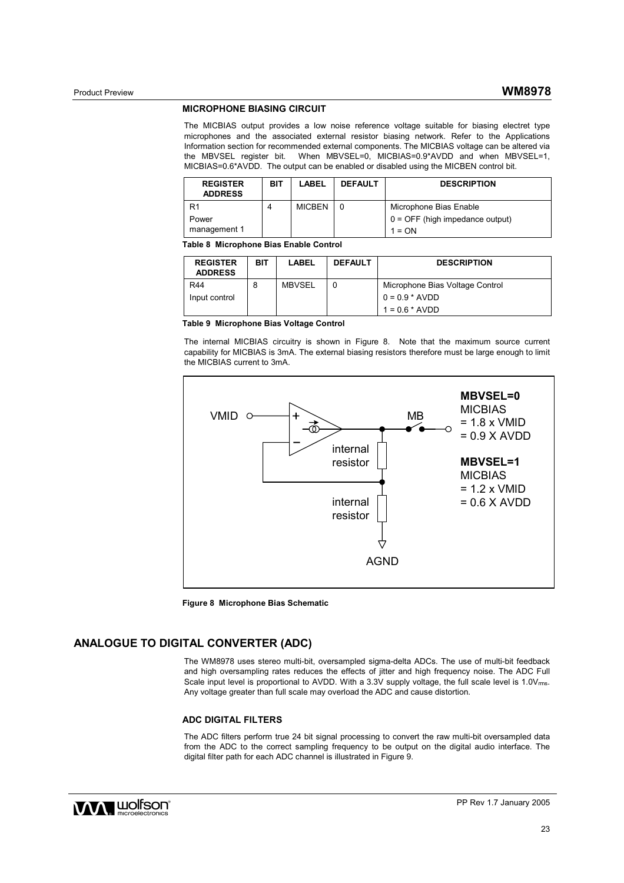#### **MICROPHONE BIASING CIRCUIT**

The MICBIAS output provides a low noise reference voltage suitable for biasing electret type microphones and the associated external resistor biasing network. Refer to the Applications Information section for recommended external components. The MICBIAS voltage can be altered via the MBVSEL register bit. When MBVSEL=0, MICBIAS=0.9\*AVDD and when MBVSEL=1, MICBIAS=0.6\*AVDD. The output can be enabled or disabled using the MICBEN control bit.

| <b>REGISTER</b><br><b>ADDRESS</b> | BIT | LABEL         | <b>DEFAULT</b> | <b>DESCRIPTION</b>                |
|-----------------------------------|-----|---------------|----------------|-----------------------------------|
| R1                                | 4   | <b>MICBEN</b> |                | Microphone Bias Enable            |
| Power                             |     |               |                | $0 =$ OFF (high impedance output) |
| management 1                      |     |               |                | $1 = ON$                          |

**Table 8 Microphone Bias Enable Control** 

| <b>REGISTER</b><br><b>ADDRESS</b> | BIT | LABEL  | <b>DEFAULT</b> | <b>DESCRIPTION</b>              |
|-----------------------------------|-----|--------|----------------|---------------------------------|
| <b>R44</b>                        | 8   | MBVSEL | 0              | Microphone Bias Voltage Control |
| Input control                     |     |        |                | $0 = 0.9$ * AVDD                |
|                                   |     |        |                | $1 = 0.6 * AVDD$                |

**Table 9 Microphone Bias Voltage Control** 

The internal MICBIAS circuitry is shown in Figure 8. Note that the maximum source current capability for MICBIAS is 3mA. The external biasing resistors therefore must be large enough to limit the MICBIAS current to 3mA.



**Figure 8 Microphone Bias Schematic** 

## **ANALOGUE TO DIGITAL CONVERTER (ADC)**

The WM8978 uses stereo multi-bit, oversampled sigma-delta ADCs. The use of multi-bit feedback and high oversampling rates reduces the effects of jitter and high frequency noise. The ADC Full Scale input level is proportional to AVDD. With a 3.3V supply voltage, the full scale level is 1.0Vrms. Any voltage greater than full scale may overload the ADC and cause distortion.

#### **ADC DIGITAL FILTERS**

The ADC filters perform true 24 bit signal processing to convert the raw multi-bit oversampled data from the ADC to the correct sampling frequency to be output on the digital audio interface. The digital filter path for each ADC channel is illustrated in Figure 9.

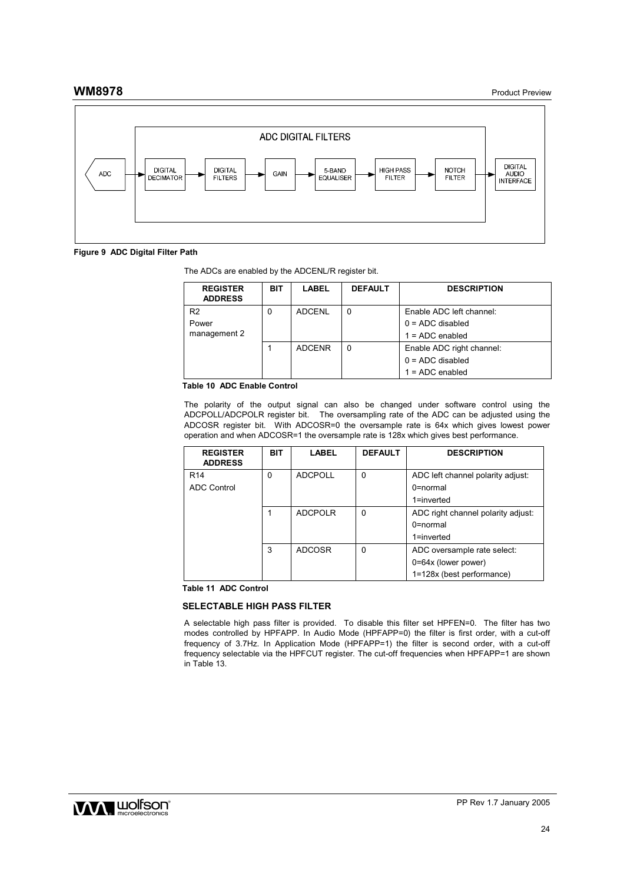**WM8978** Product Preview



#### **Figure 9 ADC Digital Filter Path**

The ADCs are enabled by the ADCENL/R register bit.

| <b>REGISTER</b><br><b>ADDRESS</b> | <b>BIT</b> | LABEL         | <b>DEFAULT</b> | <b>DESCRIPTION</b>        |
|-----------------------------------|------------|---------------|----------------|---------------------------|
| R <sub>2</sub>                    | 0          | <b>ADCENL</b> | 0              | Enable ADC left channel:  |
| Power                             |            |               |                | $0 = ADC$ disabled        |
| management 2                      |            |               |                | $1 = ADC$ enabled         |
|                                   |            | <b>ADCENR</b> |                | Enable ADC right channel: |
|                                   |            |               |                | $0 = ADC$ disabled        |
|                                   |            |               |                | $1 = ADC$ enabled         |

### **Table 10 ADC Enable Control**

The polarity of the output signal can also be changed under software control using the ADCPOLL/ADCPOLR register bit. The oversampling rate of the ADC can be adjusted using the ADCOSR register bit. With ADCOSR=0 the oversample rate is 64x which gives lowest power operation and when ADCOSR=1 the oversample rate is 128x which gives best performance.

| <b>REGISTER</b><br><b>ADDRESS</b> | <b>BIT</b> | <b>LABEL</b>   | <b>DEFAULT</b> | <b>DESCRIPTION</b>                 |
|-----------------------------------|------------|----------------|----------------|------------------------------------|
| <b>R14</b>                        | 0          | <b>ADCPOLL</b> | 0              | ADC left channel polarity adjust:  |
| <b>ADC Control</b>                |            |                |                | $0 = normal$                       |
|                                   |            |                |                | $1$ =inverted                      |
|                                   |            | <b>ADCPOLR</b> | 0              | ADC right channel polarity adjust: |
|                                   |            |                |                | $0 = normal$                       |
|                                   |            |                |                | $1$ =inverted                      |
|                                   | 3          | <b>ADCOSR</b>  | 0              | ADC oversample rate select:        |
|                                   |            |                |                | 0=64x (lower power)                |
|                                   |            |                |                | 1=128x (best performance)          |

**Table 11 ADC Control** 

#### **SELECTABLE HIGH PASS FILTER**

A selectable high pass filter is provided. To disable this filter set HPFEN=0. The filter has two modes controlled by HPFAPP. In Audio Mode (HPFAPP=0) the filter is first order, with a cut-off frequency of 3.7Hz. In Application Mode (HPFAPP=1) the filter is second order, with a cut-off frequency selectable via the HPFCUT register. The cut-off frequencies when HPFAPP=1 are shown in Table 13.

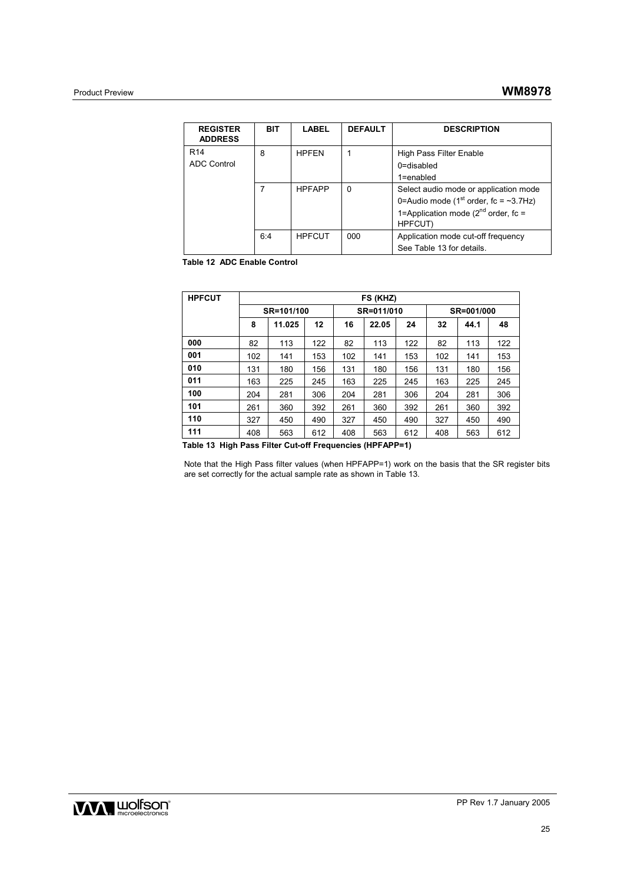| <b>REGISTER</b><br><b>ADDRESS</b> | <b>BIT</b> | <b>LABEL</b>  | <b>DEFAULT</b> | <b>DESCRIPTION</b>                                |
|-----------------------------------|------------|---------------|----------------|---------------------------------------------------|
| R <sub>14</sub>                   | 8          | <b>HPFEN</b>  |                | <b>High Pass Filter Enable</b>                    |
| <b>ADC Control</b>                |            |               |                | $0 =$ disabled                                    |
|                                   |            |               |                | $1 =$ enabled                                     |
|                                   |            | <b>HPFAPP</b> | 0              | Select audio mode or application mode             |
|                                   |            |               |                | 0=Audio mode ( $1st$ order, fc = ~3.7Hz)          |
|                                   |            |               |                | 1=Application mode ( $2nd$ order, fc =<br>HPFCUT) |
|                                   | 6:4        | <b>HPFCUT</b> | 000            | Application mode cut-off frequency                |
|                                   |            |               |                | See Table 13 for details.                         |

**Table 12 ADC Enable Control** 

| <b>HPFCUT</b> | FS (KHZ) |            |     |            |       |     |            |      |     |  |
|---------------|----------|------------|-----|------------|-------|-----|------------|------|-----|--|
|               |          | SR=101/100 |     | SR=011/010 |       |     | SR=001/000 |      |     |  |
|               | 8        | 11.025     | 12  | 16         | 22.05 | 24  | 32         | 44.1 | 48  |  |
| 000           | 82       | 113        | 122 | 82         | 113   | 122 | 82         | 113  | 122 |  |
| 001           | 102      | 141        | 153 | 102        | 141   | 153 | 102        | 141  | 153 |  |
| 010           | 131      | 180        | 156 | 131        | 180   | 156 | 131        | 180  | 156 |  |
| 011           | 163      | 225        | 245 | 163        | 225   | 245 | 163        | 225  | 245 |  |
| 100           | 204      | 281        | 306 | 204        | 281   | 306 | 204        | 281  | 306 |  |
| 101           | 261      | 360        | 392 | 261        | 360   | 392 | 261        | 360  | 392 |  |
| 110           | 327      | 450        | 490 | 327        | 450   | 490 | 327        | 450  | 490 |  |
| 111           | 408      | 563        | 612 | 408        | 563   | 612 | 408        | 563  | 612 |  |

**Table 13 High Pass Filter Cut-off Frequencies (HPFAPP=1)** 

Note that the High Pass filter values (when HPFAPP=1) work on the basis that the SR register bits are set correctly for the actual sample rate as shown in Table 13.

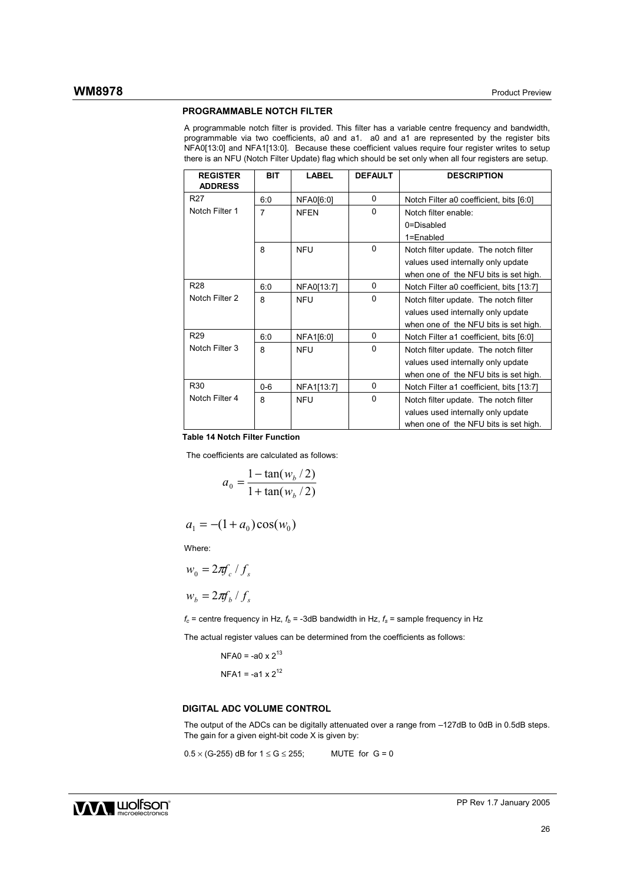#### **PROGRAMMABLE NOTCH FILTER**

A programmable notch filter is provided. This filter has a variable centre frequency and bandwidth, programmable via two coefficients, a0 and a1. a0 and a1 are represented by the register bits NFA0[13:0] and NFA1[13:0]. Because these coefficient values require four register writes to setup there is an NFU (Notch Filter Update) flag which should be set only when all four registers are setup.

| <b>REGISTER</b><br><b>ADDRESS</b> | <b>BIT</b>     | LABEL       | <b>DEFAULT</b> | <b>DESCRIPTION</b>                       |
|-----------------------------------|----------------|-------------|----------------|------------------------------------------|
| R <sub>27</sub>                   | 6:0            | NFA0[6:0]   | $\mathbf{0}$   | Notch Filter a0 coefficient, bits [6:0]  |
| Notch Filter 1                    | $\overline{7}$ | <b>NFEN</b> | $\Omega$       | Notch filter enable:                     |
|                                   |                |             |                | 0=Disabled                               |
|                                   |                |             |                | 1=Enabled                                |
|                                   | 8              | <b>NFU</b>  | $\Omega$       | Notch filter update. The notch filter    |
|                                   |                |             |                | values used internally only update       |
|                                   |                |             |                | when one of the NFU bits is set high.    |
| R <sub>28</sub>                   | 6:0            | NFA0[13:7]  | 0              | Notch Filter a0 coefficient, bits [13:7] |
| Notch Filter 2                    | 8              | <b>NFU</b>  | $\Omega$       | Notch filter update. The notch filter    |
|                                   |                |             |                | values used internally only update       |
|                                   |                |             |                | when one of the NFU bits is set high.    |
| R <sub>29</sub>                   | 6:0            | NFA1[6:0]   | $\Omega$       | Notch Filter a1 coefficient, bits [6:0]  |
| Notch Filter 3                    | 8              | <b>NFU</b>  | $\Omega$       | Notch filter update. The notch filter    |
|                                   |                |             |                | values used internally only update       |
|                                   |                |             |                | when one of the NFU bits is set high.    |
| R <sub>30</sub>                   | $0 - 6$        | NFA1[13:7]  | $\Omega$       | Notch Filter a1 coefficient, bits [13:7] |
| Notch Filter 4                    | 8              | <b>NFU</b>  | $\Omega$       | Notch filter update. The notch filter    |
|                                   |                |             |                | values used internally only update       |
|                                   |                |             |                | when one of the NFU bits is set high.    |

#### **Table 14 Notch Filter Function**

The coefficients are calculated as follows:

$$
a_0 = \frac{1 - \tan(w_b / 2)}{1 + \tan(w_b / 2)}
$$

$$
a_1 = -(1 + a_0)\cos(w_0)
$$

Where:

$$
w_0 = 2\pi f_c / f_s
$$

 $w_b = 2\pi f_b / f_s$ 

 $f_c$  = centre frequency in Hz,  $f_b$  = -3dB bandwidth in Hz,  $f_s$  = sample frequency in Hz

The actual register values can be determined from the coefficients as follows:

NFA0 = 
$$
-a0 \times 2^{13}
$$
  
NFA1 =  $-a1 \times 2^{12}$ 

#### **DIGITAL ADC VOLUME CONTROL**

The output of the ADCs can be digitally attenuated over a range from -127dB to 0dB in 0.5dB steps. The gain for a given eight-bit code X is given by:

 $0.5 \times$  (G-255) dB for  $1 \le G \le 255$ : MUTE for  $G = 0$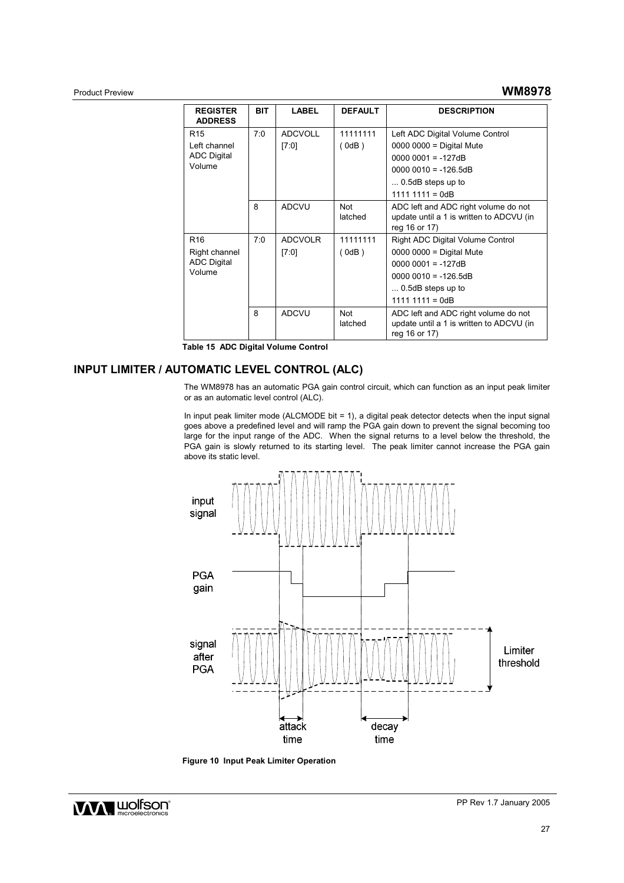## Product Preview **WM8978**

| <b>REGISTER</b><br><b>ADDRESS</b> | <b>BIT</b> | <b>LABEL</b>   | <b>DEFAULT</b>        | <b>DESCRIPTION</b>                                                                                |
|-----------------------------------|------------|----------------|-----------------------|---------------------------------------------------------------------------------------------------|
| R <sub>15</sub>                   | 7:0        | <b>ADCVOLL</b> | 11111111              | Left ADC Digital Volume Control                                                                   |
| Left channel                      |            | [7:0]          | (0dB)                 | $0000 0000 =$ Digital Mute                                                                        |
| <b>ADC Digital</b>                |            |                |                       | $00000001 = -127dB$                                                                               |
| Volume                            |            |                |                       | $00000010 = -126.5dB$                                                                             |
|                                   |            |                |                       | $\dots$ 0.5dB steps up to                                                                         |
|                                   |            |                |                       | $1111 1111 = OdB$                                                                                 |
|                                   | 8          | <b>ADCVU</b>   | <b>Not</b><br>latched | ADC left and ADC right volume do not<br>update until a 1 is written to ADCVU (in<br>reg 16 or 17) |
| R <sub>16</sub>                   | 7:0        | <b>ADCVOLR</b> | 11111111              | Right ADC Digital Volume Control                                                                  |
| Right channel                     |            | [7:0]          | (0dB)                 | $0000 0000 =$ Digital Mute                                                                        |
| <b>ADC Digital</b>                |            |                |                       | $00000001 = -127dB$                                                                               |
| Volume                            |            |                |                       | $00000010 = -126.5dB$                                                                             |
|                                   |            |                |                       | $\dots$ 0.5dB steps up to                                                                         |
|                                   |            |                |                       | $1111 1111 = OdB$                                                                                 |
|                                   | 8          | <b>ADCVU</b>   | <b>Not</b><br>latched | ADC left and ADC right volume do not<br>update until a 1 is written to ADCVU (in<br>reg 16 or 17) |

**Table 15 ADC Digital Volume Control** 

## **INPUT LIMITER / AUTOMATIC LEVEL CONTROL (ALC)**

The WM8978 has an automatic PGA gain control circuit, which can function as an input peak limiter or as an automatic level control (ALC).

In input peak limiter mode (ALCMODE bit = 1), a digital peak detector detects when the input signal goes above a predefined level and will ramp the PGA gain down to prevent the signal becoming too large for the input range of the ADC. When the signal returns to a level below the threshold, the PGA gain is slowly returned to its starting level. The peak limiter cannot increase the PGA gain above its static level.



**Figure 10 Input Peak Limiter Operation** 

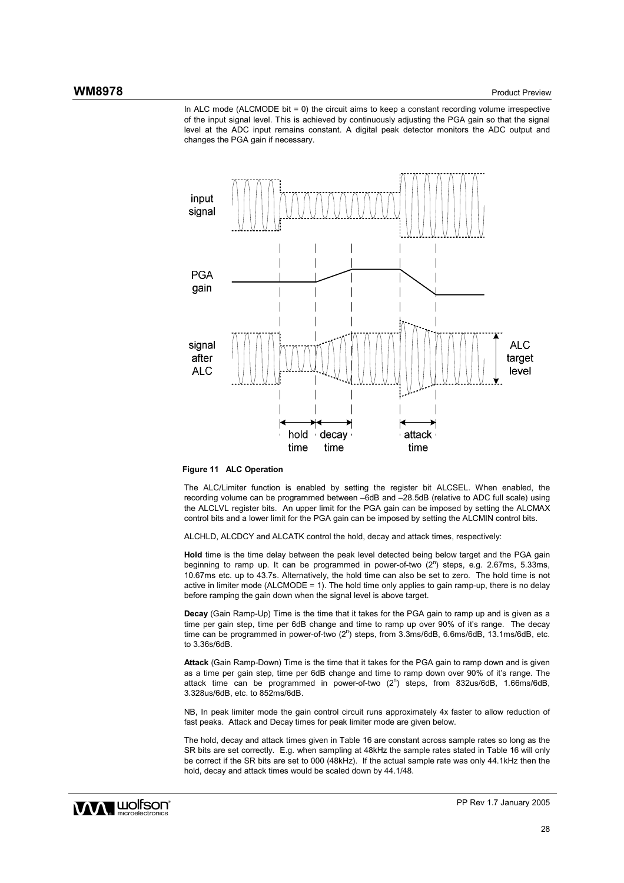In ALC mode (ALCMODE bit = 0) the circuit aims to keep a constant recording volume irrespective of the input signal level. This is achieved by continuously adjusting the PGA gain so that the signal level at the ADC input remains constant. A digital peak detector monitors the ADC output and changes the PGA gain if necessary.



#### **Figure 11 ALC Operation**

The ALC/Limiter function is enabled by setting the register bit ALCSEL. When enabled, the recording volume can be programmed between –6dB and –28.5dB (relative to ADC full scale) using the ALCLVL register bits. An upper limit for the PGA gain can be imposed by setting the ALCMAX control bits and a lower limit for the PGA gain can be imposed by setting the ALCMIN control bits.

ALCHLD, ALCDCY and ALCATK control the hold, decay and attack times, respectively:

**Hold** time is the time delay between the peak level detected being below target and the PGA gain beginning to ramp up. It can be programmed in power-of-two  $(2^n)$  steps, e.g. 2.67ms, 5.33ms, 10.67ms etc. up to 43.7s. Alternatively, the hold time can also be set to zero. The hold time is not active in limiter mode (ALCMODE = 1). The hold time only applies to gain ramp-up, there is no delay before ramping the gain down when the signal level is above target.

**Decay** (Gain Ramp-Up) Time is the time that it takes for the PGA gain to ramp up and is given as a time per gain step, time per 6dB change and time to ramp up over 90% of it's range. The decay time can be programmed in power-of-two  $(2^n)$  steps, from 3.3ms/6dB, 6.6ms/6dB, 13.1ms/6dB, etc. to 3.36s/6dB.

**Attack** (Gain Ramp-Down) Time is the time that it takes for the PGA gain to ramp down and is given as a time per gain step, time per 6dB change and time to ramp down over 90% of it's range. The attack time can be programmed in power-of-two (2<sup>n</sup>) steps, from 832us/6dB, 1.66ms/6dB, 3.328us/6dB, etc. to 852ms/6dB.

NB, In peak limiter mode the gain control circuit runs approximately 4x faster to allow reduction of fast peaks. Attack and Decay times for peak limiter mode are given below.

The hold, decay and attack times given in Table 16 are constant across sample rates so long as the SR bits are set correctly. E.g. when sampling at 48kHz the sample rates stated in Table 16 will only be correct if the SR bits are set to 000 (48kHz). If the actual sample rate was only 44.1kHz then the hold, decay and attack times would be scaled down by 44.1/48.

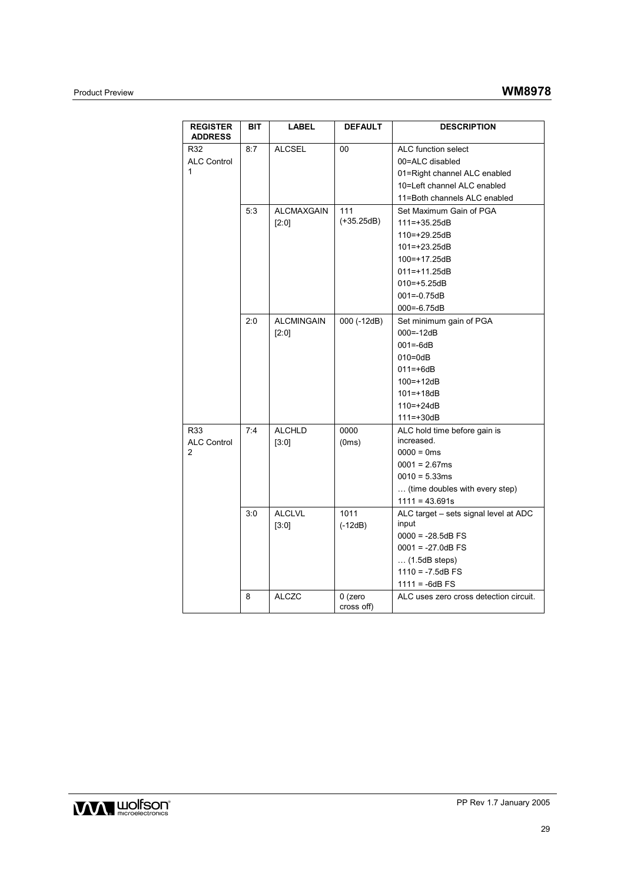# Product Preview **WM8978**

| <b>REGISTER</b><br><b>ADDRESS</b> | BIT | <b>LABEL</b>           | <b>DEFAULT</b>        | <b>DESCRIPTION</b>                             |
|-----------------------------------|-----|------------------------|-----------------------|------------------------------------------------|
| R32                               | 8:7 | <b>ALCSEL</b>          | 00                    | <b>ALC</b> function select                     |
| <b>ALC Control</b>                |     |                        |                       | 00=ALC disabled                                |
| 1                                 |     |                        |                       | 01=Right channel ALC enabled                   |
|                                   |     |                        |                       | 10=Left channel ALC enabled                    |
|                                   |     |                        |                       | 11=Both channels ALC enabled                   |
|                                   | 5:3 | <b>ALCMAXGAIN</b>      | 111                   | Set Maximum Gain of PGA                        |
|                                   |     | [2:0]                  | $(+35.25dB)$          | $111 = +35.25dB$                               |
|                                   |     |                        |                       | 110=+29.25dB                                   |
|                                   |     |                        |                       | $101 = +23.25dB$                               |
|                                   |     |                        |                       | 100=+17.25dB                                   |
|                                   |     |                        |                       | $011 = +11.25dB$                               |
|                                   |     |                        |                       | $010=+5.25dB$                                  |
|                                   |     |                        |                       | $001 = -0.75dB$                                |
|                                   |     |                        |                       | $000 = -6.75dB$                                |
|                                   | 2:0 | <b>ALCMINGAIN</b>      | 000 (-12dB)           | Set minimum gain of PGA                        |
|                                   |     | [2:0]                  |                       | 000 =- 12dB                                    |
|                                   |     |                        |                       | $001 = -6dB$                                   |
|                                   |     |                        |                       | $010 = 0dB$                                    |
|                                   |     |                        |                       | $011 = +6dB$                                   |
|                                   |     |                        |                       | $100 = +12dB$                                  |
|                                   |     |                        |                       | $101 = +18dB$                                  |
|                                   |     |                        |                       | $110 = +24dB$                                  |
|                                   |     |                        |                       | $111 = +30dB$                                  |
| R33                               | 7:4 | <b>ALCHLD</b>          | 0000                  | ALC hold time before gain is                   |
| <b>ALC Control</b>                |     | [3:0]                  | (0ms)                 | increased.                                     |
| 2                                 |     |                        |                       | $0000 = 0$ ms                                  |
|                                   |     |                        |                       | $0001 = 2.67ms$                                |
|                                   |     |                        |                       | $0010 = 5.33ms$                                |
|                                   |     |                        |                       | (time doubles with every step)                 |
|                                   |     |                        |                       | $1111 = 43.691s$                               |
|                                   | 3:0 | <b>ALCLVL</b><br>[3:0] | 1011<br>$(-12dB)$     | ALC target - sets signal level at ADC<br>input |
|                                   |     |                        |                       | $0000 = -28.5dB$ FS                            |
|                                   |     |                        |                       | $0001 = -27.0dB$ FS                            |
|                                   |     |                        |                       | $\ldots$ (1.5dB steps)                         |
|                                   |     |                        |                       | $1110 = -7.5dB$ FS                             |
|                                   |     |                        |                       | $1111 = -6dB$ FS                               |
|                                   | 8   | <b>ALCZC</b>           | 0 (zero<br>cross off) | ALC uses zero cross detection circuit.         |

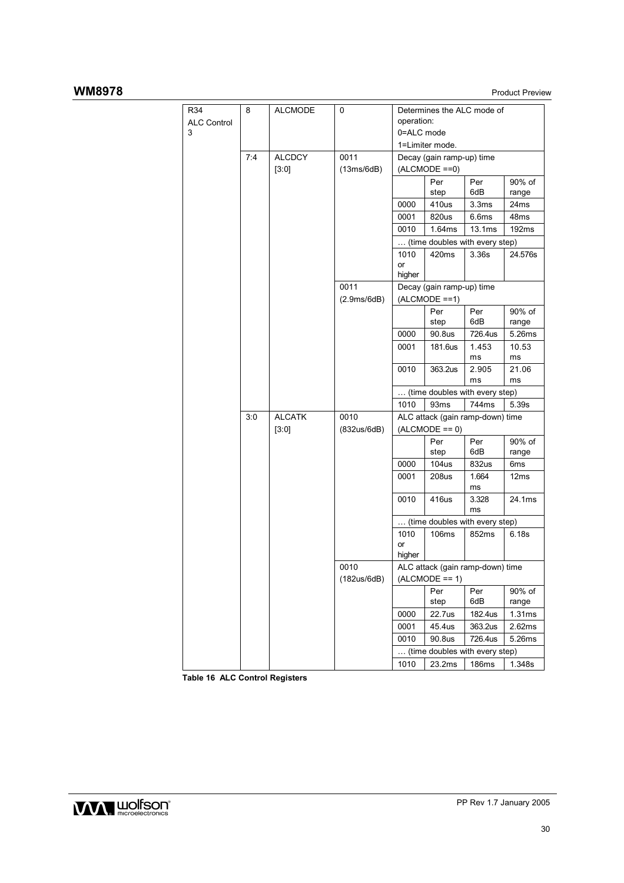# **WM8978** Product Preview

| R34                | 8   | <b>ALCMODE</b> | 0           |            |                           | Determines the ALC mode of       |                 |
|--------------------|-----|----------------|-------------|------------|---------------------------|----------------------------------|-----------------|
| <b>ALC Control</b> |     |                |             | operation: |                           |                                  |                 |
| 3                  |     |                |             | 0=ALC mode |                           |                                  |                 |
|                    |     |                |             |            | 1=Limiter mode.           |                                  |                 |
|                    | 7:4 | <b>ALCDCY</b>  | 0011        |            | Decay (gain ramp-up) time |                                  |                 |
|                    |     | [3:0]          | (13ms/6dB)  |            | $(ALCMODE == 0)$          |                                  |                 |
|                    |     |                |             |            | Per<br>step               | Per<br>6dB                       | 90% of<br>range |
|                    |     |                |             | 0000       | 410us                     | 3.3ms                            | 24ms            |
|                    |     |                |             | 0001       | 820us                     | 6.6ms                            | 48ms            |
|                    |     |                |             | 0010       | 1.64ms                    | 13.1ms                           | 192ms           |
|                    |     |                |             |            |                           | (time doubles with every step)   |                 |
|                    |     |                |             | 1010       | 420ms                     | 3.36s                            | 24.576s         |
|                    |     |                |             | or         |                           |                                  |                 |
|                    |     |                |             | higher     |                           |                                  |                 |
|                    |     |                | 0011        |            | Decay (gain ramp-up) time |                                  |                 |
|                    |     |                | (2.9ms/6dB) |            | $(ALCMODE == 1)$          |                                  |                 |
|                    |     |                |             |            | Per                       | Per                              | 90% of          |
|                    |     |                |             |            | step                      | 6dB                              | range           |
|                    |     |                |             | 0000       | 90.8us                    | 726.4us                          | 5.26ms          |
|                    |     |                |             | 0001       | 181.6us                   | 1.453<br>ms                      | 10.53<br>ms     |
|                    |     |                |             | 0010       | 363.2us                   | 2.905                            | 21.06           |
|                    |     |                |             |            |                           | ms                               | ms              |
|                    |     |                |             |            |                           | (time doubles with every step)   |                 |
|                    |     |                |             | 1010       | 93 <sub>ms</sub>          | 744ms                            | 5.39s           |
|                    | 3:0 | <b>ALCATK</b>  | 0010        |            |                           | ALC attack (gain ramp-down) time |                 |
|                    |     | [3:0]          | (832us/6dB) |            | $(ALCMODE == 0)$          |                                  |                 |
|                    |     |                |             |            | Per                       | Per                              | 90% of          |
|                    |     |                |             |            | step                      | 6dB                              | range           |
|                    |     |                |             | 0000       | 104 <sub>us</sub>         | 832us                            | 6ms             |
|                    |     |                |             | 0001       | 208us                     | 1.664                            | 12ms            |
|                    |     |                |             |            |                           | ms                               |                 |
|                    |     |                |             | 0010       | 416us                     | 3.328<br>ms                      | 24.1ms          |
|                    |     |                |             |            |                           | (time doubles with every step)   |                 |
|                    |     |                |             | 1010       | 106ms                     | 852ms                            | 6.18s           |
|                    |     |                |             | or         |                           |                                  |                 |
|                    |     |                |             | higher     |                           |                                  |                 |
|                    |     |                | 0010        |            |                           | ALC attack (gain ramp-down) time |                 |
|                    |     |                | (182us/6dB) |            | $(ALCMODE == 1)$          |                                  |                 |
|                    |     |                |             |            | Per                       | Per                              | 90% of          |
|                    |     |                |             |            | step                      | 6dB                              | range           |
|                    |     |                |             | 0000       | 22.7us                    | 182.4us                          | 1.31ms          |
|                    |     |                |             | 0001       | 45.4us                    | 363.2us                          | 2.62ms          |
|                    |     |                |             | 0010       | 90.8us                    | 726.4us                          | 5.26ms          |
|                    |     |                |             |            |                           | (time doubles with every step)   |                 |
|                    |     |                |             | 1010       | 23.2ms                    | 186ms                            | 1.348s          |

**Table 16 ALC Control Registers** 

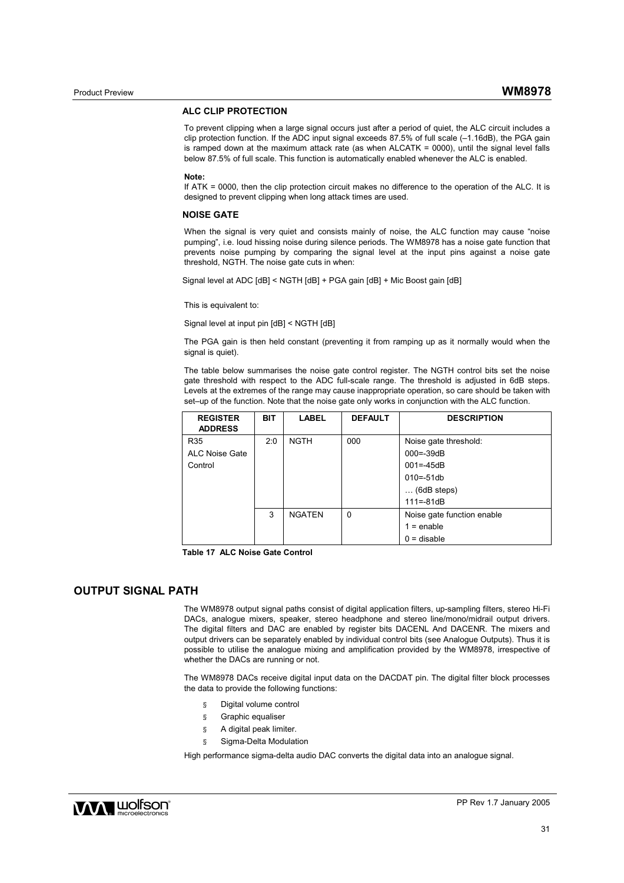#### **ALC CLIP PROTECTION**

To prevent clipping when a large signal occurs just after a period of quiet, the ALC circuit includes a clip protection function. If the ADC input signal exceeds 87.5% of full scale (–1.16dB), the PGA gain is ramped down at the maximum attack rate (as when ALCATK = 0000), until the signal level falls below 87.5% of full scale. This function is automatically enabled whenever the ALC is enabled.

#### **Note:**

If ATK = 0000, then the clip protection circuit makes no difference to the operation of the ALC. It is designed to prevent clipping when long attack times are used.

#### **NOISE GATE**

When the signal is very quiet and consists mainly of noise, the ALC function may cause "noise pumping", i.e. loud hissing noise during silence periods. The WM8978 has a noise gate function that prevents noise pumping by comparing the signal level at the input pins against a noise gate threshold, NGTH. The noise gate cuts in when:

Signal level at ADC [dB] < NGTH [dB] + PGA gain [dB] + Mic Boost gain [dB]

This is equivalent to:

Signal level at input pin [dB] < NGTH [dB]

The PGA gain is then held constant (preventing it from ramping up as it normally would when the signal is quiet).

The table below summarises the noise gate control register. The NGTH control bits set the noise gate threshold with respect to the ADC full-scale range. The threshold is adjusted in 6dB steps. Levels at the extremes of the range may cause inappropriate operation, so care should be taken with set–up of the function. Note that the noise gate only works in conjunction with the ALC function.

| <b>REGISTER</b><br><b>ADDRESS</b> | <b>BIT</b> | <b>LABEL</b>  | <b>DEFAULT</b> | <b>DESCRIPTION</b>         |
|-----------------------------------|------------|---------------|----------------|----------------------------|
| R35                               | 2:0        | <b>NGTH</b>   | 000            | Noise gate threshold:      |
| ALC Noise Gate                    |            |               |                | $000 = -39dB$              |
| Control                           |            |               |                | $001 = -45dB$              |
|                                   |            |               |                | $010 = -51db$              |
|                                   |            |               |                | $\ldots$ (6dB steps)       |
|                                   |            |               |                | $111 = -81dB$              |
|                                   | 3          | <b>NGATEN</b> | $\Omega$       | Noise gate function enable |
|                                   |            |               |                | $1 =$ enable               |
|                                   |            |               |                | $0 =$ disable              |

**Table 17 ALC Noise Gate Control** 

## **OUTPUT SIGNAL PATH**

The WM8978 output signal paths consist of digital application filters, up-sampling filters, stereo Hi-Fi DACs, analogue mixers, speaker, stereo headphone and stereo line/mono/midrail output drivers. The digital filters and DAC are enabled by register bits DACENL And DACENR. The mixers and output drivers can be separately enabled by individual control bits (see Analogue Outputs). Thus it is possible to utilise the analogue mixing and amplification provided by the WM8978, irrespective of whether the DACs are running or not.

The WM8978 DACs receive digital input data on the DACDAT pin. The digital filter block processes the data to provide the following functions:

- § Digital volume control
- § Graphic equaliser
- § A digital peak limiter.
- § Sigma-Delta Modulation

High performance sigma-delta audio DAC converts the digital data into an analogue signal.

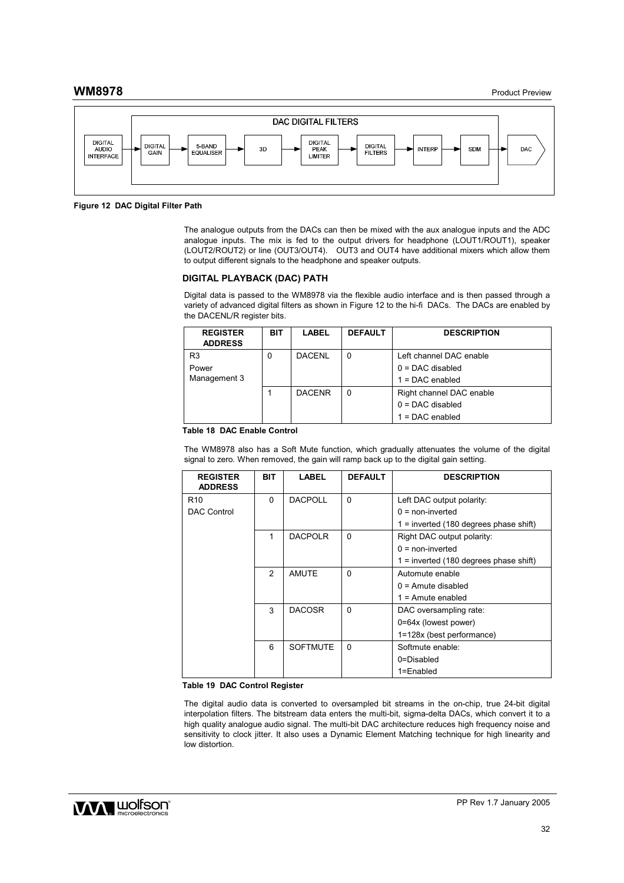

**Figure 12 DAC Digital Filter Path** 

The analogue outputs from the DACs can then be mixed with the aux analogue inputs and the ADC analogue inputs. The mix is fed to the output drivers for headphone (LOUT1/ROUT1), speaker (LOUT2/ROUT2) or line (OUT3/OUT4). OUT3 and OUT4 have additional mixers which allow them to output different signals to the headphone and speaker outputs.

#### **DIGITAL PLAYBACK (DAC) PATH**

Digital data is passed to the WM8978 via the flexible audio interface and is then passed through a variety of advanced digital filters as shown in Figure 12 to the hi-fi DACs. The DACs are enabled by the DACENL/R register bits.

| <b>REGISTER</b><br><b>ADDRESS</b> | <b>BIT</b> | <b>LABEL</b>  | <b>DEFAULT</b> | <b>DESCRIPTION</b>       |
|-----------------------------------|------------|---------------|----------------|--------------------------|
| R <sub>3</sub>                    | 0          | <b>DACENL</b> | 0              | Left channel DAC enable  |
| Power                             |            |               |                | $0 = DAC$ disabled       |
| Management 3                      |            |               |                | $1 = DAC$ enabled        |
|                                   |            | <b>DACENR</b> |                | Right channel DAC enable |
|                                   |            |               |                | $0 = DAC$ disabled       |
|                                   |            |               |                | $1 = DAC$ enabled        |

#### **Table 18 DAC Enable Control**

The WM8978 also has a Soft Mute function, which gradually attenuates the volume of the digital signal to zero. When removed, the gain will ramp back up to the digital gain setting.

| <b>REGISTER</b><br><b>ADDRESS</b> | <b>BIT</b>     | <b>LABEL</b>    | <b>DEFAULT</b> | <b>DESCRIPTION</b>                       |
|-----------------------------------|----------------|-----------------|----------------|------------------------------------------|
| R <sub>10</sub>                   | $\Omega$       | <b>DACPOLL</b>  | $\Omega$       | Left DAC output polarity:                |
| <b>DAC Control</b>                |                |                 |                | $0 =$ non-inverted                       |
|                                   |                |                 |                | $1 =$ inverted (180 degrees phase shift) |
|                                   | 1              | <b>DACPOLR</b>  | $\Omega$       | Right DAC output polarity:               |
|                                   |                |                 |                | $0 =$ non-inverted                       |
|                                   |                |                 |                | $1 =$ inverted (180 degrees phase shift) |
|                                   | $\mathfrak{p}$ | <b>AMUTE</b>    | $\Omega$       | Automute enable                          |
|                                   |                |                 |                | $0 =$ Amute disabled                     |
|                                   |                |                 |                | $1 =$ Amute enabled                      |
|                                   | 3              | <b>DACOSR</b>   | $\Omega$       | DAC oversampling rate:                   |
|                                   |                |                 |                | 0=64x (lowest power)                     |
|                                   |                |                 |                | 1=128x (best performance)                |
|                                   | 6              | <b>SOFTMUTE</b> | $\Omega$       | Softmute enable:                         |
|                                   |                |                 |                | 0=Disabled                               |
|                                   |                |                 |                | 1=Enabled                                |

#### **Table 19 DAC Control Register**

The digital audio data is converted to oversampled bit streams in the on-chip, true 24-bit digital interpolation filters. The bitstream data enters the multi-bit, sigma-delta DACs, which convert it to a high quality analogue audio signal. The multi-bit DAC architecture reduces high frequency noise and sensitivity to clock jitter. It also uses a Dynamic Element Matching technique for high linearity and low distortion.

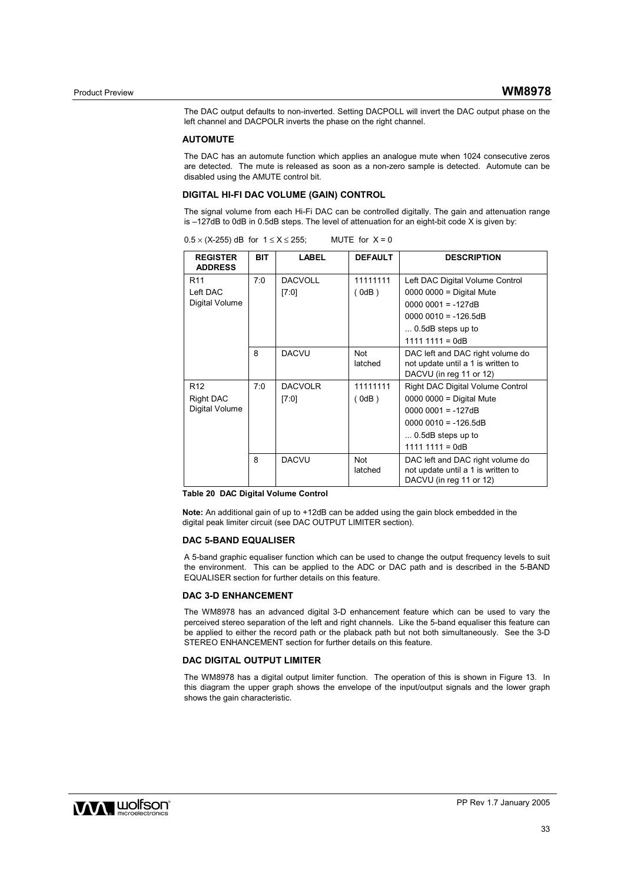The DAC output defaults to non-inverted. Setting DACPOLL will invert the DAC output phase on the left channel and DACPOLR inverts the phase on the right channel.

#### **AUTOMUTE**

The DAC has an automute function which applies an analogue mute when 1024 consecutive zeros are detected. The mute is released as soon as a non-zero sample is detected. Automute can be disabled using the AMUTE control bit.

#### **DIGITAL HI-FI DAC VOLUME (GAIN) CONTROL**

The signal volume from each Hi-Fi DAC can be controlled digitally. The gain and attenuation range is –127dB to 0dB in 0.5dB steps. The level of attenuation for an eight-bit code X is given by:

 $0.5 \times (X-255)$  dB for  $1 \le X \le 255$ ; MUTE for  $X = 0$ 

| <b>REGISTER</b><br><b>ADDRESS</b> | <b>BIT</b> | <b>LABEL</b>   | <b>DEFAULT</b> | <b>DESCRIPTION</b>                 |
|-----------------------------------|------------|----------------|----------------|------------------------------------|
| R <sub>11</sub>                   | 7:0        | <b>DACVOLL</b> | 11111111       | Left DAC Digital Volume Control    |
| Left DAC                          |            | [7:0]          | (0dB)          | $0000 0000 =$ Digital Mute         |
| Digital Volume                    |            |                |                | $00000001 = -127dB$                |
|                                   |            |                |                | $00000010 = -126.5dB$              |
|                                   |            |                |                | $\dots$ 0.5dB steps up to          |
|                                   |            |                |                | $1111 1111 = OdB$                  |
|                                   | 8          | <b>DACVU</b>   | <b>Not</b>     | DAC left and DAC right volume do   |
|                                   |            |                | latched        | not update until a 1 is written to |
|                                   |            |                |                | DACVU (in reg 11 or 12)            |
| R <sub>12</sub>                   | 7:0        | <b>DACVOLR</b> | 11111111       | Right DAC Digital Volume Control   |
| Right DAC                         |            | [7:0]          | $($ 0dB)       | $0000 0000 =$ Digital Mute         |
| Digital Volume                    |            |                |                | $00000001 = -127dB$                |
|                                   |            |                |                | $00000010 = -126.5dB$              |
|                                   |            |                |                | $\dots$ 0.5dB steps up to          |
|                                   |            |                |                | $1111 1111 = OdB$                  |
|                                   | 8          | <b>DACVU</b>   | <b>Not</b>     | DAC left and DAC right volume do   |
|                                   |            |                | latched        | not update until a 1 is written to |
|                                   |            |                |                | DACVU (in reg 11 or 12)            |

**Table 20 DAC Digital Volume Control** 

Note: An additional gain of up to +12dB can be added using the gain block embedded in the digital peak limiter circuit (see DAC OUTPUT LIMITER section).

#### **DAC 5-BAND EQUALISER**

A 5-band graphic equaliser function which can be used to change the output frequency levels to suit the environment. This can be applied to the ADC or DAC path and is described in the 5-BAND EQUALISER section for further details on this feature.

#### **DAC 3-D ENHANCEMENT**

The WM8978 has an advanced digital 3-D enhancement feature which can be used to vary the perceived stereo separation of the left and right channels. Like the 5-band equaliser this feature can be applied to either the record path or the plaback path but not both simultaneously. See the 3-D STEREO ENHANCEMENT section for further details on this feature.

#### **DAC DIGITAL OUTPUT LIMITER**

The WM8978 has a digital output limiter function. The operation of this is shown in Figure 13. In this diagram the upper graph shows the envelope of the input/output signals and the lower graph shows the gain characteristic.

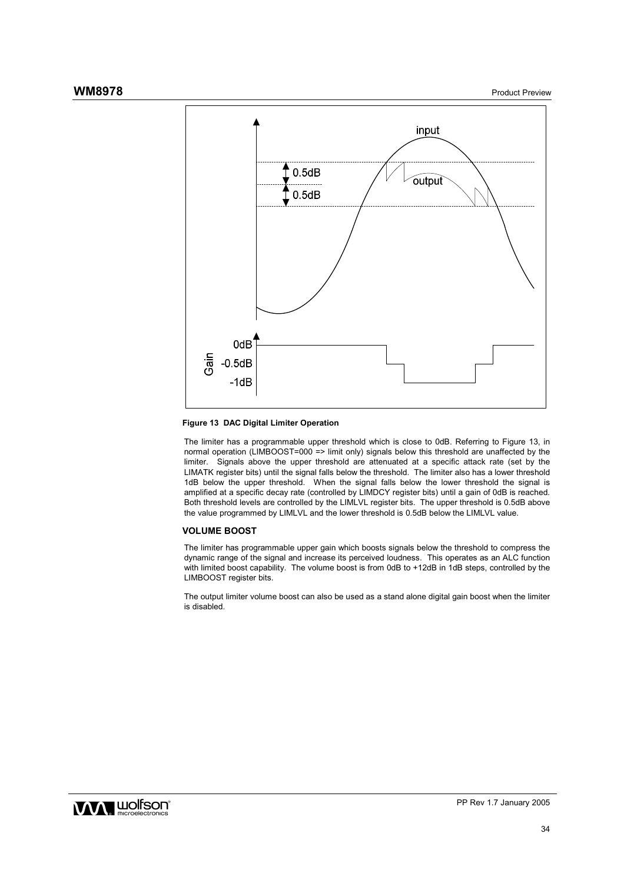

#### **Figure 13 DAC Digital Limiter Operation**

The limiter has a programmable upper threshold which is close to 0dB. Referring to Figure 13, in normal operation (LIMBOOST=000 => limit only) signals below this threshold are unaffected by the limiter. Signals above the upper threshold are attenuated at a specific attack rate (set by the LIMATK register bits) until the signal falls below the threshold. The limiter also has a lower threshold 1dB below the upper threshold. When the signal falls below the lower threshold the signal is amplified at a specific decay rate (controlled by LIMDCY register bits) until a gain of 0dB is reached. Both threshold levels are controlled by the LIMLVL register bits. The upper threshold is 0.5dB above the value programmed by LIMLVL and the lower threshold is 0.5dB below the LIMLVL value.

### **VOLUME BOOST**

The limiter has programmable upper gain which boosts signals below the threshold to compress the dynamic range of the signal and increase its perceived loudness. This operates as an ALC function with limited boost capability. The volume boost is from 0dB to +12dB in 1dB steps, controlled by the LIMBOOST register bits.

The output limiter volume boost can also be used as a stand alone digital gain boost when the limiter is disabled.

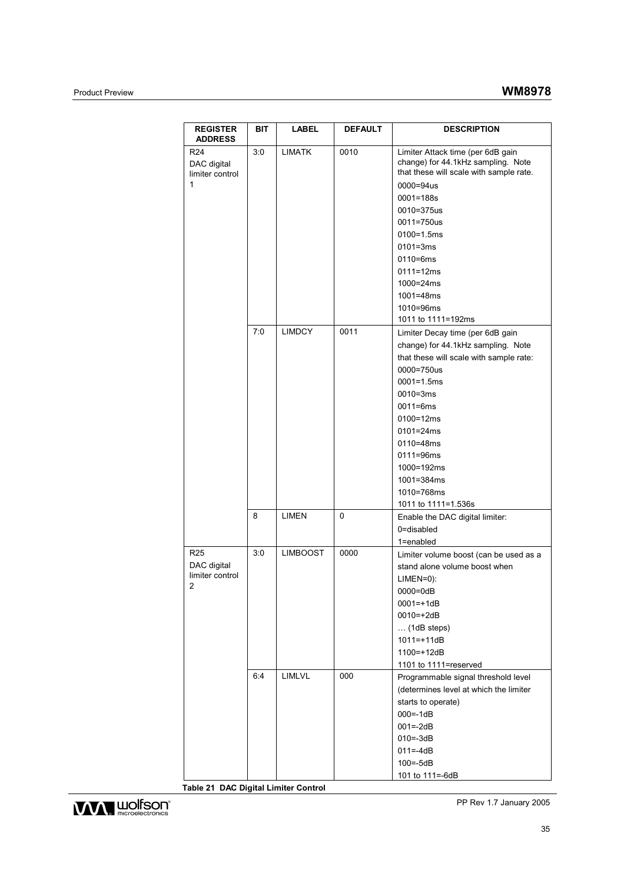| <b>REGISTER</b><br><b>ADDRESS</b>                      | BIT | <b>LABEL</b>    | <b>DEFAULT</b> | <b>DESCRIPTION</b>                                                                                                                                                                                                                                                                                                  |
|--------------------------------------------------------|-----|-----------------|----------------|---------------------------------------------------------------------------------------------------------------------------------------------------------------------------------------------------------------------------------------------------------------------------------------------------------------------|
| R <sub>24</sub><br>DAC digital<br>limiter control<br>1 | 3:0 | <b>LIMATK</b>   | 0010           | Limiter Attack time (per 6dB gain<br>change) for 44.1kHz sampling. Note<br>that these will scale with sample rate.<br>0000=94us<br>$0001 = 188s$<br>0010=375us<br>0011=750us<br>$0100 = 1.5ms$<br>$0101 = 3ms$<br>$0110 = 6ms$<br>$0111 = 12ms$<br>1000=24ms<br>$1001 = 48ms$<br>1010=96ms<br>1011 to 1111=192ms    |
|                                                        | 7:0 | <b>LIMDCY</b>   | 0011           | Limiter Decay time (per 6dB gain<br>change) for 44.1kHz sampling. Note<br>that these will scale with sample rate:<br>0000=750us<br>$0001 = 1.5$ ms<br>$0010 = 3ms$<br>$0011 = 6ms$<br>$0100 = 12ms$<br>$0101 = 24ms$<br>0110=48ms<br>0111=96ms<br>1000=192ms<br>$1001 = 384ms$<br>1010=768ms<br>1011 to 1111=1.536s |
|                                                        | 8   | <b>LIMEN</b>    | 0              | Enable the DAC digital limiter:<br>0=disabled<br>1=enabled                                                                                                                                                                                                                                                          |
| R <sub>25</sub><br>DAC digital<br>limiter control<br>2 | 3:0 | <b>LIMBOOST</b> | 0000           | Limiter volume boost (can be used as a<br>stand alone volume boost when<br>$LIMEN=0$ :<br>0000=0dB<br>$0001 = +1dB$<br>$0010=+2dB$<br>$\ldots$ (1dB steps)<br>$1011 = +11dB$<br>1100=+12dB<br>1101 to 1111=reserved                                                                                                 |
|                                                        | 6:4 | LIMLVL          | 000            | Programmable signal threshold level<br>(determines level at which the limiter<br>starts to operate)<br>$000 = -1dB$<br>$001 = -2dB$<br>$010 = -3dB$<br>$011 = -4dB$<br>$100 = -5dB$<br>101 to 111=-6dB                                                                                                              |

**Table 21 DAC Digital Limiter Control** 

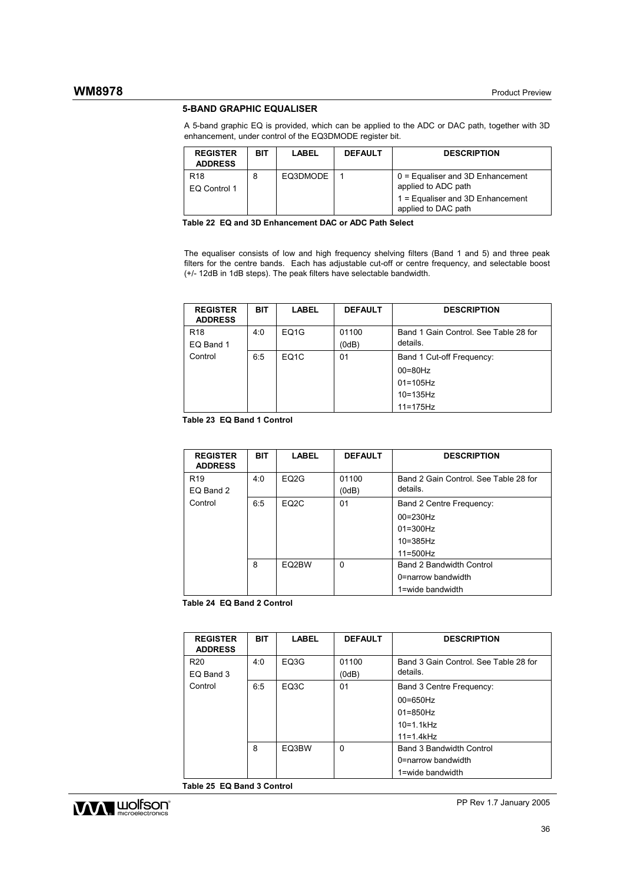#### **5-BAND GRAPHIC EQUALISER**

A 5-band graphic EQ is provided, which can be applied to the ADC or DAC path, together with 3D enhancement, under control of the EQ3DMODE register bit.

| <b>REGISTER</b><br><b>ADDRESS</b> | BIT | <b>LABEL</b> | <b>DEFAULT</b> | <b>DESCRIPTION</b>                                        |
|-----------------------------------|-----|--------------|----------------|-----------------------------------------------------------|
| R <sub>18</sub><br>EQ Control 1   | 8   | EQ3DMODE     |                | $0 =$ Equaliser and 3D Enhancement<br>applied to ADC path |
|                                   |     |              |                | 1 = Equaliser and 3D Enhancement<br>applied to DAC path   |

**Table 22 EQ and 3D Enhancement DAC or ADC Path Select** 

The equaliser consists of low and high frequency shelving filters (Band 1 and 5) and three peak filters for the centre bands. Each has adjustable cut-off or centre frequency, and selectable boost (+/- 12dB in 1dB steps). The peak filters have selectable bandwidth.

| <b>REGISTER</b><br><b>ADDRESS</b> | BIT | <b>LABEL</b>      | <b>DEFAULT</b> | <b>DESCRIPTION</b>                    |
|-----------------------------------|-----|-------------------|----------------|---------------------------------------|
| R <sub>18</sub>                   | 4:0 | EQ <sub>1</sub> G | 01100          | Band 1 Gain Control, See Table 28 for |
| EQ Band 1                         |     |                   | (0dB)          | details.                              |
| Control                           | 6:5 | EQ <sub>1</sub> C | 01             | Band 1 Cut-off Frequency:             |
|                                   |     |                   |                | $00=80$ Hz                            |
|                                   |     |                   |                | $01 = 105$ Hz                         |
|                                   |     |                   |                | $10=135$ Hz                           |
|                                   |     |                   |                | $11=175$ Hz                           |

**Table 23 EQ Band 1 Control** 

| <b>REGISTER</b><br><b>ADDRESS</b> | <b>BIT</b> | <b>LABEL</b>      | <b>DEFAULT</b> | <b>DESCRIPTION</b>                                |
|-----------------------------------|------------|-------------------|----------------|---------------------------------------------------|
| R <sub>19</sub><br>EQ Band 2      | 4:0        | EQ <sub>2</sub> G | 01100<br>(0dB) | Band 2 Gain Control, See Table 28 for<br>details. |
| Control                           | 6:5        | EQ <sub>2</sub> C | 01             | Band 2 Centre Frequency:                          |
|                                   |            |                   |                | $00 = 230$ Hz                                     |
|                                   |            |                   |                | $01 = 300$ Hz                                     |
|                                   |            |                   |                | $10=385$ Hz                                       |
|                                   |            |                   |                | $11=500$ Hz                                       |
|                                   | 8          | EQ2BW             | $\Omega$       | Band 2 Bandwidth Control                          |
|                                   |            |                   |                | 0=narrow bandwidth                                |
|                                   |            |                   |                | 1=wide bandwidth                                  |

**Table 24 EQ Band 2 Control** 

| <b>REGISTER</b><br><b>ADDRESS</b> | <b>BIT</b> | <b>LABEL</b> | <b>DEFAULT</b> | <b>DESCRIPTION</b>                                |
|-----------------------------------|------------|--------------|----------------|---------------------------------------------------|
| R <sub>20</sub><br>EQ Band 3      | 4:0        | EQ3G         | 01100<br>(0dB) | Band 3 Gain Control, See Table 28 for<br>details. |
|                                   |            |              |                |                                                   |
| Control                           | 6:5        | EQ3C         | 01             | Band 3 Centre Frequency:                          |
|                                   |            |              |                | $00=650$ Hz                                       |
|                                   |            |              |                | $01 = 850$ Hz                                     |
|                                   |            |              |                | $10 = 1.1$ kHz                                    |
|                                   |            |              |                | $11=1.4$ kHz                                      |
|                                   | 8          | EQ3BW        | $\Omega$       | Band 3 Bandwidth Control                          |
|                                   |            |              |                | 0=narrow bandwidth                                |
|                                   |            |              |                | 1=wide bandwidth                                  |

**Table 25 EQ Band 3 Control** 

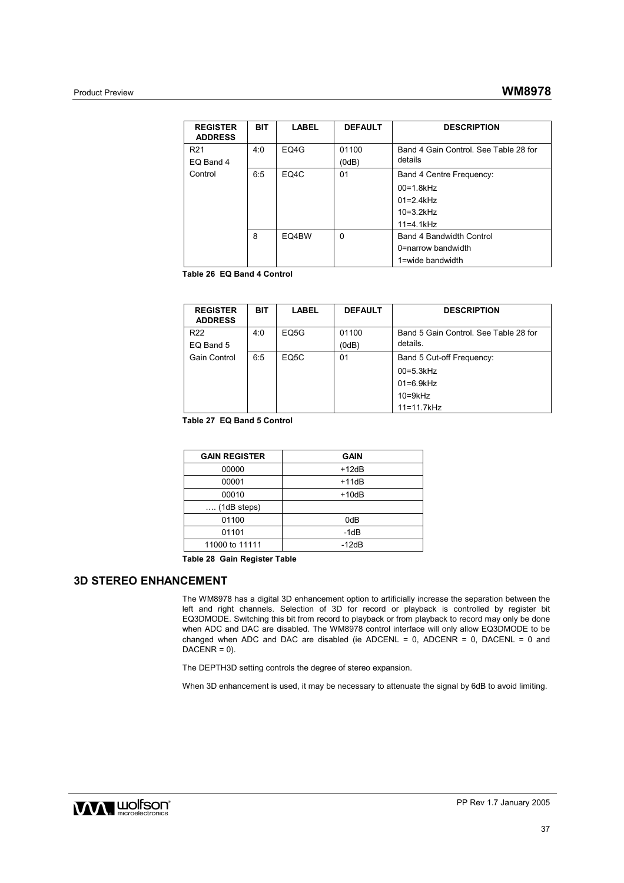| <b>REGISTER</b><br><b>ADDRESS</b> | <b>BIT</b> | <b>LABEL</b> | <b>DEFAULT</b> | <b>DESCRIPTION</b>                               |
|-----------------------------------|------------|--------------|----------------|--------------------------------------------------|
| R <sub>21</sub><br>EQ Band 4      | 4:0        | EQ4G         | 01100<br>(0dB) | Band 4 Gain Control, See Table 28 for<br>details |
| Control                           | 6:5        | EQ4C         | 01             | Band 4 Centre Frequency:                         |
|                                   |            |              |                | $00 = 1.8$ kHz                                   |
|                                   |            |              |                | $01 = 2.4$ kHz                                   |
|                                   |            |              |                | $10=3.2$ kHz                                     |
|                                   |            |              |                | $11 = 4.1$ kHz                                   |
|                                   | 8          | EQ4BW        | 0              | Band 4 Bandwidth Control                         |
|                                   |            |              |                | 0=narrow bandwidth                               |
|                                   |            |              |                | 1=wide bandwidth                                 |

**Table 26 EQ Band 4 Control** 

| <b>REGISTER</b><br><b>ADDRESS</b> | <b>BIT</b> | <b>LABEL</b>      | <b>DEFAULT</b> | <b>DESCRIPTION</b>                    |
|-----------------------------------|------------|-------------------|----------------|---------------------------------------|
| R <sub>22</sub>                   | 4:0        | EQ5G              | 01100          | Band 5 Gain Control. See Table 28 for |
| EQ Band 5                         |            |                   | (0dB)          | details.                              |
| Gain Control                      | 6:5        | EQ <sub>5</sub> C | 01             | Band 5 Cut-off Frequency:             |
|                                   |            |                   |                | $00=5.3$ kHz                          |
|                                   |            |                   |                | $01=6.9$ kHz                          |
|                                   |            |                   |                | $10 = 9kHz$                           |
|                                   |            |                   |                | 11=11.7kHz                            |

**Table 27 EQ Band 5 Control** 

| <b>GAIN REGISTER</b> | <b>GAIN</b> |
|----------------------|-------------|
| 00000                | $+12dB$     |
| 00001                | $+11dB$     |
| 00010                | $+10dB$     |
| $\ldots$ (1dB steps) |             |
| 01100                | 0dB         |
| 01101                | -1dB        |
| 11000 to 11111       | $-12dB$     |

**Table 28 Gain Register Table** 

## **3D STEREO ENHANCEMENT**

The WM8978 has a digital 3D enhancement option to artificially increase the separation between the left and right channels. Selection of 3D for record or playback is controlled by register bit EQ3DMODE. Switching this bit from record to playback or from playback to record may only be done when ADC and DAC are disabled. The WM8978 control interface will only allow EQ3DMODE to be changed when ADC and DAC are disabled (ie ADCENL =  $0$ , ADCENR =  $0$ , DACENL =  $0$  and  $DACENR = 0$ ).

The DEPTH3D setting controls the degree of stereo expansion.

When 3D enhancement is used, it may be necessary to attenuate the signal by 6dB to avoid limiting.

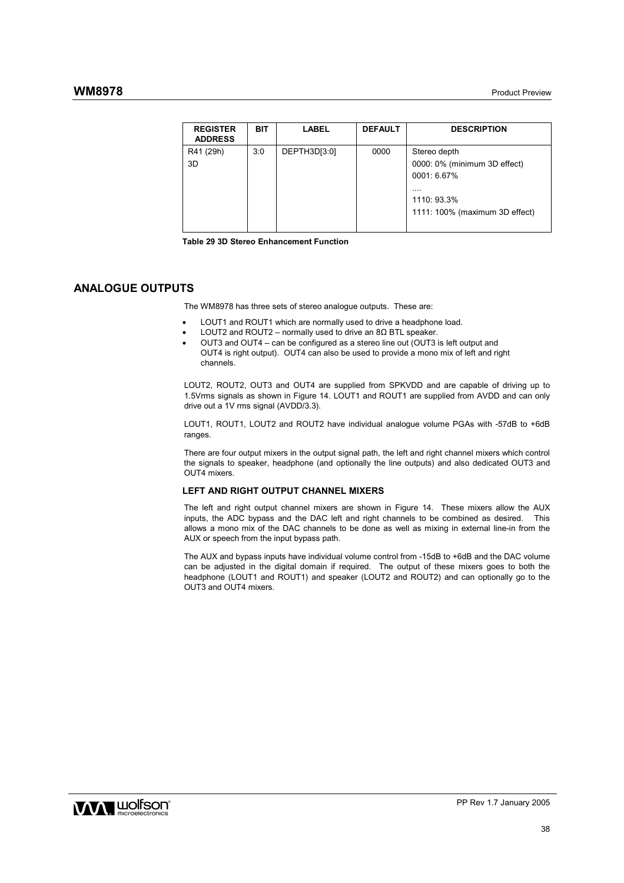| <b>REGISTER</b><br><b>ADDRESS</b> | BIT | LABEL        | <b>DEFAULT</b> | <b>DESCRIPTION</b>             |
|-----------------------------------|-----|--------------|----------------|--------------------------------|
| R41 (29h)                         | 3:0 | DEPTH3D[3:0] | 0000           | Stereo depth                   |
| 3D                                |     |              |                | 0000: 0% (minimum 3D effect)   |
|                                   |     |              |                | 0001: 6.67%                    |
|                                   |     |              |                |                                |
|                                   |     |              |                | 1110: 93.3%                    |
|                                   |     |              |                | 1111: 100% (maximum 3D effect) |
|                                   |     |              |                |                                |

**Table 29 3D Stereo Enhancement Function** 

## **ANALOGUE OUTPUTS**

The WM8978 has three sets of stereo analogue outputs. These are:

- LOUT1 and ROUT1 which are normally used to drive a headphone load.
- LOUT2 and ROUT2 normally used to drive an  $8Ω$  BTL speaker.
- OUT3 and OUT4 can be configured as a stereo line out (OUT3 is left output and OUT4 is right output). OUT4 can also be used to provide a mono mix of left and right channels.

LOUT2, ROUT2, OUT3 and OUT4 are supplied from SPKVDD and are capable of driving up to 1.5Vrms signals as shown in Figure 14. LOUT1 and ROUT1 are supplied from AVDD and can only drive out a 1V rms signal (AVDD/3.3).

LOUT1, ROUT1, LOUT2 and ROUT2 have individual analogue volume PGAs with -57dB to +6dB ranges.

There are four output mixers in the output signal path, the left and right channel mixers which control the signals to speaker, headphone (and optionally the line outputs) and also dedicated OUT3 and OUT4 mixers.

### **LEFT AND RIGHT OUTPUT CHANNEL MIXERS**

The left and right output channel mixers are shown in Figure 14. These mixers allow the AUX inputs, the ADC bypass and the DAC left and right channels to be combined as desired. This allows a mono mix of the DAC channels to be done as well as mixing in external line-in from the AUX or speech from the input bypass path.

The AUX and bypass inputs have individual volume control from -15dB to +6dB and the DAC volume can be adjusted in the digital domain if required. The output of these mixers goes to both the headphone (LOUT1 and ROUT1) and speaker (LOUT2 and ROUT2) and can optionally go to the OUT3 and OUT4 mixers.

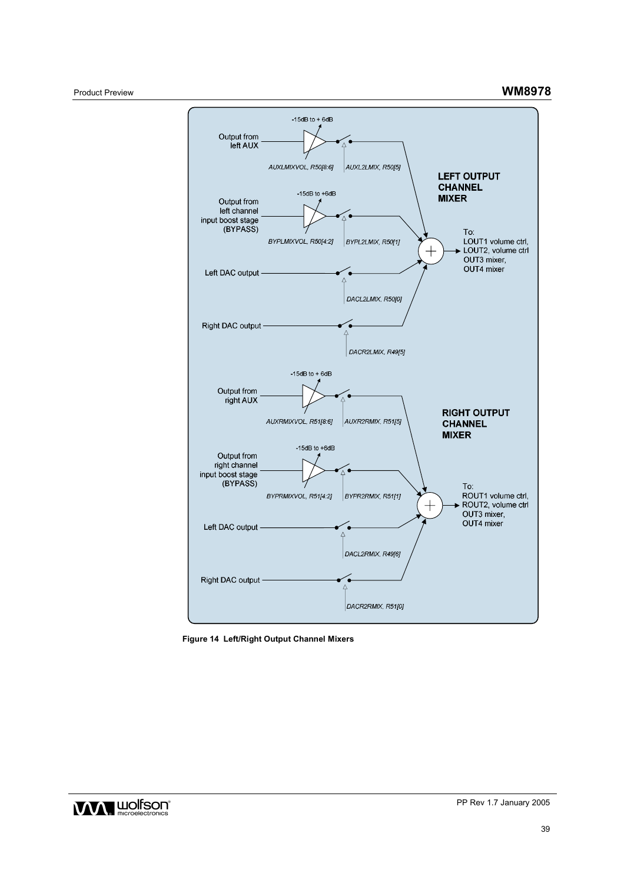



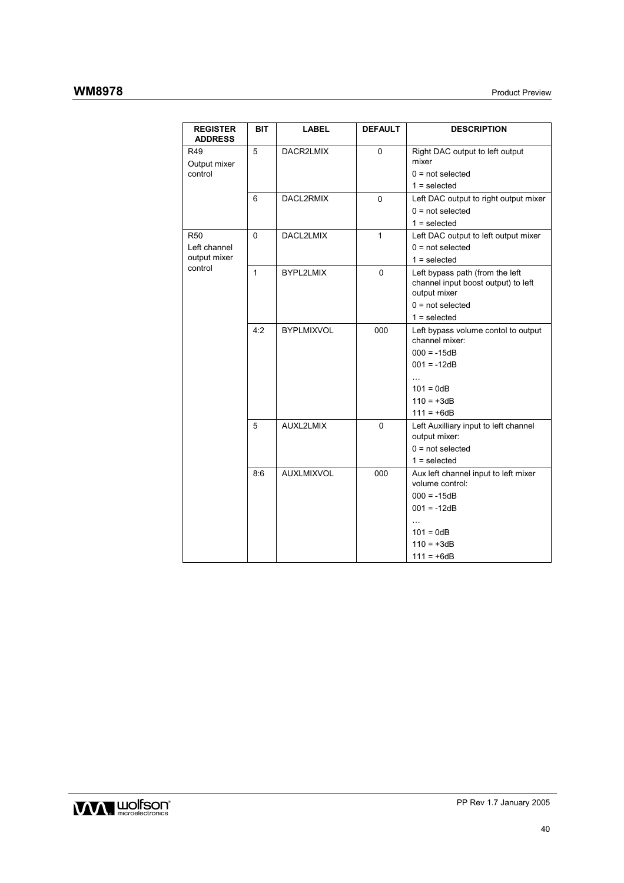| <b>REGISTER</b><br><b>ADDRESS</b> | BIT         | <b>LABEL</b>      | <b>DEFAULT</b> | <b>DESCRIPTION</b>                                                                     |
|-----------------------------------|-------------|-------------------|----------------|----------------------------------------------------------------------------------------|
| R49<br>Output mixer               | 5           | DACR2LMIX         | 0              | Right DAC output to left output<br>mixer                                               |
| control                           |             |                   |                | $0 = not selected$                                                                     |
|                                   |             |                   |                | $1 = selected$                                                                         |
|                                   | 6           | DACL2RMIX         | 0              | Left DAC output to right output mixer                                                  |
|                                   |             |                   |                | $0 = not selected$                                                                     |
|                                   |             |                   |                | $1 = selected$                                                                         |
| <b>R50</b>                        | $\mathbf 0$ | DACL2LMIX         | $\mathbf{1}$   | Left DAC output to left output mixer                                                   |
| Left channel                      |             |                   |                | $0 = not selected$                                                                     |
| output mixer                      |             |                   |                | $1 = selected$                                                                         |
| control                           | 1           | BYPL2LMIX         | 0              | Left bypass path (from the left<br>channel input boost output) to left<br>output mixer |
|                                   |             |                   |                | $0 = not selected$                                                                     |
|                                   |             |                   |                | $1 = selected$                                                                         |
|                                   | 4:2         | <b>BYPLMIXVOL</b> | 000            | Left bypass volume contol to output<br>channel mixer:                                  |
|                                   |             |                   |                | $000 = -15dB$                                                                          |
|                                   |             |                   |                | $001 = -12dB$                                                                          |
|                                   |             |                   |                | $\ddotsc$                                                                              |
|                                   |             |                   |                | $101 = 0dB$                                                                            |
|                                   |             |                   |                | $110 = +3dB$                                                                           |
|                                   |             |                   |                | $111 = +6dB$                                                                           |
|                                   | 5           | AUXL2LMIX         | 0              | Left Auxilliary input to left channel<br>output mixer:                                 |
|                                   |             |                   |                | $0 = not selected$                                                                     |
|                                   |             |                   |                | $1 =$ selected                                                                         |
|                                   | 8:6         | <b>AUXLMIXVOL</b> | 000            | Aux left channel input to left mixer<br>volume control:                                |
|                                   |             |                   |                | $000 = -15dB$                                                                          |
|                                   |             |                   |                | $001 = -12dB$                                                                          |
|                                   |             |                   |                | $\ddotsc$                                                                              |
|                                   |             |                   |                | $101 = 0dB$                                                                            |
|                                   |             |                   |                | $110 = +3dB$                                                                           |
|                                   |             |                   |                | $111 = +6dB$                                                                           |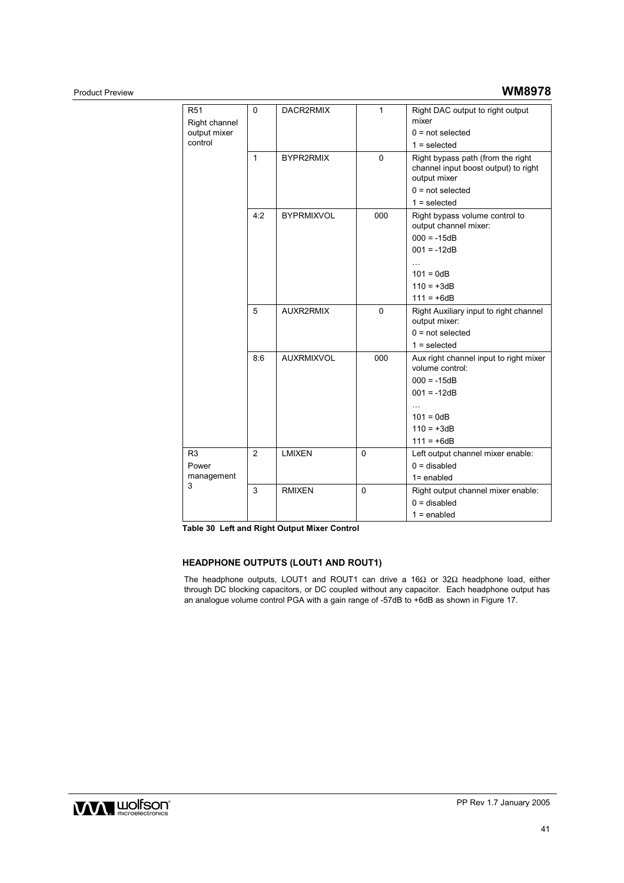## Product Preview **WM8978**

| R <sub>51</sub><br>Right channel<br>output mixer<br>control | 0              | DACR2RMIX         | 1           | Right DAC output to right output<br>mixer<br>$0 = not selected$<br>$1 = selected$                                                                      |
|-------------------------------------------------------------|----------------|-------------------|-------------|--------------------------------------------------------------------------------------------------------------------------------------------------------|
|                                                             | 1              | BYPR2RMIX         | 0           | Right bypass path (from the right<br>channel input boost output) to right<br>output mixer<br>$0 = not selected$<br>$1 = selected$                      |
|                                                             | 4:2            | <b>BYPRMIXVOL</b> | 000         | Right bypass volume control to<br>output channel mixer:<br>$000 = -15dB$<br>$001 = -12dB$<br>.<br>$101 = 0dB$<br>$110 = +3dB$<br>$111 = +6dB$          |
|                                                             | 5              | AUXR2RMIX         | 0           | Right Auxiliary input to right channel<br>output mixer:<br>$0 = not selected$<br>$1 = selected$                                                        |
|                                                             | 8:6            | <b>AUXRMIXVOL</b> | 000         | Aux right channel input to right mixer<br>volume control:<br>$000 = -15dB$<br>$001 = -12dB$<br>$\cdots$<br>$101 = 0dB$<br>$110 = +3dB$<br>$111 = +6dB$ |
| R3<br>Power<br>management                                   | $\overline{2}$ | <b>LMIXEN</b>     | 0           | Left output channel mixer enable:<br>$0 =$ disabled<br>$1 =$ enabled                                                                                   |
| 3                                                           | 3              | <b>RMIXEN</b>     | $\mathbf 0$ | Right output channel mixer enable:<br>$0 =$ disabled<br>$1 =$ enabled                                                                                  |

**Table 30 Left and Right Output Mixer Control** 

## **HEADPHONE OUTPUTS (LOUT1 AND ROUT1)**

The headphone outputs, LOUT1 and ROUT1 can drive a 16Ω or 32Ω headphone load, either through DC blocking capacitors, or DC coupled without any capacitor. Each headphone output has an analogue volume control PGA with a gain range of -57dB to +6dB as shown in Figure 17.

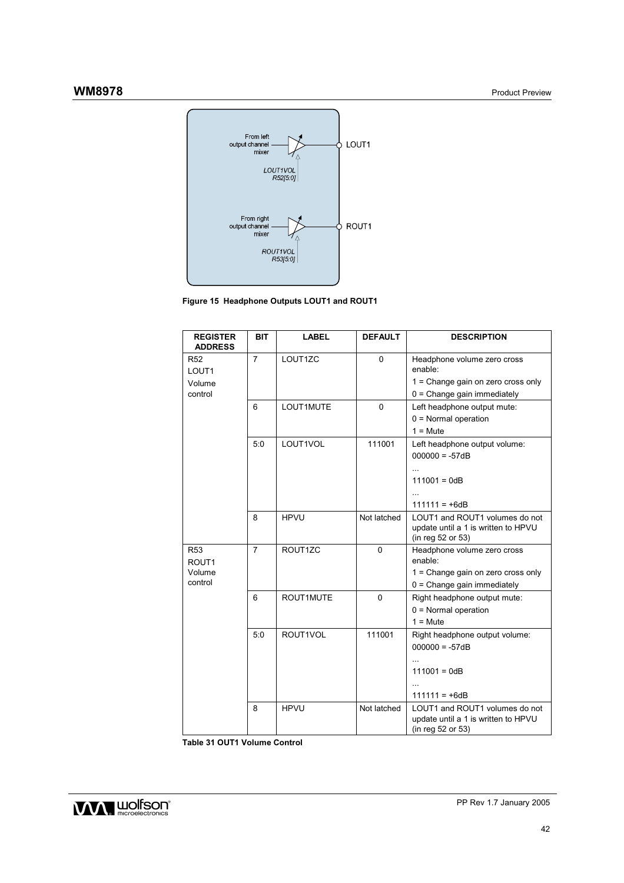



| <b>REGISTER</b><br><b>ADDRESS</b>    | BIT            | LABEL       | <b>DEFAULT</b> | <b>DESCRIPTION</b>                                                                         |
|--------------------------------------|----------------|-------------|----------------|--------------------------------------------------------------------------------------------|
| R <sub>52</sub><br>LOUT <sub>1</sub> | $\overline{7}$ | LOUT1ZC     | 0              | Headphone volume zero cross<br>enable:                                                     |
| Volume                               |                |             |                | 1 = Change gain on zero cross only                                                         |
| control                              |                |             |                | $0 =$ Change gain immediately                                                              |
|                                      | 6              | LOUT1MUTE   | $\mathbf 0$    | Left headphone output mute:                                                                |
|                                      |                |             |                | $0 =$ Normal operation                                                                     |
|                                      |                |             |                | $1 =$ Mute                                                                                 |
|                                      | 5:0            | LOUT1VOL    | 111001         | Left headphone output volume:                                                              |
|                                      |                |             |                | $000000 = -57dB$                                                                           |
|                                      |                |             |                |                                                                                            |
|                                      |                |             |                | $111001 = 0dB$                                                                             |
|                                      |                |             |                |                                                                                            |
|                                      |                |             |                | $111111 = +6dB$                                                                            |
|                                      | 8              | <b>HPVU</b> | Not latched    | LOUT1 and ROUT1 volumes do not<br>update until a 1 is written to HPVU<br>(in reg 52 or 53) |
| R <sub>53</sub><br>ROUT <sub>1</sub> | $\overline{7}$ | ROUT1ZC     | $\overline{0}$ | Headphone volume zero cross<br>enable:                                                     |
| Volume                               |                |             |                | 1 = Change gain on zero cross only                                                         |
| control                              |                |             |                | $0 =$ Change gain immediately                                                              |
|                                      | 6              | ROUT1MUTE   | $\mathbf{0}$   | Right headphone output mute:                                                               |
|                                      |                |             |                | $0 =$ Normal operation                                                                     |
|                                      |                |             |                | $1 =$ Mute                                                                                 |
|                                      | 5:0            | ROUT1VOL    | 111001         | Right headphone output volume:                                                             |
|                                      |                |             |                | $000000 = -57dB$                                                                           |
|                                      |                |             |                |                                                                                            |
|                                      |                |             |                | $111001 = 0dB$                                                                             |
|                                      |                |             |                |                                                                                            |
|                                      |                |             |                | $111111 = +6dB$                                                                            |
|                                      | 8              | <b>HPVU</b> | Not latched    | LOUT1 and ROUT1 volumes do not<br>update until a 1 is written to HPVU<br>(in reg 52 or 53) |

**Table 31 OUT1 Volume Control**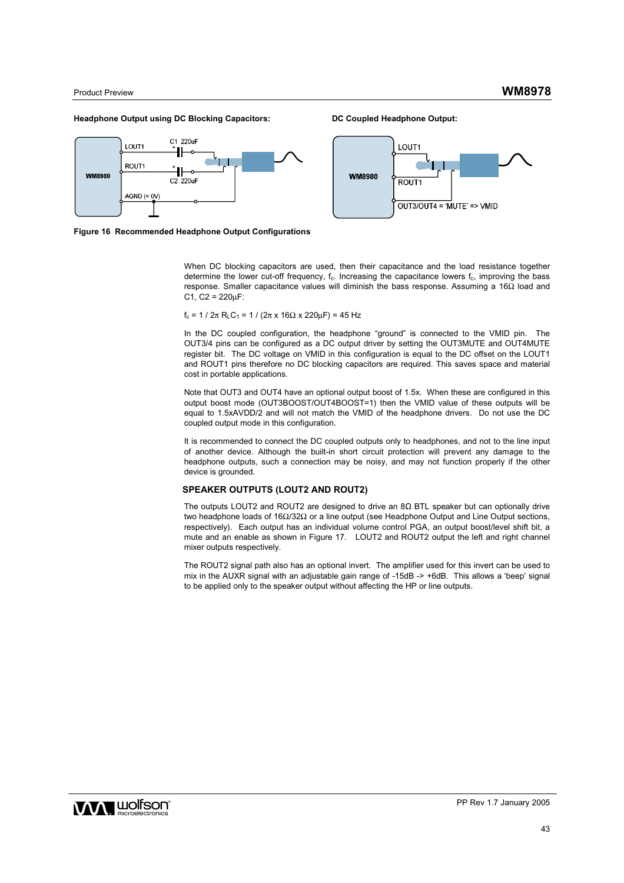### **Headphone Output using DC Blocking Capacitors: DC Coupled Headphone Output:**





**Figure 16 Recommended Headphone Output Configurations** 

When DC blocking capacitors are used, then their capacitance and the load resistance together determine the lower cut-off frequency,  $f_c$ . Increasing the capacitance lowers  $f_c$ , improving the bass response. Smaller capacitance values will diminish the bass response. Assuming a 16Ω load and  $C1, C2 = 220 \mu F$ :

 $f_c = 1 / 2π R<sub>L</sub>C<sub>1</sub> = 1 / (2π x 16Ω x 220μF) = 45 Hz$ 

In the DC coupled configuration, the headphone "ground" is connected to the VMID pin. The OUT3/4 pins can be configured as a DC output driver by setting the OUT3MUTE and OUT4MUTE register bit. The DC voltage on VMID in this configuration is equal to the DC offset on the LOUT1 and ROUT1 pins therefore no DC blocking capacitors are required. This saves space and material cost in portable applications.

Note that OUT3 and OUT4 have an optional output boost of 1.5x. When these are configured in this output boost mode (OUT3BOOST/OUT4BOOST=1) then the VMID value of these outputs will be equal to 1.5xAVDD/2 and will not match the VMID of the headphone drivers. Do not use the DC coupled output mode in this configuration.

It is recommended to connect the DC coupled outputs only to headphones, and not to the line input of another device. Although the built-in short circuit protection will prevent any damage to the headphone outputs, such a connection may be noisy, and may not function properly if the other device is grounded.

## **SPEAKER OUTPUTS (LOUT2 AND ROUT2)**

The outputs LOUT2 and ROUT2 are designed to drive an 8Ω BTL speaker but can optionally drive two headphone loads of 16Ω/32Ω or a line output (see Headphone Output and Line Output sections, respectively). Each output has an individual volume control PGA, an output boost/level shift bit, a mute and an enable as shown in Figure 17. LOUT2 and ROUT2 output the left and right channel mixer outputs respectively.

The ROUT2 signal path also has an optional invert. The amplifier used for this invert can be used to mix in the AUXR signal with an adjustable gain range of -15dB -> +6dB. This allows a 'beep' signal to be applied only to the speaker output without affecting the HP or line outputs.

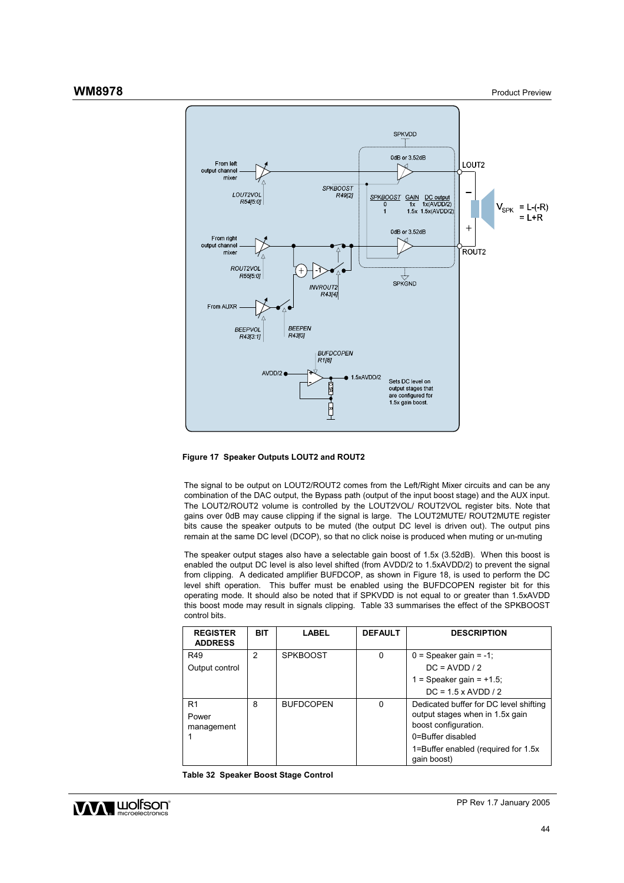

**Figure 17 Speaker Outputs LOUT2 and ROUT2** 

The signal to be output on LOUT2/ROUT2 comes from the Left/Right Mixer circuits and can be any combination of the DAC output, the Bypass path (output of the input boost stage) and the AUX input. The LOUT2/ROUT2 volume is controlled by the LOUT2VOL/ ROUT2VOL register bits. Note that gains over 0dB may cause clipping if the signal is large. The LOUT2MUTE/ ROUT2MUTE register bits cause the speaker outputs to be muted (the output DC level is driven out). The output pins remain at the same DC level (DCOP), so that no click noise is produced when muting or un-muting

The speaker output stages also have a selectable gain boost of 1.5x (3.52dB). When this boost is enabled the output DC level is also level shifted (from AVDD/2 to 1.5xAVDD/2) to prevent the signal from clipping. A dedicated amplifier BUFDCOP, as shown in Figure 18, is used to perform the DC level shift operation. This buffer must be enabled using the BUFDCOPEN register bit for this operating mode. It should also be noted that if SPKVDD is not equal to or greater than 1.5xAVDD this boost mode may result in signals clipping. Table 33 summarises the effect of the SPKBOOST control bits.

**Table 32 Speaker Boost Stage Control** 

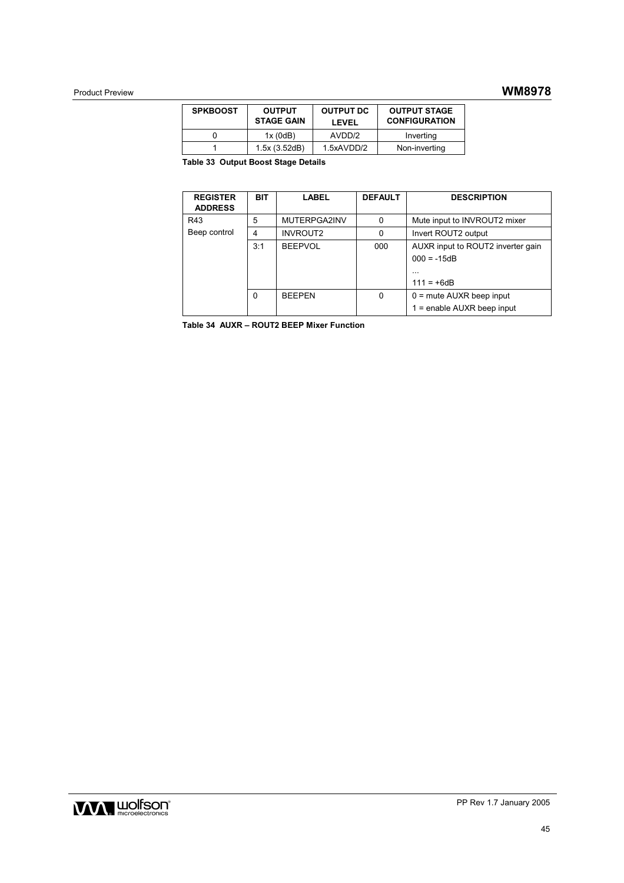# Product Preview **WM8978**

| <b>SPKBOOST</b> | <b>OUTPUT</b><br><b>STAGE GAIN</b> | <b>OUTPUT DC</b><br>LEVEL | <b>OUTPUT STAGE</b><br><b>CONFIGURATION</b> |
|-----------------|------------------------------------|---------------------------|---------------------------------------------|
|                 | 1x(0dB)                            | AVDD/2                    | Inverting                                   |
|                 | 1.5x(3.52dB)                       | 1.5xAVDD/2                | Non-inverting                               |

**Table 33 Output Boost Stage Details** 

| <b>REGISTER</b><br><b>ADDRESS</b> | <b>BIT</b> | <b>LABEL</b>    | <b>DEFAULT</b> | <b>DESCRIPTION</b>                                                             |
|-----------------------------------|------------|-----------------|----------------|--------------------------------------------------------------------------------|
| R43                               | 5          | MUTERPGA2INV    | 0              | Mute input to INVROUT2 mixer                                                   |
| Beep control                      | 4          | <b>INVROUT2</b> | 0              | Invert ROUT2 output                                                            |
|                                   | 3:1        | <b>BEEPVOL</b>  | 000            | AUXR input to ROUT2 inverter gain<br>$000 = -15dB$<br>$\cdots$<br>$111 = +6dB$ |
|                                   | 0          | <b>BEFPEN</b>   | 0              | $0 =$ mute AUXR beep input<br>$1 =$ enable AUXR beep input                     |

**Table 34 AUXR – ROUT2 BEEP Mixer Function** 

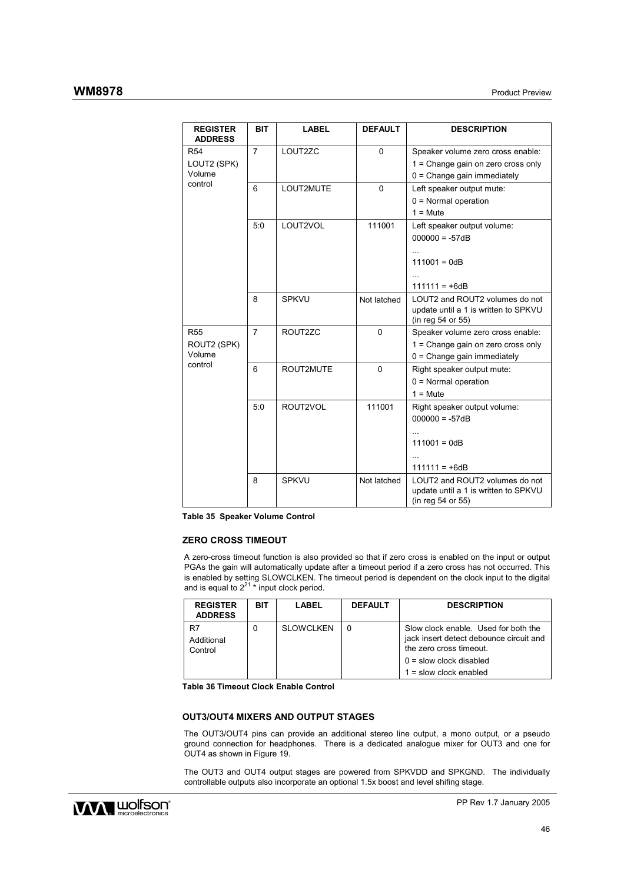| <b>REGISTER</b><br><b>ADDRESS</b> | <b>BIT</b>     | <b>LABEL</b> | <b>DEFAULT</b> | <b>DESCRIPTION</b>                                        |
|-----------------------------------|----------------|--------------|----------------|-----------------------------------------------------------|
| <b>R54</b>                        | $\overline{7}$ | LOUT2ZC      | 0              | Speaker volume zero cross enable:                         |
| LOUT2 (SPK)                       |                |              |                | 1 = Change gain on zero cross only                        |
| Volume                            |                |              |                | $0 =$ Change gain immediately                             |
| control                           | 6              | LOUT2MUTE    | $\Omega$       | Left speaker output mute:                                 |
|                                   |                |              |                | $0 =$ Normal operation                                    |
|                                   |                |              |                | $1 =$ Mute                                                |
|                                   | 5:0            | LOUT2VOL     | 111001         | Left speaker output volume:                               |
|                                   |                |              |                | $000000 = -57dB$                                          |
|                                   |                |              |                |                                                           |
|                                   |                |              |                | $111001 = 0dB$                                            |
|                                   |                |              |                |                                                           |
|                                   |                |              |                | $111111 = +6dB$                                           |
|                                   | 8              | <b>SPKVU</b> | Not latched    | LOUT2 and ROUT2 volumes do not                            |
|                                   |                |              |                | update until a 1 is written to SPKVU<br>(in reg 54 or 55) |
| <b>R55</b>                        | $\overline{7}$ | ROUT2ZC      | $\mathbf{0}$   | Speaker volume zero cross enable:                         |
| ROUT2 (SPK)                       |                |              |                | 1 = Change gain on zero cross only                        |
| Volume                            |                |              |                | $0 =$ Change gain immediately                             |
| control                           | 6              | ROUT2MUTE    | $\mathbf{0}$   | Right speaker output mute:                                |
|                                   |                |              |                | $0 =$ Normal operation                                    |
|                                   |                |              |                | $1 =$ Mute                                                |
|                                   | 5:0            | ROUT2VOL     | 111001         | Right speaker output volume:                              |
|                                   |                |              |                | $000000 = -57dB$                                          |
|                                   |                |              |                |                                                           |
|                                   |                |              |                | $111001 = 0dB$                                            |
|                                   |                |              |                |                                                           |
|                                   |                |              |                | $111111 = +6dB$                                           |
|                                   | 8              | <b>SPKVU</b> | Not latched    | LOUT2 and ROUT2 volumes do not                            |
|                                   |                |              |                | update until a 1 is written to SPKVU                      |
|                                   |                |              |                | (in reg 54 or 55)                                         |

**Table 35 Speaker Volume Control** 

### **ZERO CROSS TIMEOUT**

A zero-cross timeout function is also provided so that if zero cross is enabled on the input or output PGAs the gain will automatically update after a timeout period if a zero cross has not occurred. This is enabled by setting SLOWCLKEN. The timeout period is dependent on the clock input to the digital and is equal to  $2^{21}$  \* input clock period.

| <b>REGISTER</b><br><b>ADDRESS</b> | BIT | LABEL            | <b>DEFAULT</b> | <b>DESCRIPTION</b>                                                                                                                                                  |
|-----------------------------------|-----|------------------|----------------|---------------------------------------------------------------------------------------------------------------------------------------------------------------------|
| R7<br>Additional<br>Control       | 0   | <b>SLOWCLKEN</b> | 0              | Slow clock enable. Used for both the<br>jack insert detect debounce circuit and<br>the zero cross timeout.<br>$0 =$ slow clock disabled<br>$1 =$ slow clock enabled |

**Table 36 Timeout Clock Enable Control** 

## **OUT3/OUT4 MIXERS AND OUTPUT STAGES**

The OUT3/OUT4 pins can provide an additional stereo line output, a mono output, or a pseudo ground connection for headphones. There is a dedicated analogue mixer for OUT3 and one for OUT4 as shown in Figure 19.

The OUT3 and OUT4 output stages are powered from SPKVDD and SPKGND. The individually controllable outputs also incorporate an optional 1.5x boost and level shifing stage.

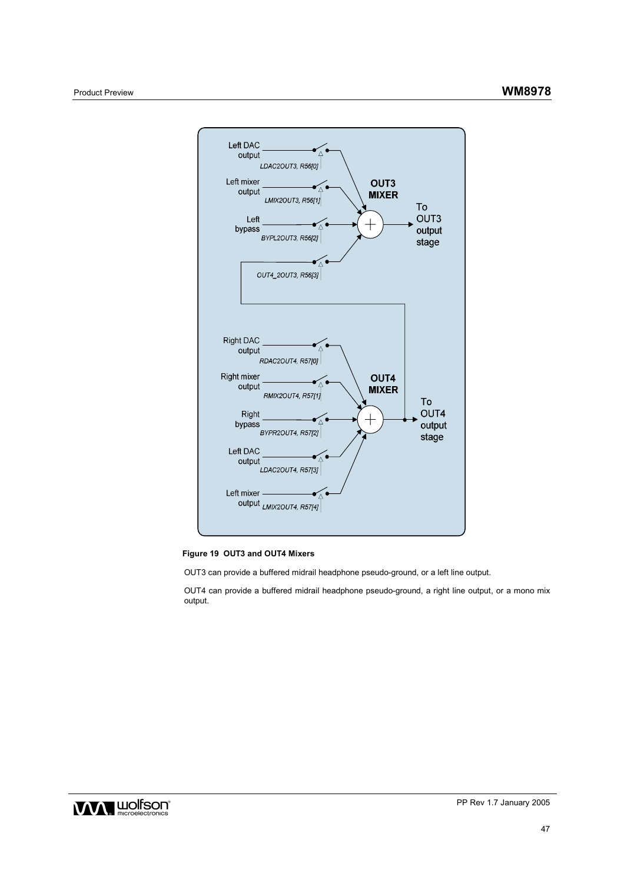

**Figure 19 OUT3 and OUT4 Mixers** 

OUT3 can provide a buffered midrail headphone pseudo-ground, or a left line output.

OUT4 can provide a buffered midrail headphone pseudo-ground, a right line output, or a mono mix output.

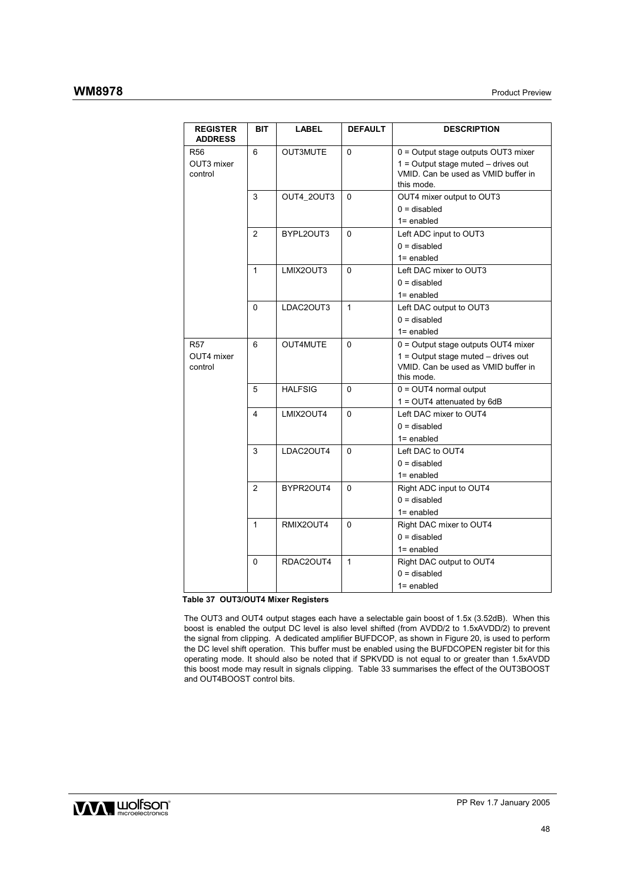| <b>REGISTER</b><br><b>ADDRESS</b> | BIT            | <b>LABEL</b>    | <b>DEFAULT</b> | <b>DESCRIPTION</b>                      |
|-----------------------------------|----------------|-----------------|----------------|-----------------------------------------|
| <b>R56</b>                        | 6              | <b>OUT3MUTE</b> | $\Omega$       | 0 = Output stage outputs OUT3 mixer     |
| OUT3 mixer                        |                |                 |                | $1 =$ Output stage muted $-$ drives out |
| control                           |                |                 |                | VMID. Can be used as VMID buffer in     |
|                                   |                |                 |                | this mode.                              |
|                                   | 3              | OUT4_2OUT3      | 0              | OUT4 mixer output to OUT3               |
|                                   |                |                 |                | $0 =$ disabled                          |
|                                   |                |                 |                | $1 =$ enabled                           |
|                                   | 2              | BYPL2OUT3       | 0              | Left ADC input to OUT3                  |
|                                   |                |                 |                | $0 =$ disabled                          |
|                                   |                |                 |                | $1 =$ enabled                           |
|                                   | $\mathbf{1}$   | LMIX2OUT3       | 0              | Left DAC mixer to OUT3                  |
|                                   |                |                 |                | $0 =$ disabled                          |
|                                   |                |                 |                | $1 =$ enabled                           |
|                                   | 0              | LDAC2OUT3       | $\mathbf{1}$   | Left DAC output to OUT3                 |
|                                   |                |                 |                | $0 =$ disabled                          |
|                                   |                |                 |                | $1 =$ enabled                           |
| <b>R57</b>                        | 6              | <b>OUT4MUTE</b> | $\Omega$       | 0 = Output stage outputs OUT4 mixer     |
| OUT4 mixer                        |                |                 |                | $1 =$ Output stage muted $-$ drives out |
| control                           |                |                 |                | VMID. Can be used as VMID buffer in     |
|                                   |                |                 |                | this mode.                              |
|                                   | 5              | <b>HALFSIG</b>  | 0              | $0 = OUT4$ normal output                |
|                                   |                |                 |                | $1 =$ OUT4 attenuated by 6dB            |
|                                   | 4              | LMIX2OUT4       | 0              | Left DAC mixer to OUT4                  |
|                                   |                |                 |                | $0 =$ disabled                          |
|                                   |                |                 |                | $1 =$ enabled                           |
|                                   | 3              | LDAC2OUT4       | $\Omega$       | Left DAC to OUT4                        |
|                                   |                |                 |                | $0 =$ disabled                          |
|                                   |                |                 |                | $1 =$ enabled                           |
|                                   | $\overline{2}$ | BYPR2OUT4       | 0              | Right ADC input to OUT4                 |
|                                   |                |                 |                | $0 =$ disabled                          |
|                                   |                |                 |                | $1 =$ enabled                           |
|                                   | $\mathbf{1}$   | RMIX2OUT4       | 0              | Right DAC mixer to OUT4                 |
|                                   |                |                 |                | $0 =$ disabled                          |
|                                   |                |                 |                | $1 =$ enabled                           |
|                                   | 0              | RDAC2OUT4       | 1              | Right DAC output to OUT4                |
|                                   |                |                 |                | $0 =$ disabled                          |
|                                   |                |                 |                | $1 =$ enabled                           |

**Table 37 OUT3/OUT4 Mixer Registers** 

The OUT3 and OUT4 output stages each have a selectable gain boost of 1.5x (3.52dB). When this boost is enabled the output DC level is also level shifted (from AVDD/2 to 1.5xAVDD/2) to prevent the signal from clipping. A dedicated amplifier BUFDCOP, as shown in Figure 20, is used to perform the DC level shift operation. This buffer must be enabled using the BUFDCOPEN register bit for this operating mode. It should also be noted that if SPKVDD is not equal to or greater than 1.5xAVDD this boost mode may result in signals clipping. Table 33 summarises the effect of the OUT3BOOST and OUT4BOOST control bits.

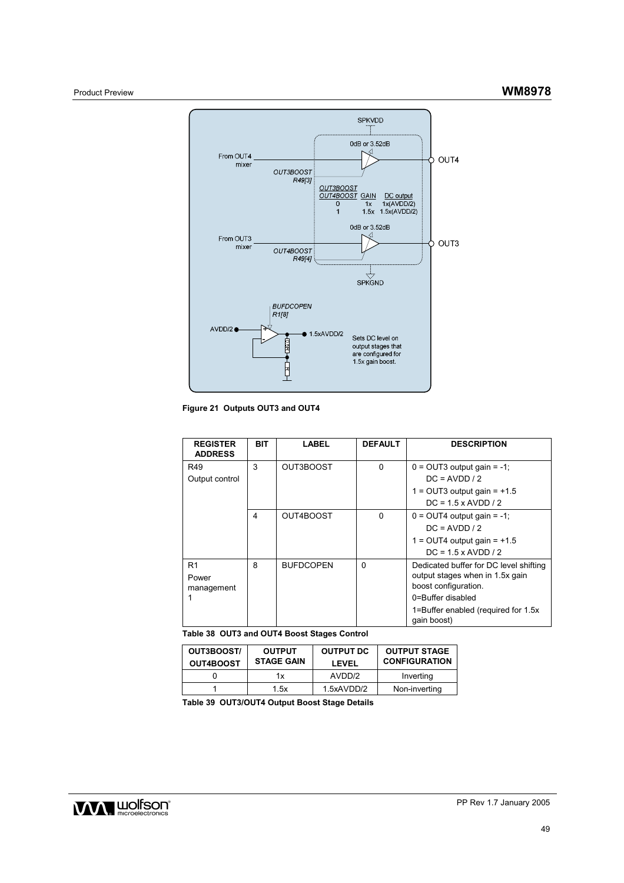

**Figure 21 Outputs OUT3 and OUT4** 

| <b>REGISTER</b><br><b>ADDRESS</b> | BIT | LABEL            | <b>DEFAULT</b> | <b>DESCRIPTION</b>                                                                                                     |
|-----------------------------------|-----|------------------|----------------|------------------------------------------------------------------------------------------------------------------------|
| R49                               | 3   | OUT3BOOST        | 0              | $0 = OUT3$ output gain = -1;                                                                                           |
| Output control                    |     |                  |                | $DC = AVDD / 2$                                                                                                        |
|                                   |     |                  |                | $1 =$ OUT3 output gain = $+1.5$                                                                                        |
|                                   |     |                  |                | $DC = 1.5 \times AVDD / 2$                                                                                             |
|                                   | 4   | OUT4BOOST        | 0              | $0 =$ OUT4 output gain = -1;                                                                                           |
|                                   |     |                  |                | $DC = AVDD / 2$                                                                                                        |
|                                   |     |                  |                | $1 =$ OUT4 output gain = $+1.5$                                                                                        |
|                                   |     |                  |                | $DC = 1.5 \times AVDD / 2$                                                                                             |
| R1<br>Power<br>management         | 8   | <b>BUFDCOPEN</b> | $\Omega$       | Dedicated buffer for DC level shifting<br>output stages when in 1.5x gain<br>boost configuration.<br>0=Buffer disabled |
|                                   |     |                  |                | 1=Buffer enabled (required for 1.5x<br>gain boost)                                                                     |

**Table 38 OUT3 and OUT4 Boost Stages Control** 

| OUT3BOOST/<br>OUT4BOOST | <b>OUTPUT</b><br><b>STAGE GAIN</b> | <b>OUTPUT DC</b><br>LEVEL | <b>OUTPUT STAGE</b><br><b>CONFIGURATION</b> |
|-------------------------|------------------------------------|---------------------------|---------------------------------------------|
|                         | 1x                                 | AVDD/2                    | Inverting                                   |
|                         | 1.5x                               | 1.5xAVDD/2                | Non-inverting                               |

**Table 39 OUT3/OUT4 Output Boost Stage Details** 

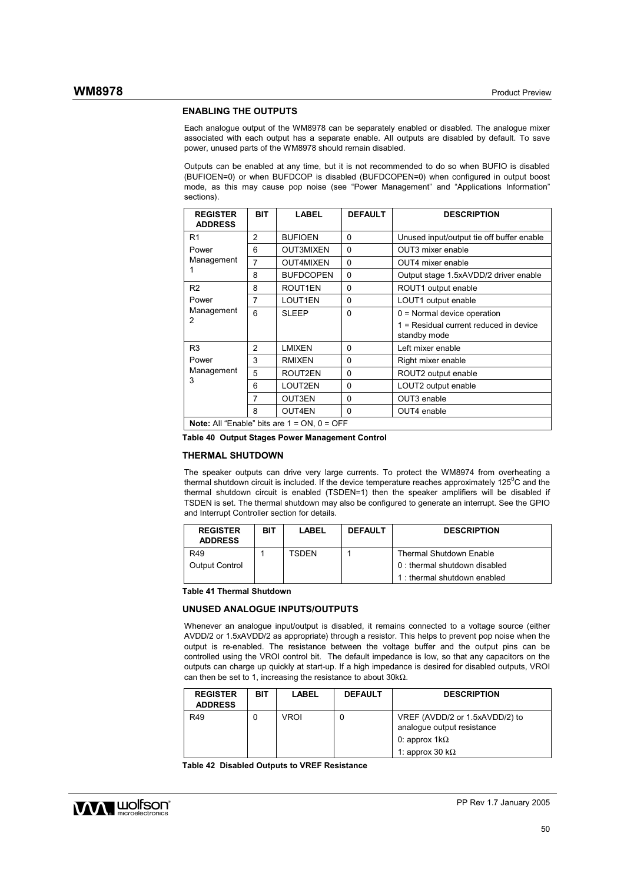### **ENABLING THE OUTPUTS**

Each analogue output of the WM8978 can be separately enabled or disabled. The analogue mixer associated with each output has a separate enable. All outputs are disabled by default. To save power, unused parts of the WM8978 should remain disabled.

Outputs can be enabled at any time, but it is not recommended to do so when BUFIO is disabled (BUFIOEN=0) or when BUFDCOP is disabled (BUFDCOPEN=0) when configured in output boost mode, as this may cause pop noise (see "Power Management" and "Applications Information" sections).

| <b>REGISTER</b><br><b>ADDRESS</b>                       | <b>BIT</b>     | <b>LABEL</b>     | <b>DEFAULT</b> | <b>DESCRIPTION</b>                                     |
|---------------------------------------------------------|----------------|------------------|----------------|--------------------------------------------------------|
| R1                                                      | $\overline{2}$ | <b>BUFIOEN</b>   | $\Omega$       | Unused input/output tie off buffer enable              |
| Power                                                   | 6              | <b>OUT3MIXEN</b> | $\Omega$       | OUT3 mixer enable                                      |
| Management                                              | $\overline{7}$ | <b>OUT4MIXEN</b> | $\Omega$       | OUT4 mixer enable                                      |
|                                                         | 8              | <b>BUFDCOPEN</b> | $\Omega$       | Output stage 1.5xAVDD/2 driver enable                  |
| R <sub>2</sub>                                          | 8              | ROUT1EN          | $\Omega$       | ROUT1 output enable                                    |
| Power                                                   | 7              | LOUT1EN          | $\Omega$       | LOUT1 output enable                                    |
| Management                                              | 6              | <b>SLEEP</b>     | $\Omega$       | $0 =$ Normal device operation                          |
| 2                                                       |                |                  |                | 1 = Residual current reduced in device<br>standby mode |
| R <sub>3</sub>                                          | 2              | <b>LMIXEN</b>    | 0              | Left mixer enable                                      |
| Power                                                   | 3              | <b>RMIXEN</b>    | $\Omega$       | Right mixer enable                                     |
| Management                                              | 5              | ROUT2EN          | $\Omega$       | ROUT2 output enable                                    |
| 3                                                       | 6              | LOUT2EN          | $\Omega$       | LOUT2 output enable                                    |
|                                                         | 7              | OUT3EN           | 0              | OUT3 enable                                            |
|                                                         | 8              | OUT4EN           | $\Omega$       | OUT4 enable                                            |
| <b>Note:</b> All "Enable" bits are $1 = ON$ , $0 = OFF$ |                |                  |                |                                                        |

**Table 40 Output Stages Power Management Control** 

### **THERMAL SHUTDOWN**

The speaker outputs can drive very large currents. To protect the WM8974 from overheating a thermal shutdown circuit is included. If the device temperature reaches approximately 125 $\rm ^{0}C$  and the thermal shutdown circuit is enabled (TSDEN=1) then the speaker amplifiers will be disabled if TSDEN is set. The thermal shutdown may also be configured to generate an interrupt. See the GPIO and Interrupt Controller section for details.

| <b>REGISTER</b><br><b>ADDRESS</b> | BIT | LABEL | <b>DEFAULT</b> | <b>DESCRIPTION</b>            |
|-----------------------------------|-----|-------|----------------|-------------------------------|
| R49                               |     | TSDEN |                | Thermal Shutdown Enable       |
| <b>Output Control</b>             |     |       |                | 0 : thermal shutdown disabled |
|                                   |     |       |                | 1: thermal shutdown enabled   |

**Table 41 Thermal Shutdown** 

### **UNUSED ANALOGUE INPUTS/OUTPUTS**

Whenever an analogue input/output is disabled, it remains connected to a voltage source (either AVDD/2 or 1.5xAVDD/2 as appropriate) through a resistor. This helps to prevent pop noise when the output is re-enabled. The resistance between the voltage buffer and the output pins can be controlled using the VROI control bit. The default impedance is low, so that any capacitors on the outputs can charge up quickly at start-up. If a high impedance is desired for disabled outputs, VROI can then be set to 1, increasing the resistance to about 30kΩ.

| <b>REGISTER</b><br><b>ADDRESS</b> | BIT | <b>LABEL</b> | <b>DEFAULT</b> | <b>DESCRIPTION</b>                                           |
|-----------------------------------|-----|--------------|----------------|--------------------------------------------------------------|
| R49                               |     | <b>VROI</b>  | 0              | VREF (AVDD/2 or 1.5xAVDD/2) to<br>analogue output resistance |
|                                   |     |              |                | 0: approx $1k\Omega$                                         |
|                                   |     |              |                | 1: approx 30 $k\Omega$                                       |

**Table 42 Disabled Outputs to VREF Resistance**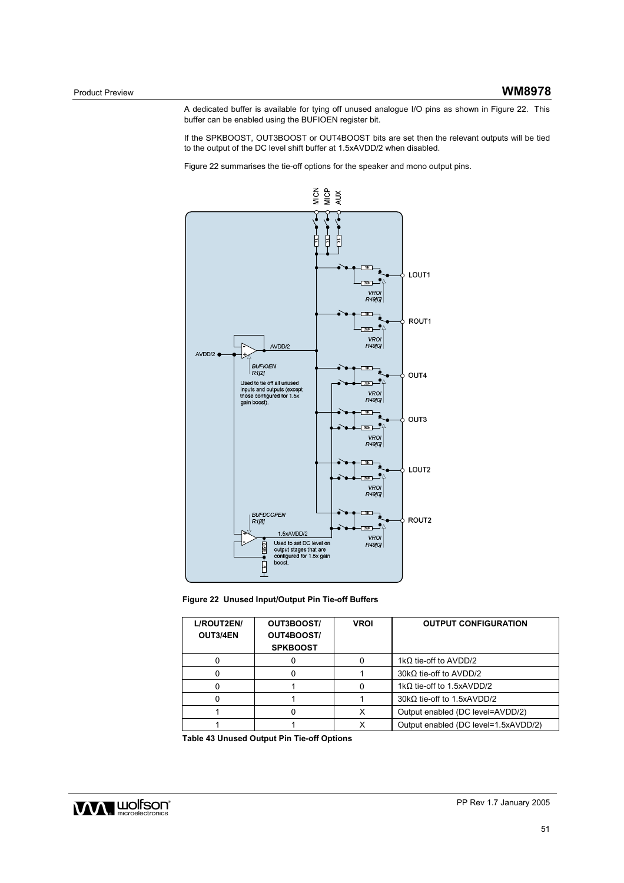A dedicated buffer is available for tying off unused analogue I/O pins as shown in Figure 22. This buffer can be enabled using the BUFIOEN register bit.

If the SPKBOOST, OUT3BOOST or OUT4BOOST bits are set then the relevant outputs will be tied to the output of the DC level shift buffer at 1.5xAVDD/2 when disabled.

Figure 22 summarises the tie-off options for the speaker and mono output pins.



**Figure 22 Unused Input/Output Pin Tie-off Buffers** 

| L/ROUT2EN/<br>OUT3/4EN | OUT3BOOST/<br>OUT4BOOST/<br><b>SPKBOOST</b> | <b>VROI</b> | <b>OUTPUT CONFIGURATION</b>          |
|------------------------|---------------------------------------------|-------------|--------------------------------------|
|                        |                                             |             | 1k $\Omega$ tie-off to AVDD/2        |
|                        |                                             |             | $30k\Omega$ tie-off to AVDD/2        |
|                        |                                             |             | 1k $\Omega$ tie-off to 1.5xAVDD/2    |
|                        |                                             |             | $30k\Omega$ tie-off to 1.5xAVDD/2    |
|                        |                                             |             | Output enabled (DC level=AVDD/2)     |
|                        |                                             |             | Output enabled (DC level=1.5xAVDD/2) |

**Table 43 Unused Output Pin Tie-off Options** 

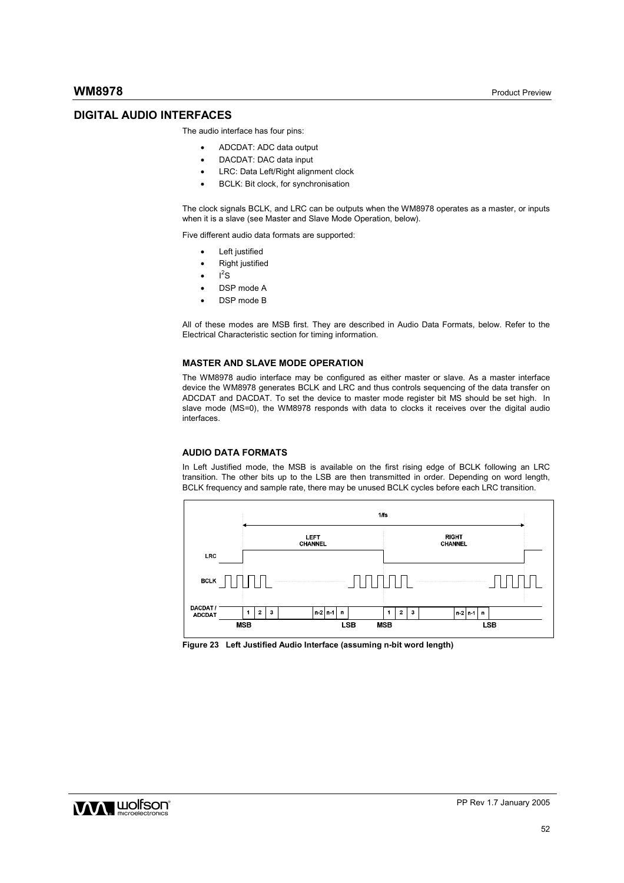## **DIGITAL AUDIO INTERFACES**

The audio interface has four pins:

- ADCDAT: ADC data output
- DACDAT: DAC data input
- LRC: Data Left/Right alignment clock
- BCLK: Bit clock, for synchronisation

The clock signals BCLK, and LRC can be outputs when the WM8978 operates as a master, or inputs when it is a slave (see Master and Slave Mode Operation, below).

Five different audio data formats are supported:

- Left justified
- Right justified
- $\cdot$   $I^2S$
- DSP mode A
- DSP mode B

All of these modes are MSB first. They are described in Audio Data Formats, below. Refer to the Electrical Characteristic section for timing information.

## **MASTER AND SLAVE MODE OPERATION**

The WM8978 audio interface may be configured as either master or slave. As a master interface device the WM8978 generates BCLK and LRC and thus controls sequencing of the data transfer on ADCDAT and DACDAT. To set the device to master mode register bit MS should be set high. In slave mode (MS=0), the WM8978 responds with data to clocks it receives over the digital audio interfaces.

### **AUDIO DATA FORMATS**

In Left Justified mode, the MSB is available on the first rising edge of BCLK following an LRC transition. The other bits up to the LSB are then transmitted in order. Depending on word length, BCLK frequency and sample rate, there may be unused BCLK cycles before each LRC transition.



**Figure 23 Left Justified Audio Interface (assuming n-bit word length)** 

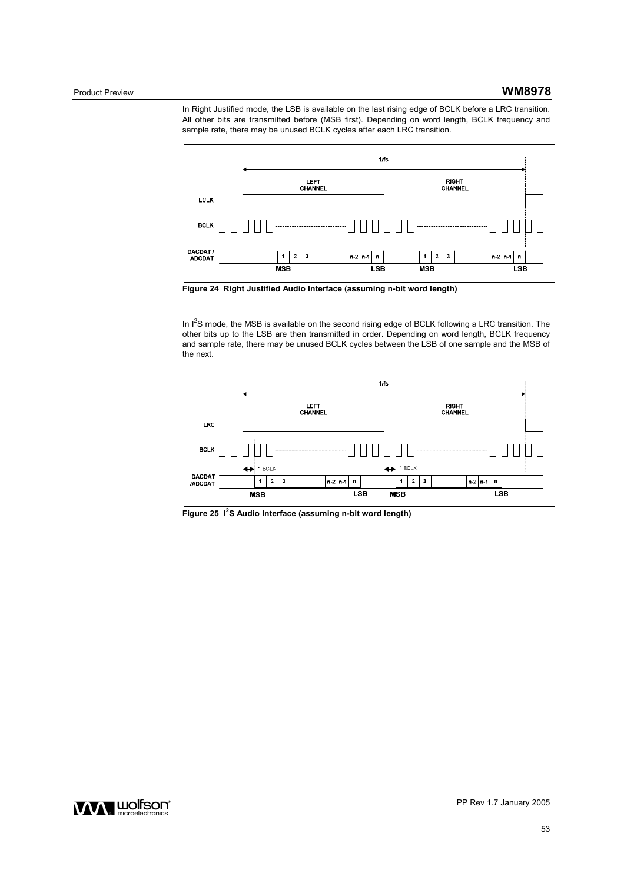In Right Justified mode, the LSB is available on the last rising edge of BCLK before a LRC transition. All other bits are transmitted before (MSB first). Depending on word length, BCLK frequency and sample rate, there may be unused BCLK cycles after each LRC transition.



**Figure 24 Right Justified Audio Interface (assuming n-bit word length)** 

In I<sup>2</sup>S mode, the MSB is available on the second rising edge of BCLK following a LRC transition. The other bits up to the LSB are then transmitted in order. Depending on word length, BCLK frequency and sample rate, there may be unused BCLK cycles between the LSB of one sample and the MSB of the next.



**Figure 25 I<sup>2</sup> S Audio Interface (assuming n-bit word length)** 

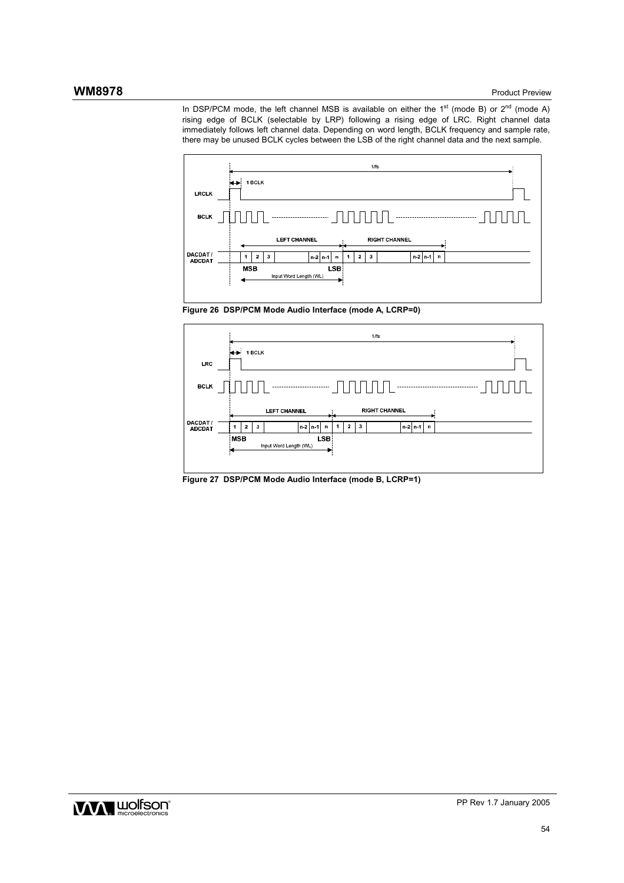In DSP/PCM mode, the left channel MSB is available on either the  $1<sup>st</sup>$  (mode B) or  $2<sup>nd</sup>$  (mode A) rising edge of BCLK (selectable by LRP) following a rising edge of LRC. Right channel data immediately follows left channel data. Depending on word length, BCLK frequency and sample rate, there may be unused BCLK cycles between the LSB of the right channel data and the next sample.



**Figure 26 DSP/PCM Mode Audio Interface (mode A, LCRP=0)** 



**Figure 27 DSP/PCM Mode Audio Interface (mode B, LCRP=1)** 

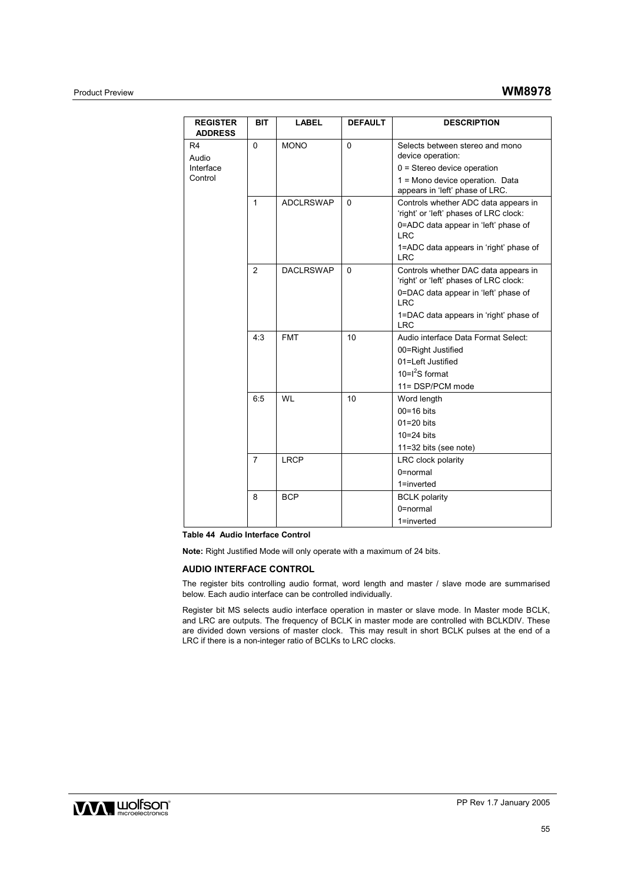| <b>REGISTER</b><br><b>ADDRESS</b> | <b>BIT</b>     | <b>LABEL</b>     | <b>DEFAULT</b> | <b>DESCRIPTION</b>                                                             |
|-----------------------------------|----------------|------------------|----------------|--------------------------------------------------------------------------------|
| R4<br>Audio                       | 0              | <b>MONO</b>      | 0              | Selects between stereo and mono<br>device operation:                           |
| Interface                         |                |                  |                | $0 =$ Stereo device operation                                                  |
| Control                           |                |                  |                | 1 = Mono device operation. Data<br>appears in 'left' phase of LRC.             |
|                                   | 1              | <b>ADCLRSWAP</b> | $\Omega$       | Controls whether ADC data appears in<br>'right' or 'left' phases of LRC clock: |
|                                   |                |                  |                | 0=ADC data appear in 'left' phase of<br><b>LRC</b>                             |
|                                   |                |                  |                | 1=ADC data appears in 'right' phase of<br><b>LRC</b>                           |
|                                   | 2              | <b>DACLRSWAP</b> | 0              | Controls whether DAC data appears in<br>'right' or 'left' phases of LRC clock: |
|                                   |                |                  |                | 0=DAC data appear in 'left' phase of<br><b>LRC</b>                             |
|                                   |                |                  |                | 1=DAC data appears in 'right' phase of<br><b>LRC</b>                           |
|                                   | 4:3            | <b>FMT</b>       | 10             | Audio interface Data Format Select:                                            |
|                                   |                |                  |                | 00=Right Justified                                                             |
|                                   |                |                  |                | 01=Left Justified                                                              |
|                                   |                |                  |                | 10= $I^2S$ format                                                              |
|                                   |                |                  |                | 11= DSP/PCM mode                                                               |
|                                   | 6:5            | WL               | 10             | Word length                                                                    |
|                                   |                |                  |                | $00=16$ bits                                                                   |
|                                   |                |                  |                | $01 = 20$ bits                                                                 |
|                                   |                |                  |                | $10=24$ bits                                                                   |
|                                   |                |                  |                | 11=32 bits (see note)                                                          |
|                                   | $\overline{7}$ | <b>LRCP</b>      |                | LRC clock polarity                                                             |
|                                   |                |                  |                | $0 = normal$                                                                   |
|                                   |                |                  |                | 1=inverted                                                                     |
|                                   | 8              | <b>BCP</b>       |                | <b>BCLK</b> polarity                                                           |
|                                   |                |                  |                | 0=normal                                                                       |
|                                   |                |                  |                | 1=inverted                                                                     |

**Table 44 Audio Interface Control** 

**Note:** Right Justified Mode will only operate with a maximum of 24 bits.

## **AUDIO INTERFACE CONTROL**

The register bits controlling audio format, word length and master / slave mode are summarised below. Each audio interface can be controlled individually.

Register bit MS selects audio interface operation in master or slave mode. In Master mode BCLK, and LRC are outputs. The frequency of BCLK in master mode are controlled with BCLKDIV. These are divided down versions of master clock. This may result in short BCLK pulses at the end of a LRC if there is a non-integer ratio of BCLKs to LRC clocks.

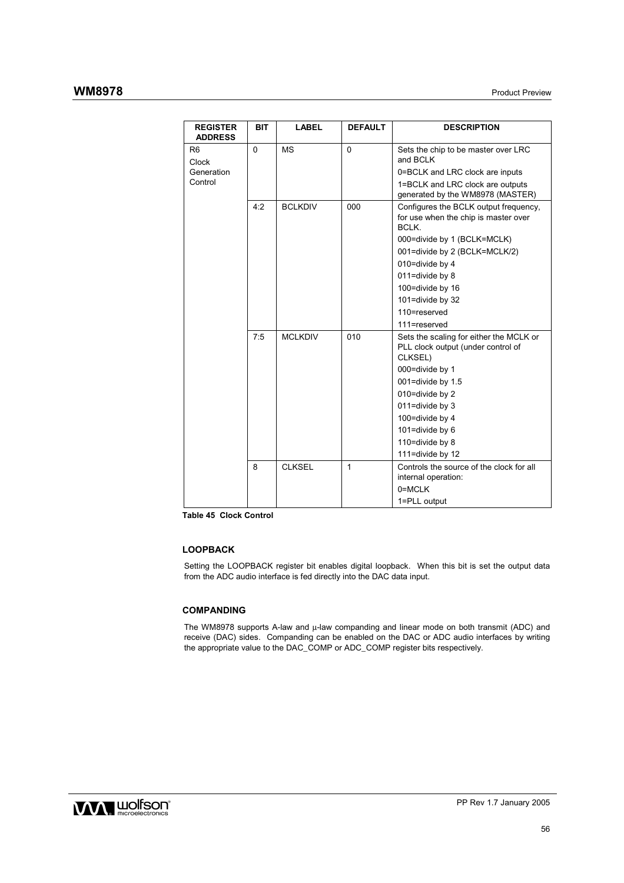## **WM8978** Product Preview

| <b>REGISTER</b><br><b>ADDRESS</b> | BIT      | LABEL          | <b>DEFAULT</b> | <b>DESCRIPTION</b>                                                                       |
|-----------------------------------|----------|----------------|----------------|------------------------------------------------------------------------------------------|
| R <sub>6</sub><br><b>Clock</b>    | $\Omega$ | <b>MS</b>      | $\Omega$       | Sets the chip to be master over LRC<br>and BCLK                                          |
| Generation                        |          |                |                | 0=BCLK and LRC clock are inputs                                                          |
| Control                           |          |                |                | 1=BCLK and LRC clock are outputs<br>generated by the WM8978 (MASTER)                     |
|                                   | 4:2      | <b>BCLKDIV</b> | 000            | Configures the BCLK output frequency,<br>for use when the chip is master over<br>BCLK.   |
|                                   |          |                |                | 000=divide by 1 (BCLK=MCLK)                                                              |
|                                   |          |                |                | 001=divide by 2 (BCLK=MCLK/2)                                                            |
|                                   |          |                |                | 010=divide by 4                                                                          |
|                                   |          |                |                | 011=divide by 8                                                                          |
|                                   |          |                |                | 100=divide by 16                                                                         |
|                                   |          |                |                | 101=divide by 32                                                                         |
|                                   |          |                |                | 110=reserved                                                                             |
|                                   |          |                |                | 111=reserved                                                                             |
|                                   | 7:5      | <b>MCLKDIV</b> | 010            | Sets the scaling for either the MCLK or<br>PLL clock output (under control of<br>CLKSEL) |
|                                   |          |                |                | 000=divide by 1                                                                          |
|                                   |          |                |                | 001=divide by 1.5                                                                        |
|                                   |          |                |                | 010=divide by 2                                                                          |
|                                   |          |                |                | 011=divide by 3                                                                          |
|                                   |          |                |                | 100=divide by 4                                                                          |
|                                   |          |                |                | 101=divide by 6                                                                          |
|                                   |          |                |                | 110=divide by 8                                                                          |
|                                   |          |                |                | 111=divide by 12                                                                         |
|                                   | 8        | <b>CLKSEL</b>  | 1              | Controls the source of the clock for all<br>internal operation:                          |
|                                   |          |                |                | $0 = MCLK$                                                                               |
|                                   |          |                |                | 1=PLL output                                                                             |

**Table 45 Clock Control** 

## **LOOPBACK**

Setting the LOOPBACK register bit enables digital loopback. When this bit is set the output data from the ADC audio interface is fed directly into the DAC data input.

## **COMPANDING**

The WM8978 supports A-law and µ-law companding and linear mode on both transmit (ADC) and receive (DAC) sides. Companding can be enabled on the DAC or ADC audio interfaces by writing the appropriate value to the DAC\_COMP or ADC\_COMP register bits respectively.

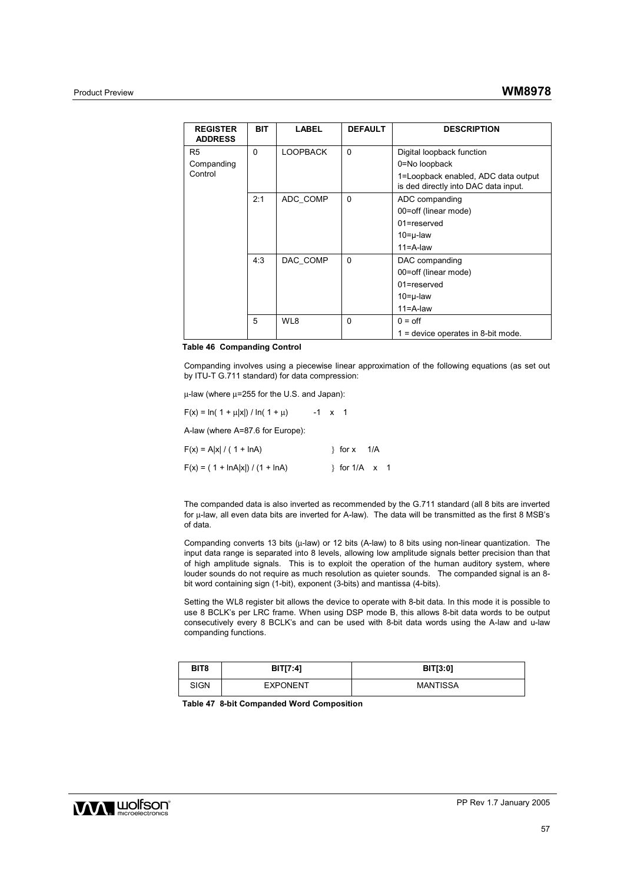| <b>REGISTER</b><br><b>ADDRESS</b> | BIT.     | <b>LABEL</b>    | <b>DEFAULT</b> | <b>DESCRIPTION</b>                                                          |
|-----------------------------------|----------|-----------------|----------------|-----------------------------------------------------------------------------|
| R <sub>5</sub>                    | $\Omega$ | <b>LOOPBACK</b> | $\Omega$       | Digital loopback function                                                   |
| Companding                        |          |                 |                | 0=No loopback                                                               |
| Control                           |          |                 |                | 1=Loopback enabled, ADC data output<br>is ded directly into DAC data input. |
|                                   | 2:1      | ADC_COMP        | $\Omega$       | ADC companding                                                              |
|                                   |          |                 |                | 00=off (linear mode)                                                        |
|                                   |          |                 |                | 01=reserved                                                                 |
|                                   |          |                 |                | $10 = \mu$ -law                                                             |
|                                   |          |                 |                | $11 = A$ -law                                                               |
|                                   | 4:3      | DAC_COMP        | 0              | DAC companding                                                              |
|                                   |          |                 |                | 00=off (linear mode)                                                        |
|                                   |          |                 |                | 01=reserved                                                                 |
|                                   |          |                 |                | $10 = \mu$ -law                                                             |
|                                   |          |                 |                | $11 = A$ -law                                                               |
|                                   | 5        | WL8             | $\Omega$       | $0 =$ off                                                                   |
|                                   |          |                 |                | $1 =$ device operates in 8-bit mode.                                        |

**Table 46 Companding Control** 

Companding involves using a piecewise linear approximation of the following equations (as set out by ITU-T G.711 standard) for data compression:

µ-law (where µ=255 for the U.S. and Japan):

 $F(x) = ln(1 + \mu|x|) / ln(1 + \mu)$  -1 x 1

A-law (where A=87.6 for Europe):

| $F(x) = A x  / (1 + \ln A)$           | $\frac{1}{2}$ for x 1/A   |  |
|---------------------------------------|---------------------------|--|
| $F(x) = (1 + \ln A x ) / (1 + \ln A)$ | $\frac{1}{2}$ for 1/A x 1 |  |

The companded data is also inverted as recommended by the G.711 standard (all 8 bits are inverted for µ-law, all even data bits are inverted for A-law). The data will be transmitted as the first 8 MSB's of data.

Companding converts 13 bits ( $\mu$ -law) or 12 bits (A-law) to 8 bits using non-linear quantization. The input data range is separated into 8 levels, allowing low amplitude signals better precision than that of high amplitude signals. This is to exploit the operation of the human auditory system, where louder sounds do not require as much resolution as quieter sounds. The companded signal is an 8 bit word containing sign (1-bit), exponent (3-bits) and mantissa (4-bits).

Setting the WL8 register bit allows the device to operate with 8-bit data. In this mode it is possible to use 8 BCLK's per LRC frame. When using DSP mode B, this allows 8-bit data words to be output consecutively every 8 BCLK's and can be used with 8-bit data words using the A-law and u-law companding functions.

| BIT8 | <b>BIT[7:4]</b> | <b>BIT[3:0]</b> |
|------|-----------------|-----------------|
| SIGN | <b>EXPONENT</b> | MANTISSA        |

**Table 47 8-bit Companded Word Composition** 

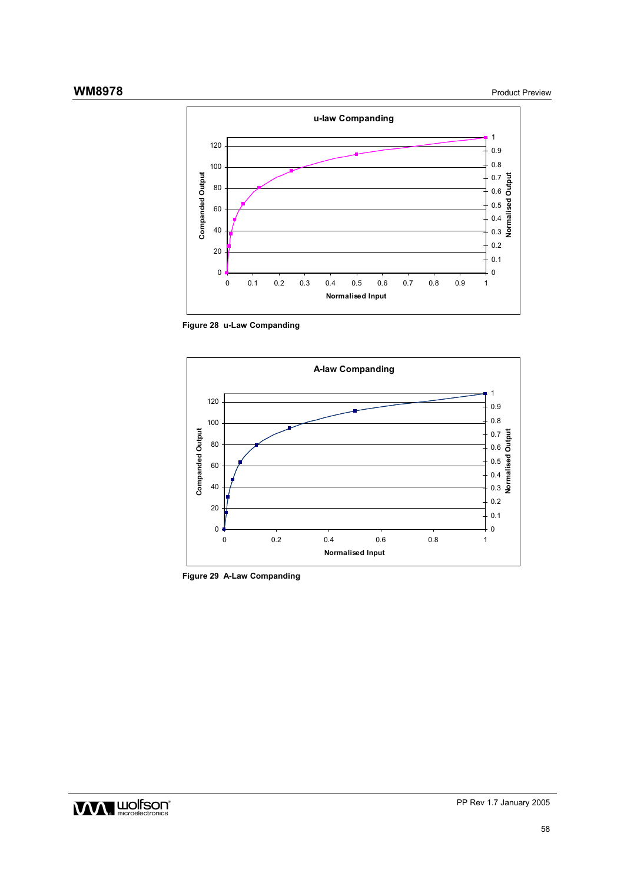

**Figure 28 u-Law Companding** 



**Figure 29 A-Law Companding** 

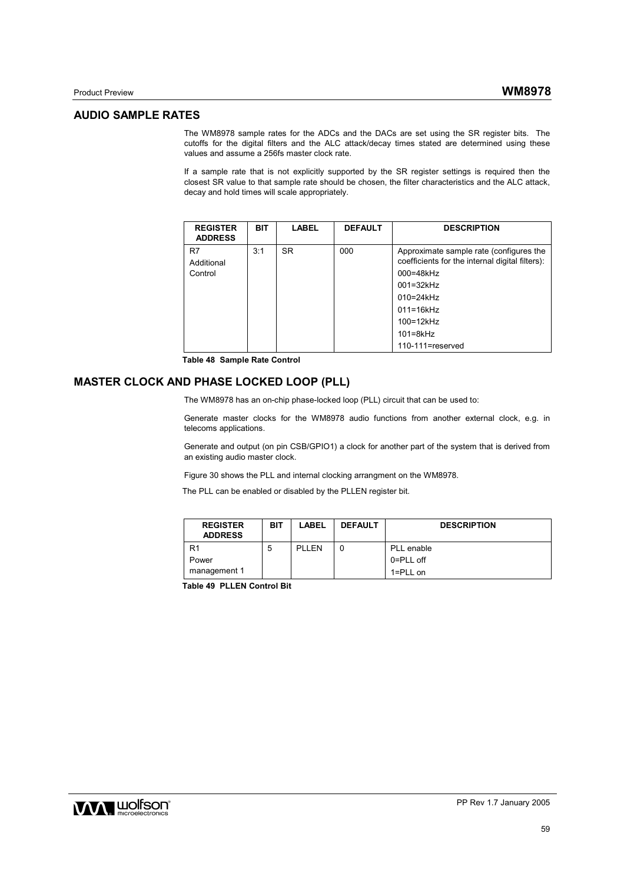## **AUDIO SAMPLE RATES**

The WM8978 sample rates for the ADCs and the DACs are set using the SR register bits. The cutoffs for the digital filters and the ALC attack/decay times stated are determined using these values and assume a 256fs master clock rate.

If a sample rate that is not explicitly supported by the SR register settings is required then the closest SR value to that sample rate should be chosen, the filter characteristics and the ALC attack, decay and hold times will scale appropriately.

| <b>REGISTER</b><br><b>ADDRESS</b> | <b>BIT</b> | <b>LABEL</b> | <b>DEFAULT</b> | <b>DESCRIPTION</b>                                                                                                                                                                                                    |
|-----------------------------------|------------|--------------|----------------|-----------------------------------------------------------------------------------------------------------------------------------------------------------------------------------------------------------------------|
| R7<br>Additional<br>Control       | 3:1        | <b>SR</b>    | 000            | Approximate sample rate (configures the<br>coefficients for the internal digital filters):<br>$000=48kHz$<br>$001 = 32$ kHz<br>$010=24$ kHz<br>$011 = 16kHz$<br>$100 = 12$ kHz<br>$101 = 8kHz$<br>$110-111$ =reserved |

**Table 48 Sample Rate Control** 

## **MASTER CLOCK AND PHASE LOCKED LOOP (PLL)**

The WM8978 has an on-chip phase-locked loop (PLL) circuit that can be used to:

Generate master clocks for the WM8978 audio functions from another external clock, e.g. in telecoms applications.

Generate and output (on pin CSB/GPIO1) a clock for another part of the system that is derived from an existing audio master clock.

Figure 30 shows the PLL and internal clocking arrangment on the WM8978.

The PLL can be enabled or disabled by the PLLEN register bit.

| <b>REGISTER</b><br><b>ADDRESS</b> | BIT | <b>LABEL</b> | <b>DEFAULT</b> | <b>DESCRIPTION</b> |
|-----------------------------------|-----|--------------|----------------|--------------------|
| R <sub>1</sub>                    | 5   | <b>PLLEN</b> |                | PLL enable         |
| Power                             |     |              |                | $0 = PLL$ off      |
| management 1                      |     |              |                | $1 = PLL$ on       |

**Table 49 PLLEN Control Bit** 

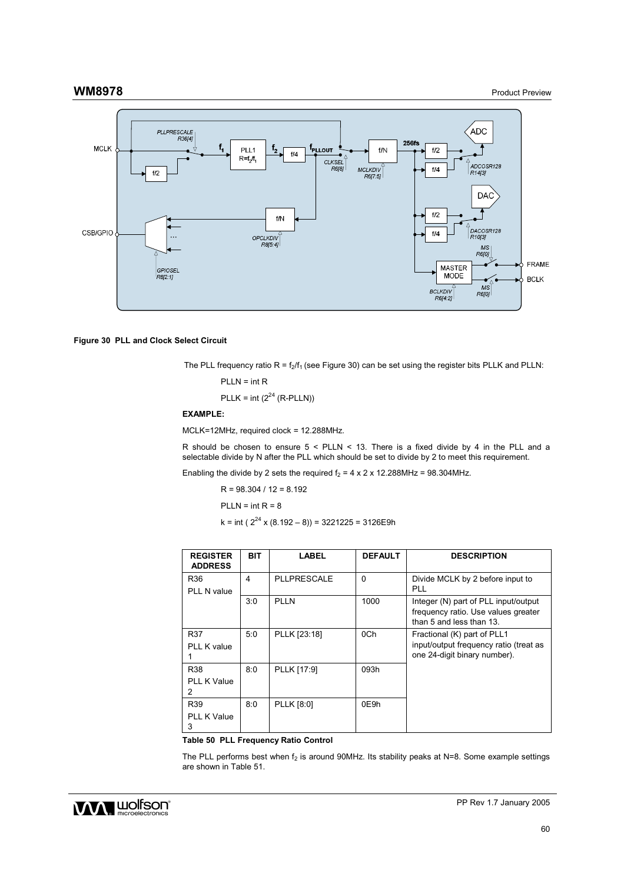

### **Figure 30 PLL and Clock Select Circuit**

The PLL frequency ratio  $R = f_2/f_1$  (see Figure 30) can be set using the register bits PLLK and PLLN:

$$
PLLN = int R
$$

PLLK = int  $(2^{24}$  (R-PLLN))

### **EXAMPLE:**

MCLK=12MHz, required clock = 12.288MHz.

R should be chosen to ensure 5 < PLLN < 13. There is a fixed divide by 4 in the PLL and a selectable divide by N after the PLL which should be set to divide by 2 to meet this requirement.

Enabling the divide by 2 sets the required  $f_2 = 4 \times 2 \times 12.288$  MHz = 98.304 MHz.

 $R = 98.304 / 12 = 8.192$ 

```
PLLN = int R = 8
```
k = int ( $2^{24}$  x (8.192 – 8)) = 3221225 = 3126E9h

| <b>REGISTER</b><br><b>ADDRESS</b>          | <b>BIT</b> | <b>LABEL</b>       | <b>DEFAULT</b>  | <b>DESCRIPTION</b>                                                                                      |
|--------------------------------------------|------------|--------------------|-----------------|---------------------------------------------------------------------------------------------------------|
| R36<br>PLL N value                         | 4          | <b>PLLPRESCALE</b> | 0               | Divide MCLK by 2 before input to<br>PLL                                                                 |
|                                            | 3:0        | PIIN               | 1000            | Integer (N) part of PLL input/output<br>frequency ratio. Use values greater<br>than 5 and less than 13. |
| R37<br>PLL K value                         | 5:0        | PLLK [23:18]       | 0 <sub>Ch</sub> | Fractional (K) part of PLL1<br>input/output frequency ratio (treat as<br>one 24-digit binary number).   |
| R38<br><b>PLL K Value</b><br>2             | 8:0        | PLLK [17:9]        | 093h            |                                                                                                         |
| R <sub>39</sub><br><b>PLL K Value</b><br>3 | 8:0        | <b>PLLK [8:0]</b>  | 0E9h            |                                                                                                         |

**Table 50 PLL Frequency Ratio Control** 

The PLL performs best when  $f_2$  is around 90MHz. Its stability peaks at N=8. Some example settings are shown in Table 51.

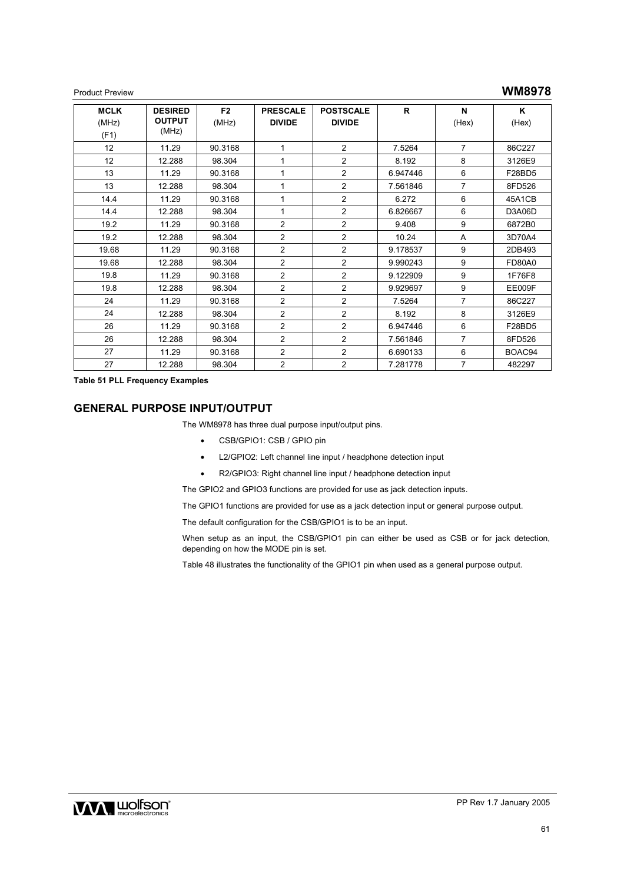Product Preview **WM8978** 

| <b>MCLK</b> | <b>DESIRED</b> | F <sub>2</sub> | <b>PRESCALE</b> | <b>POSTSCALE</b> | $\mathsf{R}$ | N              | K             |
|-------------|----------------|----------------|-----------------|------------------|--------------|----------------|---------------|
| (MHz)       | <b>OUTPUT</b>  | (MHz)          | <b>DIVIDE</b>   | <b>DIVIDE</b>    |              | (Hex)          | (Hex)         |
| (F1)        | (MHz)          |                |                 |                  |              |                |               |
| 12          | 11.29          | 90.3168        | 1               | 2                | 7.5264       | $\overline{7}$ | 86C227        |
| 12          | 12.288         | 98.304         | 1               | $\overline{2}$   | 8.192        | 8              | 3126E9        |
| 13          | 11.29          | 90.3168        | 1               | $\overline{2}$   | 6.947446     | 6              | F28BD5        |
| 13          | 12.288         | 98.304         | 1               | $\overline{2}$   | 7.561846     | $\overline{7}$ | 8FD526        |
| 14.4        | 11.29          | 90.3168        | 1               | 2                | 6.272        | 6              | 45A1CB        |
| 14.4        | 12.288         | 98.304         | 1               | $\overline{2}$   | 6.826667     | 6              | D3A06D        |
| 19.2        | 11.29          | 90.3168        | 2               | $\overline{2}$   | 9.408        | 9              | 6872B0        |
| 19.2        | 12.288         | 98.304         | 2               | $\overline{2}$   | 10.24        | A              | 3D70A4        |
| 19.68       | 11.29          | 90.3168        | 2               | $\overline{2}$   | 9.178537     | 9              | 2DB493        |
| 19.68       | 12.288         | 98.304         | 2               | 2                | 9.990243     | 9              | <b>FD80A0</b> |
| 19.8        | 11.29          | 90.3168        | 2               | $\overline{2}$   | 9.122909     | 9              | 1F76F8        |
| 19.8        | 12.288         | 98.304         | $\overline{2}$  | $\overline{2}$   | 9.929697     | 9              | EE009F        |
| 24          | 11.29          | 90.3168        | 2               | $\overline{2}$   | 7.5264       | $\overline{7}$ | 86C227        |
| 24          | 12.288         | 98.304         | $\overline{2}$  | 2                | 8.192        | 8              | 3126E9        |
| 26          | 11.29          | 90.3168        | $\overline{2}$  | $\mathbf{2}$     | 6.947446     | 6              | F28BD5        |
| 26          | 12.288         | 98.304         | $\overline{2}$  | $\overline{2}$   | 7.561846     | 7              | 8FD526        |
| 27          | 11.29          | 90.3168        | 2               | $\overline{2}$   | 6.690133     | 6              | BOAC94        |
| 27          | 12.288         | 98.304         | $\overline{2}$  | $\overline{2}$   | 7.281778     | 7              | 482297        |

**Table 51 PLL Frequency Examples** 

## **GENERAL PURPOSE INPUT/OUTPUT**

The WM8978 has three dual purpose input/output pins.

- CSB/GPIO1: CSB / GPIO pin
- L2/GPIO2: Left channel line input / headphone detection input
- R2/GPIO3: Right channel line input / headphone detection input

The GPIO2 and GPIO3 functions are provided for use as jack detection inputs.

The GPIO1 functions are provided for use as a jack detection input or general purpose output.

The default configuration for the CSB/GPIO1 is to be an input.

When setup as an input, the CSB/GPIO1 pin can either be used as CSB or for jack detection, depending on how the MODE pin is set.

Table 48 illustrates the functionality of the GPIO1 pin when used as a general purpose output.

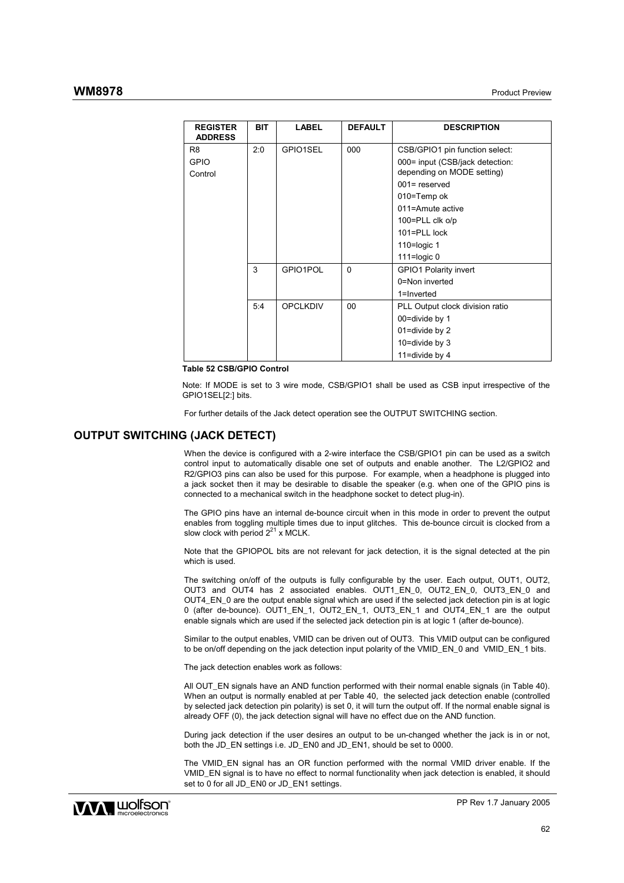| <b>REGISTER</b><br><b>ADDRESS</b> | BIT | <b>LABEL</b>    | <b>DEFAULT</b> | <b>DESCRIPTION</b>              |
|-----------------------------------|-----|-----------------|----------------|---------------------------------|
| R8                                | 2:0 | GPIO1SEL        | 000            | CSB/GPIO1 pin function select:  |
| <b>GPIO</b>                       |     |                 |                | 000= input (CSB/jack detection: |
| Control                           |     |                 |                | depending on MODE setting)      |
|                                   |     |                 |                | $001$ = reserved                |
|                                   |     |                 |                | 010=Temp ok                     |
|                                   |     |                 |                | 011=Amute active                |
|                                   |     |                 |                | 100=PLL clk o/p                 |
|                                   |     |                 |                | 101=PLL lock                    |
|                                   |     |                 |                | 110=logic 1                     |
|                                   |     |                 |                | 111= $logic$ 0                  |
|                                   | 3   | GPIO1POL        | $\Omega$       | <b>GPIO1 Polarity invert</b>    |
|                                   |     |                 |                | 0=Non inverted                  |
|                                   |     |                 |                | 1=Inverted                      |
|                                   | 5:4 | <b>OPCLKDIV</b> | $00 \,$        | PLL Output clock division ratio |
|                                   |     |                 |                | 00=divide by 1                  |
|                                   |     |                 |                | 01=divide by 2                  |
|                                   |     |                 |                | 10=divide by 3                  |
|                                   |     |                 |                | 11=divide by 4                  |

### **Table 52 CSB/GPIO Control**

Note: If MODE is set to 3 wire mode, CSB/GPIO1 shall be used as CSB input irrespective of the GPIO1SEL[2:] bits.

For further details of the Jack detect operation see the OUTPUT SWITCHING section.

## **OUTPUT SWITCHING (JACK DETECT)**

When the device is configured with a 2-wire interface the CSB/GPIO1 pin can be used as a switch control input to automatically disable one set of outputs and enable another. The L2/GPIO2 and R2/GPIO3 pins can also be used for this purpose. For example, when a headphone is plugged into a jack socket then it may be desirable to disable the speaker (e.g. when one of the GPIO pins is connected to a mechanical switch in the headphone socket to detect plug-in).

The GPIO pins have an internal de-bounce circuit when in this mode in order to prevent the output enables from toggling multiple times due to input glitches. This de-bounce circuit is clocked from a slow clock with period  $2^{21}$  x MCLK.

Note that the GPIOPOL bits are not relevant for jack detection, it is the signal detected at the pin which is used.

The switching on/off of the outputs is fully configurable by the user. Each output, OUT1, OUT2, OUT3 and OUT4 has 2 associated enables. OUT1\_EN\_0, OUT2\_EN\_0, OUT3\_EN\_0 and OUT4\_EN\_0 are the output enable signal which are used if the selected jack detection pin is at logic 0 (after de-bounce). OUT1\_EN\_1, OUT2\_EN\_1, OUT3\_EN\_1 and OUT4\_EN\_1 are the output enable signals which are used if the selected jack detection pin is at logic 1 (after de-bounce).

Similar to the output enables, VMID can be driven out of OUT3. This VMID output can be configured to be on/off depending on the jack detection input polarity of the VMID\_EN\_0 and VMID\_EN\_1 bits.

The jack detection enables work as follows:

All OUT EN signals have an AND function performed with their normal enable signals (in Table 40). When an output is normally enabled at per Table 40, the selected jack detection enable (controlled by selected jack detection pin polarity) is set 0, it will turn the output off. If the normal enable signal is already OFF (0), the jack detection signal will have no effect due on the AND function.

During jack detection if the user desires an output to be un-changed whether the jack is in or not, both the JD\_EN settings i.e. JD\_EN0 and JD\_EN1, should be set to 0000.

The VMID\_EN signal has an OR function performed with the normal VMID driver enable. If the VMID\_EN signal is to have no effect to normal functionality when jack detection is enabled, it should set to 0 for all JD\_EN0 or JD\_EN1 settings.

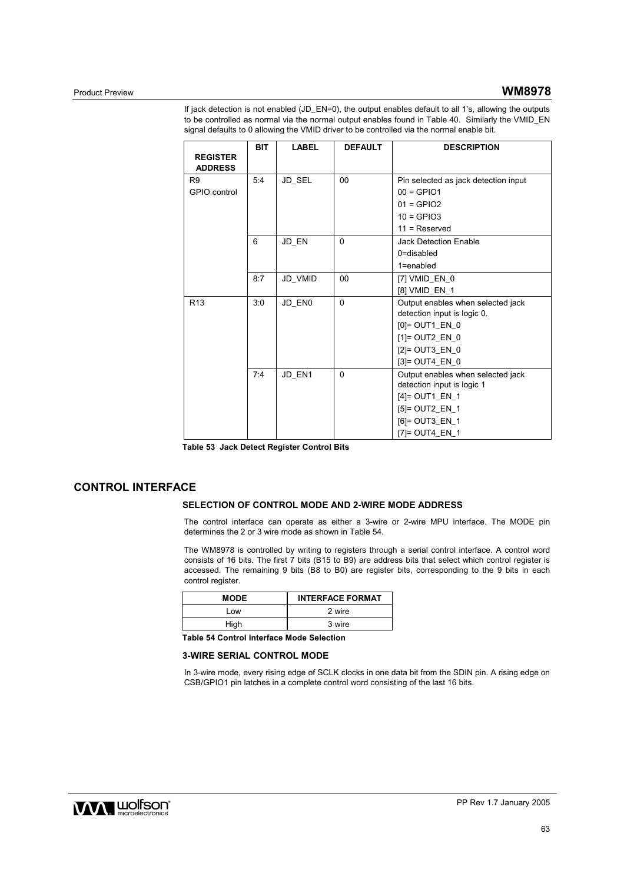## Product Preview **WM8978**

If jack detection is not enabled (JD\_EN=0), the output enables default to all 1's, allowing the outputs to be controlled as normal via the normal output enables found in Table 40. Similarly the VMID\_EN signal defaults to 0 allowing the VMID driver to be controlled via the normal enable bit.

|                                   | <b>BIT</b> | <b>LABEL</b> | <b>DEFAULT</b> | <b>DESCRIPTION</b>                   |
|-----------------------------------|------------|--------------|----------------|--------------------------------------|
| <b>REGISTER</b><br><b>ADDRESS</b> |            |              |                |                                      |
| R9                                | 5:4        | JD_SEL       | 00             | Pin selected as jack detection input |
| <b>GPIO</b> control               |            |              |                | $00 = GPIO1$                         |
|                                   |            |              |                | $01 = GPIO2$                         |
|                                   |            |              |                | $10 = GPIO3$                         |
|                                   |            |              |                | $11 =$ Reserved                      |
|                                   | 6          | JD_EN        | $\Omega$       | <b>Jack Detection Enable</b>         |
|                                   |            |              |                | 0=disabled                           |
|                                   |            |              |                | $1$ =enabled                         |
|                                   | 8:7        | JD VMID      | 00             | [7] VMID_EN_0                        |
|                                   |            |              |                | [8] VMID_EN_1                        |
| R <sub>13</sub>                   | 3:0        | JD_EN0       | $\Omega$       | Output enables when selected jack    |
|                                   |            |              |                | detection input is logic 0.          |
|                                   |            |              |                | [0]= OUT1_EN_0                       |
|                                   |            |              |                | $[1] = OUT2_EN_0$                    |
|                                   |            |              |                | [2]= OUT3_EN_0                       |
|                                   |            |              |                | [3]= OUT4 EN 0                       |
|                                   | 7:4        | JD_EN1       | $\Omega$       | Output enables when selected jack    |
|                                   |            |              |                | detection input is logic 1           |
|                                   |            |              |                | $[4] =$ OUT1_EN_1                    |
|                                   |            |              |                | [5]= OUT2_EN_1                       |
|                                   |            |              |                | [6]= OUT3_EN_1                       |
|                                   |            |              |                | $[7] = \text{OUT4 EN} 1$             |

**Table 53 Jack Detect Register Control Bits** 

## **CONTROL INTERFACE**

## **SELECTION OF CONTROL MODE AND 2-WIRE MODE ADDRESS**

The control interface can operate as either a 3-wire or 2-wire MPU interface. The MODE pin determines the 2 or 3 wire mode as shown in Table 54.

The WM8978 is controlled by writing to registers through a serial control interface. A control word consists of 16 bits. The first 7 bits (B15 to B9) are address bits that select which control register is accessed. The remaining 9 bits (B8 to B0) are register bits, corresponding to the 9 bits in each control register.

| <b>MODE</b> | <b>INTERFACE FORMAT</b> |
|-------------|-------------------------|
| Low         | 2 wire                  |
| High        | 3 wire                  |

**Table 54 Control Interface Mode Selection** 

### **3-WIRE SERIAL CONTROL MODE**

In 3-wire mode, every rising edge of SCLK clocks in one data bit from the SDIN pin. A rising edge on CSB/GPIO1 pin latches in a complete control word consisting of the last 16 bits.

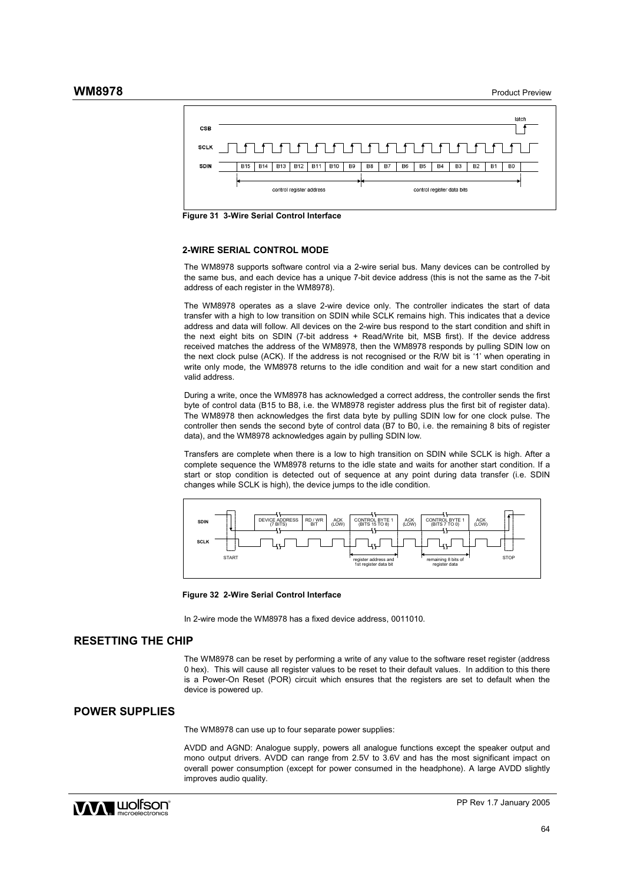

**Figure 31 3-Wire Serial Control Interface** 

### **2-WIRE SERIAL CONTROL MODE**

The WM8978 supports software control via a 2-wire serial bus. Many devices can be controlled by the same bus, and each device has a unique 7-bit device address (this is not the same as the 7-bit address of each register in the WM8978).

The WM8978 operates as a slave 2-wire device only. The controller indicates the start of data transfer with a high to low transition on SDIN while SCLK remains high. This indicates that a device address and data will follow. All devices on the 2-wire bus respond to the start condition and shift in the next eight bits on SDIN (7-bit address + Read/Write bit, MSB first). If the device address received matches the address of the WM8978, then the WM8978 responds by pulling SDIN low on the next clock pulse (ACK). If the address is not recognised or the R/W bit is '1' when operating in write only mode, the WM8978 returns to the idle condition and wait for a new start condition and valid address.

During a write, once the WM8978 has acknowledged a correct address, the controller sends the first byte of control data (B15 to B8, i.e. the WM8978 register address plus the first bit of register data). The WM8978 then acknowledges the first data byte by pulling SDIN low for one clock pulse. The controller then sends the second byte of control data (B7 to B0, i.e. the remaining 8 bits of register data), and the WM8978 acknowledges again by pulling SDIN low.

Transfers are complete when there is a low to high transition on SDIN while SCLK is high. After a complete sequence the WM8978 returns to the idle state and waits for another start condition. If a start or stop condition is detected out of sequence at any point during data transfer (i.e. SDIN changes while SCLK is high), the device jumps to the idle condition.



**Figure 32 2-Wire Serial Control Interface** 

In 2-wire mode the WM8978 has a fixed device address, 0011010.

## **RESETTING THE CHIP**

The WM8978 can be reset by performing a write of any value to the software reset register (address 0 hex). This will cause all register values to be reset to their default values. In addition to this there is a Power-On Reset (POR) circuit which ensures that the registers are set to default when the device is powered up.

## **POWER SUPPLIES**

The WM8978 can use up to four separate power supplies:

AVDD and AGND: Analogue supply, powers all analogue functions except the speaker output and mono output drivers. AVDD can range from 2.5V to 3.6V and has the most significant impact on overall power consumption (except for power consumed in the headphone). A large AVDD slightly improves audio quality.

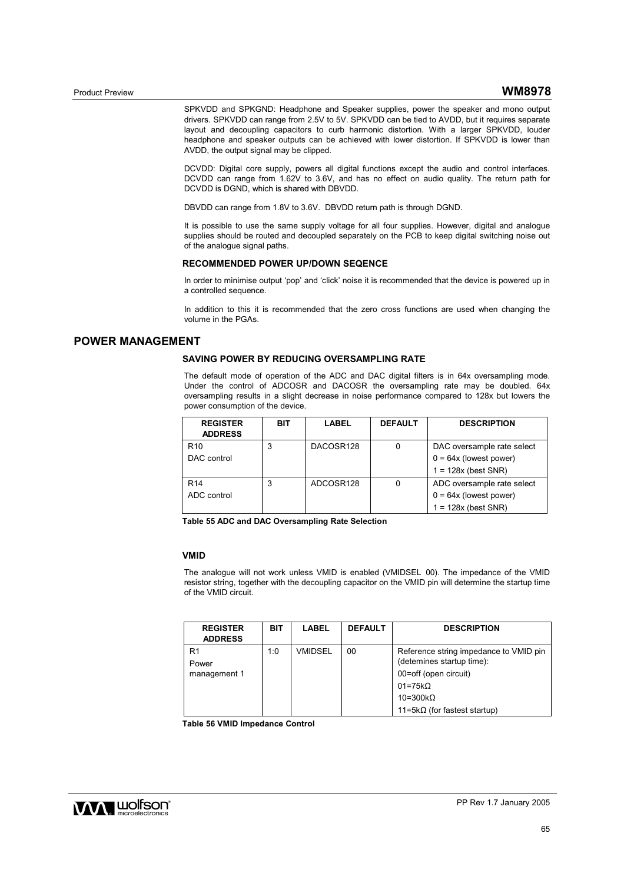SPKVDD and SPKGND: Headphone and Speaker supplies, power the speaker and mono output drivers. SPKVDD can range from 2.5V to 5V. SPKVDD can be tied to AVDD, but it requires separate layout and decoupling capacitors to curb harmonic distortion. With a larger SPKVDD, louder headphone and speaker outputs can be achieved with lower distortion. If SPKVDD is lower than AVDD, the output signal may be clipped.

DCVDD: Digital core supply, powers all digital functions except the audio and control interfaces. DCVDD can range from 1.62V to 3.6V, and has no effect on audio quality. The return path for DCVDD is DGND, which is shared with DBVDD.

DBVDD can range from 1.8V to 3.6V. DBVDD return path is through DGND.

It is possible to use the same supply voltage for all four supplies. However, digital and analogue supplies should be routed and decoupled separately on the PCB to keep digital switching noise out of the analogue signal paths.

### **RECOMMENDED POWER UP/DOWN SEQENCE**

In order to minimise output 'pop' and 'click' noise it is recommended that the device is powered up in a controlled sequence.

In addition to this it is recommended that the zero cross functions are used when changing the volume in the PGAs.

## **POWER MANAGEMENT**

### **SAVING POWER BY REDUCING OVERSAMPLING RATE**

The default mode of operation of the ADC and DAC digital filters is in 64x oversampling mode. Under the control of ADCOSR and DACOSR the oversampling rate may be doubled. 64x oversampling results in a slight decrease in noise performance compared to 128x but lowers the power consumption of the device.

| <b>REGISTER</b><br><b>ADDRESS</b> | BIT | LABEL     | <b>DEFAULT</b> | <b>DESCRIPTION</b>         |
|-----------------------------------|-----|-----------|----------------|----------------------------|
| R <sub>10</sub>                   |     | DACOSR128 | 0              | DAC oversample rate select |
| DAC control                       |     |           |                | $0 = 64x$ (lowest power)   |
|                                   |     |           |                | $1 = 128x$ (best SNR)      |
| R <sub>14</sub>                   | 3   | ADCOSR128 | 0              | ADC oversample rate select |
| ADC control                       |     |           |                | $0 = 64x$ (lowest power)   |
|                                   |     |           |                | $1 = 128x$ (best SNR)      |

**Table 55 ADC and DAC Oversampling Rate Selection** 

### **VMID**

The analogue will not work unless VMID is enabled (VMIDSEL 00). The impedance of the VMID resistor string, together with the decoupling capacitor on the VMID pin will determine the startup time of the VMID circuit.

| <b>REGISTER</b><br><b>ADDRESS</b> | <b>BIT</b> | <b>LABEL</b> | <b>DEFAULT</b> | <b>DESCRIPTION</b>                                                  |
|-----------------------------------|------------|--------------|----------------|---------------------------------------------------------------------|
| R1<br>Power                       | 1:0        | VMIDSEL      | 00             | Reference string impedance to VMID pin<br>(detemines startup time): |
| management 1                      |            |              |                | 00=off (open circuit)                                               |
|                                   |            |              |                | $01 = 75k\Omega$                                                    |
|                                   |            |              |                | $10=300k\Omega$                                                     |
|                                   |            |              |                | $11=5k\Omega$ (for fastest startup)                                 |

**Table 56 VMID Impedance Control** 

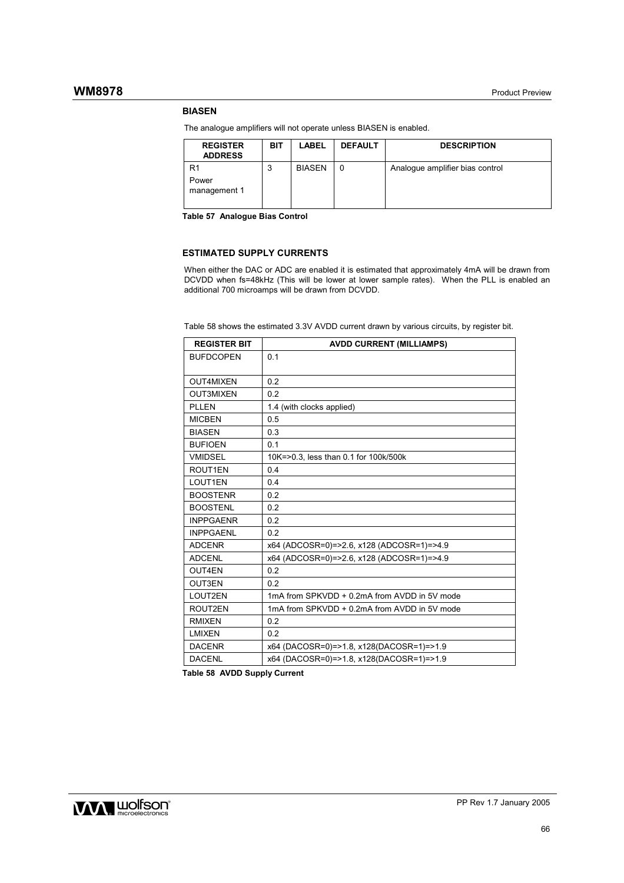### **BIASEN**

| <b>REGISTER</b><br><b>ADDRESS</b> | BIT | LABEL         | <b>DEFAULT</b> | <b>DESCRIPTION</b>              |
|-----------------------------------|-----|---------------|----------------|---------------------------------|
| R1<br>Power<br>management 1       | 3   | <b>BIASEN</b> |                | Analogue amplifier bias control |

The analogue amplifiers will not operate unless BIASEN is enabled.

**Table 57 Analogue Bias Control** 

### **ESTIMATED SUPPLY CURRENTS**

When either the DAC or ADC are enabled it is estimated that approximately 4mA will be drawn from DCVDD when fs=48kHz (This will be lower at lower sample rates). When the PLL is enabled an additional 700 microamps will be drawn from DCVDD.

|  |  | Table 58 shows the estimated 3.3V AVDD current drawn by various circuits, by register bit. |
|--|--|--------------------------------------------------------------------------------------------|
|  |  |                                                                                            |

| <b>REGISTER BIT</b> | <b>AVDD CURRENT (MILLIAMPS)</b>              |
|---------------------|----------------------------------------------|
| <b>BUFDCOPEN</b>    | 0.1                                          |
|                     |                                              |
| <b>OUT4MIXEN</b>    | 0.2                                          |
| <b>OUT3MIXEN</b>    | 0.2                                          |
| <b>PLLEN</b>        | 1.4 (with clocks applied)                    |
| <b>MICBEN</b>       | 0.5                                          |
| <b>BIASEN</b>       | 0.3                                          |
| <b>BUFIOEN</b>      | 0.1                                          |
| <b>VMIDSEL</b>      | 10K=>0.3, less than 0.1 for 100k/500k        |
| ROUT1EN             | 0.4                                          |
| LOUT1EN             | 0.4                                          |
| <b>BOOSTENR</b>     | 0.2                                          |
| <b>BOOSTENL</b>     | 0.2                                          |
| <b>INPPGAENR</b>    | 0.2                                          |
| <b>INPPGAENL</b>    | 0.2                                          |
| <b>ADCENR</b>       | x64 (ADCOSR=0)=>2.6, x128 (ADCOSR=1)=>4.9    |
| <b>ADCENL</b>       | x64 (ADCOSR=0)=>2.6, x128 (ADCOSR=1)=>4.9    |
| OUT4EN              | 0.2                                          |
| OUT3EN              | 0.2                                          |
| LOUT2EN             | 1mA from SPKVDD + 0.2mA from AVDD in 5V mode |
| ROUT2EN             | 1mA from SPKVDD + 0.2mA from AVDD in 5V mode |
| <b>RMIXEN</b>       | 0.2                                          |
| <b>LMIXEN</b>       | 0.2                                          |
| <b>DACENR</b>       | x64 (DACOSR=0)=>1.8, x128(DACOSR=1)=>1.9     |
| <b>DACENL</b>       | x64 (DACOSR=0)=>1.8, x128(DACOSR=1)=>1.9     |

**Table 58 AVDD Supply Current** 

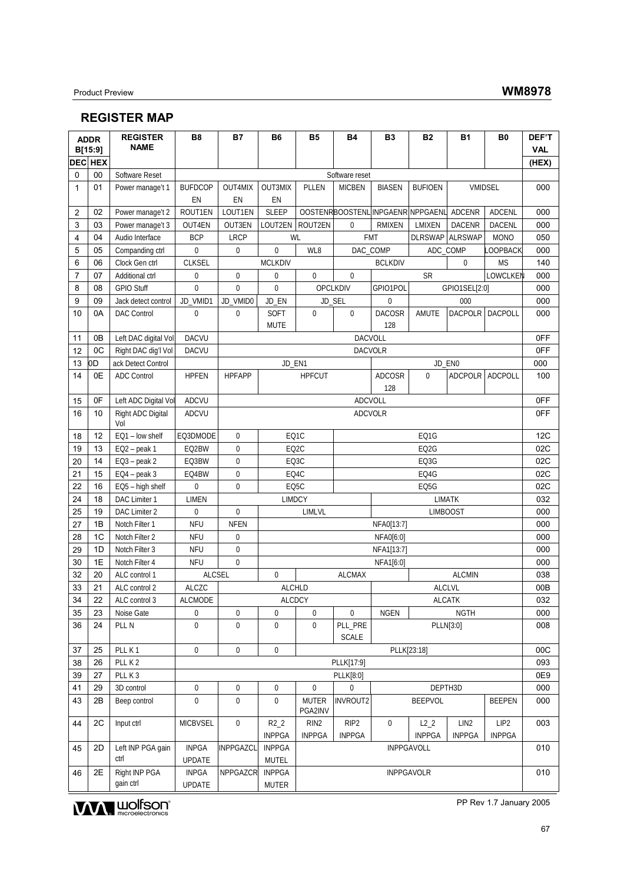# **REGISTER MAP**

| <b>ADDR</b>    |                | <b>REGISTER</b><br><b>NAME</b> | <b>B8</b>                     | B7                                                                                                       | B6                                  | <b>B5</b>                                 | <b>B4</b>        | B <sub>3</sub> | B <sub>2</sub>                  | <b>B1</b>       | B0               | DEF'T      |
|----------------|----------------|--------------------------------|-------------------------------|----------------------------------------------------------------------------------------------------------|-------------------------------------|-------------------------------------------|------------------|----------------|---------------------------------|-----------------|------------------|------------|
|                | B[15:9]        |                                |                               |                                                                                                          |                                     |                                           |                  |                |                                 |                 |                  | <b>VAL</b> |
|                | <b>DEC HEX</b> |                                |                               |                                                                                                          |                                     |                                           |                  |                |                                 | (HEX)           |                  |            |
| 0              | 00             | <b>Software Reset</b>          |                               | Software reset                                                                                           |                                     |                                           |                  |                |                                 |                 |                  |            |
| 1              | 01             | Power manage't 1               | <b>BUFDCOP</b>                | <b>BUFIOEN</b><br><b>OUT4MIX</b><br><b>OUT3MIX</b><br>PLLEN<br><b>BIASEN</b><br>VMIDSEL<br><b>MICBEN</b> |                                     |                                           |                  |                | 000                             |                 |                  |            |
|                |                |                                | EN                            | ΕN                                                                                                       | EN                                  |                                           |                  |                |                                 |                 |                  |            |
| 2              | 02             | Power manage't 2               | ROUT1EN                       | LOUT1EN                                                                                                  | <b>SLEEP</b>                        |                                           |                  |                | OOSTENRBOOSTENLINPGAENRNPPGAENL | <b>ADCENR</b>   | <b>ADCENL</b>    | 000        |
| 3              | 03             | Power manage't 3               | OUT4EN                        | OUT3EN                                                                                                   | LOUT2EN                             | ROUT2EN                                   | 0                | RMIXEN         | LMIXEN                          | <b>DACENR</b>   | <b>DACENL</b>    | 000        |
| 4              | 04             | Audio Interface                | <b>BCP</b>                    | <b>LRCP</b>                                                                                              |                                     | WL                                        |                  | <b>FMT</b>     | DLRSWAP ALRSWAP                 |                 | <b>MONO</b>      | 050        |
| 5              | 05             | Companding ctrl                | 0                             | 0                                                                                                        | 0                                   | WL8<br>DAC_COMP<br>ADC_COMP               |                  |                |                                 | <b>OOPBACK</b>  | 000              |            |
| 6              | 06             | Clock Gen ctrl                 | <b>CLKSEL</b>                 |                                                                                                          | <b>MCLKDIV</b>                      | <b>BCLKDIV</b><br><b>MS</b><br>0          |                  |                |                                 | <b>LOWCLKEN</b> | 140              |            |
| $\overline{7}$ | 07             | Additional ctrl                | $\pmb{0}$                     | 0                                                                                                        | 0                                   | $\mathbf 0$<br>0<br><b>SR</b><br>OPCLKDIV |                  |                |                                 |                 | 000              |            |
| 8              | 08             | <b>GPIO Stuff</b>              | $\mathbf{0}$                  | 0                                                                                                        | 0                                   |                                           |                  | GPIO1POL       |                                 | GPIO1SEL[2:0]   |                  | 000        |
| 9              | 09             | Jack detect control            | JD_VMID1                      | JD_VMID0                                                                                                 | JD_EN                               | JD_SEL                                    |                  | 0              |                                 | 000             |                  | 000        |
| 10             | 0A             | <b>DAC Control</b>             | $\mathbf{0}$                  | 0                                                                                                        | <b>SOFT</b><br><b>MUTE</b>          | $\mathbf 0$                               | $\pmb{0}$        | DACOSR<br>128  | <b>AMUTE</b>                    | DACPOLR         | <b>DACPOLL</b>   | 000        |
| 11             | 0B             | Left DAC digital Vol           | <b>DACVU</b>                  |                                                                                                          |                                     | <b>DACVOLL</b>                            |                  |                |                                 |                 | 0FF              |            |
| 12             | 0 <sup>C</sup> | Right DAC dig'l Vol            | <b>DACVU</b>                  |                                                                                                          |                                     |                                           | <b>DACVOLR</b>   |                |                                 |                 |                  | 0FF        |
| 13             | 0D             | ack Detect Control             |                               |                                                                                                          | JD_EN1                              |                                           |                  |                |                                 | JD EN0          |                  | 000        |
| 14             | 0E             | <b>ADC Control</b>             | <b>HPFEN</b>                  | <b>HPFAPP</b>                                                                                            |                                     | <b>HPFCUT</b>                             |                  | <b>ADCOSR</b>  | 0                               | ADCPOLR         | <b>ADCPOLL</b>   | 100        |
|                |                |                                |                               |                                                                                                          |                                     |                                           |                  | 128            |                                 |                 |                  |            |
| 15             | 0F             | Left ADC Digital Vol           | ADCVU                         |                                                                                                          | ADCVOLL                             |                                           |                  |                |                                 |                 | 0FF              |            |
| 16             | 10             | <b>Right ADC Digital</b>       | <b>ADCVU</b>                  | <b>ADCVOLR</b>                                                                                           |                                     |                                           |                  |                |                                 | 0FF             |                  |            |
|                |                | Vol                            |                               |                                                                                                          |                                     |                                           |                  |                |                                 |                 |                  |            |
| 18             | 12             | EQ1 - low shelf                | EQ3DMODE                      | 0                                                                                                        |                                     | EQ1C<br>EQ1G                              |                  |                |                                 |                 |                  | 12C        |
| 19             | 13             | $EQ2 - peak1$                  | EQ2BW                         | 0                                                                                                        |                                     | EQ <sub>2</sub> C<br>EQ2G                 |                  |                |                                 |                 |                  | 02C        |
| 20             | 14             | $EO3 - peak2$                  | EQ3BW                         | 0                                                                                                        |                                     | EQ3C<br>EQ3G                              |                  |                |                                 |                 |                  | 02C        |
| 21             | 15             | $EO4 - peak3$                  | EQ4BW                         | 0                                                                                                        |                                     | EQ4C<br>EQ4G                              |                  |                |                                 |                 |                  | 02C        |
| 22             | 16             | EQ5 - high shelf               | $\mathbf{0}$                  | 0                                                                                                        |                                     | EQ5C<br>EQ5G                              |                  |                |                                 |                 |                  | 02C        |
| 24             | 18             | DAC Limiter 1                  | LIMEN                         |                                                                                                          | <b>LIMDCY</b>                       | <b>LIMATK</b>                             |                  |                |                                 |                 |                  | 032        |
| 25             | 19             | DAC Limiter 2                  | $\mathbf 0$                   | 0                                                                                                        |                                     | <b>LIMLVL</b><br><b>LIMBOOST</b>          |                  |                |                                 |                 | 000              |            |
| 27             | 1B             | Notch Filter 1                 | <b>NFU</b>                    | <b>NFEN</b>                                                                                              |                                     | NFA0[13:7]                                |                  |                |                                 |                 |                  | 000        |
| 28             | 1 <sub>C</sub> | Notch Filter 2                 | <b>NFU</b>                    | 0                                                                                                        |                                     | NFA0[6:0]                                 |                  |                |                                 |                 |                  | 000        |
| 29             | 1D             | Notch Filter 3                 | <b>NFU</b>                    | 0                                                                                                        |                                     | NFA1[13:7]                                |                  |                |                                 |                 |                  | 000        |
| 30             | 1E             | Notch Filter 4                 | <b>NFU</b>                    | 0                                                                                                        |                                     | NFA1[6:0]                                 |                  |                |                                 |                 |                  | 000        |
| 32             | 20             | ALC control 1                  | <b>ALCSEL</b>                 |                                                                                                          | 0<br><b>ALCMIN</b><br><b>ALCMAX</b> |                                           |                  |                |                                 |                 | 038              |            |
| 33             | 21             | ALC control 2                  | ALCZC                         |                                                                                                          | <b>ALCHLD</b><br><b>ALCLVL</b>      |                                           |                  |                |                                 |                 | 00B              |            |
| 34             | 22             | ALC control 3                  | <b>ALCMODE</b>                |                                                                                                          |                                     | ALCDCY<br>ALCATK                          |                  |                |                                 |                 | 032              |            |
| 35             | 23             | Noise Gate                     | 0                             | 0                                                                                                        | 0                                   | 0                                         | 0                | <b>NGEN</b>    |                                 | <b>NGTH</b>     |                  | 000        |
| 36             | 24             | PLL N                          | $\pmb{0}$                     | 0                                                                                                        | 0                                   | $\mathbf 0$                               | PLL_PRE          |                |                                 | PLLN[3:0]       |                  | 008        |
|                |                |                                |                               |                                                                                                          |                                     |                                           | <b>SCALE</b>     |                |                                 |                 |                  |            |
| 37             | 25             | PLL K1                         | $\pmb{0}$                     | 0                                                                                                        | 0                                   | PLLK[23:18]                               |                  |                |                                 |                 |                  | 00C        |
| 38             | 26             | PLL K 2                        |                               |                                                                                                          | PLLK[17:9]                          |                                           |                  |                |                                 |                 |                  | 093        |
| 39             | 27             | PLL K3                         |                               |                                                                                                          |                                     | PLLK[8:0]                                 |                  |                |                                 |                 |                  | 0E9        |
| 41             | 29             | 3D control                     | $\bf{0}$                      | 0                                                                                                        | 0                                   | 0<br>0<br>DEPTH3D                         |                  |                |                                 | 000             |                  |            |
| 43             | 2Β             | Beep control                   | $\mathbf 0$                   | 0                                                                                                        | 0                                   | <b>MUTER</b><br>PGA2INV                   | <b>INVROUT2</b>  |                | <b>BEEPVOL</b>                  |                 | <b>BEEPEN</b>    | 000        |
| 44             | 2C             | Input ctrl                     | <b>MICBVSEL</b>               | $\bf{0}$                                                                                                 | $R2_2$                              | RIN <sub>2</sub>                          | RIP <sub>2</sub> | 0              | $L2_2$                          | LIN2            | LIP <sub>2</sub> | 003        |
|                |                |                                |                               |                                                                                                          | <b>INPPGA</b>                       | <b>INPPGA</b>                             | <b>INPPGA</b>    |                | <b>INPPGA</b>                   | <b>INPPGA</b>   | <b>INPPGA</b>    |            |
| 45             | 2D             | Left INP PGA gain<br>ctrl      | <b>INPGA</b>                  | <b>INPPGAZCL</b>                                                                                         | <b>INPPGA</b>                       |                                           |                  |                | INPPGAVOLL                      |                 |                  | 010        |
|                |                | Right INP PGA                  | <b>UPDATE</b>                 |                                                                                                          | MUTEL                               | <b>INPPGAVOLR</b>                         |                  |                |                                 |                 |                  |            |
| 46             | 2E             | qain ctrl                      | <b>INPGA</b><br><b>UPDATE</b> | NPPGAZCR                                                                                                 | <b>INPPGA</b><br><b>MUTER</b>       |                                           |                  |                |                                 |                 |                  | 010        |

W PP Rev 1.7 January 2005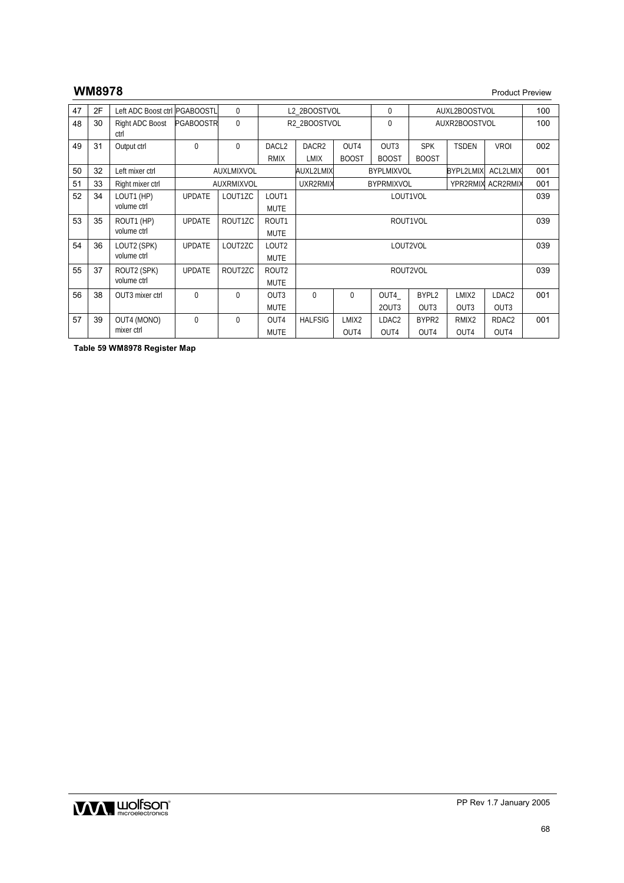# **WM8978** Product Preview

| 47 | 2F | Left ADC Boost ctrl PGABOOSTL |                  | $\mathbf{0}$ |                   | 0<br>L2 2BOOSTVOL<br>AUXL2BOOSTVOL                                           |                   |                   |                   | 100               |                   |     |
|----|----|-------------------------------|------------------|--------------|-------------------|------------------------------------------------------------------------------|-------------------|-------------------|-------------------|-------------------|-------------------|-----|
| 48 | 30 | Right ADC Boost<br>ctrl       | <b>PGABOOSTR</b> | 0            |                   | R2 2BOOSTVOL<br>0<br>AUXR2BOOSTVOL                                           |                   |                   |                   | 100               |                   |     |
| 49 | 31 | Output ctrl                   | $\mathbf{0}$     | $\mathbf{0}$ | DACL <sub>2</sub> | DACR <sub>2</sub>                                                            | OUT4              | OUT <sub>3</sub>  | <b>SPK</b>        | <b>TSDEN</b>      | <b>VROI</b>       | 002 |
|    |    |                               |                  |              | <b>RMIX</b>       | <b>LMIX</b>                                                                  | <b>BOOST</b>      | <b>BOOST</b>      | <b>BOOST</b>      |                   |                   |     |
| 50 | 32 | Left mixer ctrl               | AUXLMIXVOL       |              |                   | <b>AUXL2LMIX</b><br><b>ACL2LMIX</b><br><b>BYPLMIXVOL</b><br><b>BYPL2LMIX</b> |                   |                   |                   |                   | 001               |     |
| 51 | 33 | Right mixer ctrl              |                  | AUXRMIXVOL   |                   | UXR2RMIX<br>YPR2RMIX<br><b>BYPRMIXVOL</b>                                    |                   |                   |                   | <b>ACR2RMIX</b>   | 001               |     |
| 52 | 34 | LOUT1 (HP)                    | <b>UPDATE</b>    | LOUT1ZC      | LOUT1             | LOUT1VOL                                                                     |                   |                   |                   |                   |                   | 039 |
|    |    | volume ctrl                   |                  |              | <b>MUTE</b>       |                                                                              |                   |                   |                   |                   |                   |     |
| 53 | 35 | ROUT1 (HP)                    | <b>UPDATE</b>    | ROUT1ZC      | ROUT1             | ROUT1VOL                                                                     |                   |                   |                   |                   |                   | 039 |
|    |    | volume ctrl                   |                  |              | <b>MUTE</b>       |                                                                              |                   |                   |                   |                   |                   |     |
| 54 | 36 | LOUT2 (SPK)                   | <b>UPDATE</b>    | LOUT2ZC      | LOUT <sub>2</sub> | LOUT2VOL                                                                     |                   |                   |                   |                   |                   | 039 |
|    |    | volume ctrl                   |                  |              | <b>MUTE</b>       |                                                                              |                   |                   |                   |                   |                   |     |
| 55 | 37 | ROUT2 (SPK)                   | <b>UPDATE</b>    | ROUT2ZC      | ROUT <sub>2</sub> | ROUT2VOL                                                                     |                   |                   |                   |                   |                   | 039 |
|    |    | volume ctrl                   |                  |              | <b>MUTE</b>       |                                                                              |                   |                   |                   |                   |                   |     |
| 56 | 38 | OUT3 mixer ctrl               | $\Omega$         | $\mathbf{0}$ | OUT3              | $\mathbf{0}$                                                                 | $\Omega$          | OUT4              | BYPL2             | LMIX <sub>2</sub> | LDAC <sub>2</sub> | 001 |
|    |    |                               |                  |              | <b>MUTE</b>       |                                                                              |                   | 20UT3             | OUT <sub>3</sub>  | OUT <sub>3</sub>  | OUT <sub>3</sub>  |     |
| 57 | 39 | <b>OUT4 (MONO)</b>            | $\mathbf{0}$     | $\mathbf{0}$ | OUT <sub>4</sub>  | <b>HALFSIG</b>                                                               | LMIX <sub>2</sub> | LDAC <sub>2</sub> | BYPR <sub>2</sub> | RMIX <sub>2</sub> | RDAC <sub>2</sub> | 001 |
|    |    | mixer ctrl                    |                  |              | <b>MUTE</b>       | OUT <sub>4</sub><br>OUT4<br>OUT <sub>4</sub><br>OUT4<br>OUT <sub>4</sub>     |                   |                   |                   |                   |                   |     |

**Table 59 WM8978 Register Map**

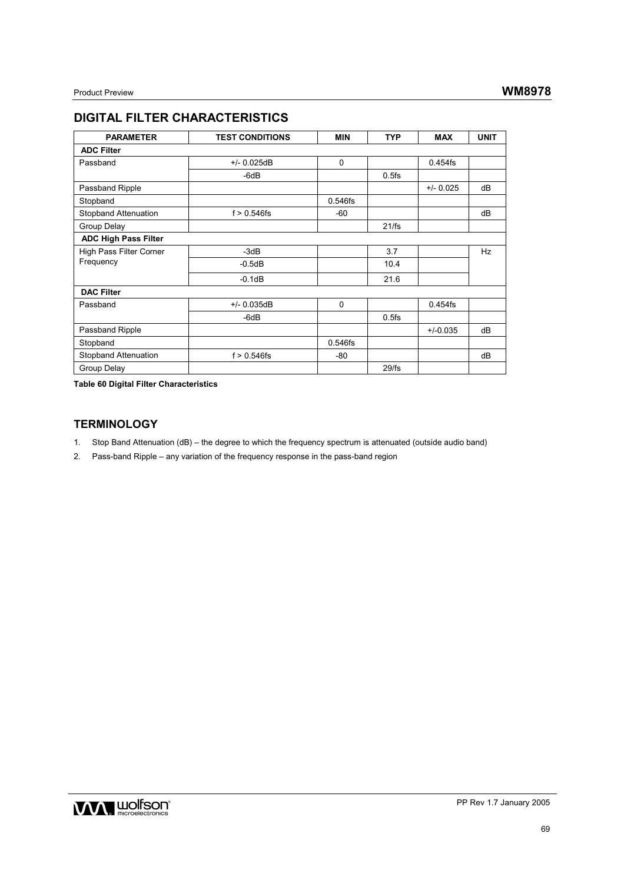# **DIGITAL FILTER CHARACTERISTICS**

| <b>PARAMETER</b>            | <b>TEST CONDITIONS</b> | <b>MIN</b> | <b>TYP</b> | <b>MAX</b>  | <b>UNIT</b> |  |  |  |  |  |
|-----------------------------|------------------------|------------|------------|-------------|-------------|--|--|--|--|--|
| <b>ADC Filter</b>           |                        |            |            |             |             |  |  |  |  |  |
| Passband                    | $+/- 0.025dB$          | 0          |            | $0.454$ fs  |             |  |  |  |  |  |
|                             | $-6dB$                 |            | $0.5$ fs   |             |             |  |  |  |  |  |
| Passband Ripple             |                        |            |            | $+/- 0.025$ | dB          |  |  |  |  |  |
| Stopband                    |                        | $0.546$ fs |            |             |             |  |  |  |  |  |
| <b>Stopband Attenuation</b> | $f > 0.546$ fs         | -60        |            |             | dB          |  |  |  |  |  |
| <b>Group Delay</b>          |                        |            | 21/fs      |             |             |  |  |  |  |  |
| <b>ADC High Pass Filter</b> |                        |            |            |             |             |  |  |  |  |  |
| High Pass Filter Corner     | $-3dB$                 |            | 3.7        |             | Hz          |  |  |  |  |  |
| Frequency                   | $-0.5dB$               |            | 10.4       |             |             |  |  |  |  |  |
|                             | $-0.1dB$               |            | 21.6       |             |             |  |  |  |  |  |
| <b>DAC Filter</b>           |                        |            |            |             |             |  |  |  |  |  |
| Passband                    | $+/- 0.035dB$          | 0          |            | $0.454$ fs  |             |  |  |  |  |  |
|                             | $-6dB$                 |            | $0.5$ fs   |             |             |  |  |  |  |  |
| Passband Ripple             |                        |            |            | $+/-0.035$  | dB          |  |  |  |  |  |
| Stopband                    |                        | $0.546$ fs |            |             |             |  |  |  |  |  |
| <b>Stopband Attenuation</b> | $f > 0.546$ fs         | -80        |            |             | dB          |  |  |  |  |  |
| <b>Group Delay</b>          |                        |            | 29/fs      |             |             |  |  |  |  |  |

**Table 60 Digital Filter Characteristics** 

## **TERMINOLOGY**

1. Stop Band Attenuation (dB) – the degree to which the frequency spectrum is attenuated (outside audio band)

2. Pass-band Ripple – any variation of the frequency response in the pass-band region

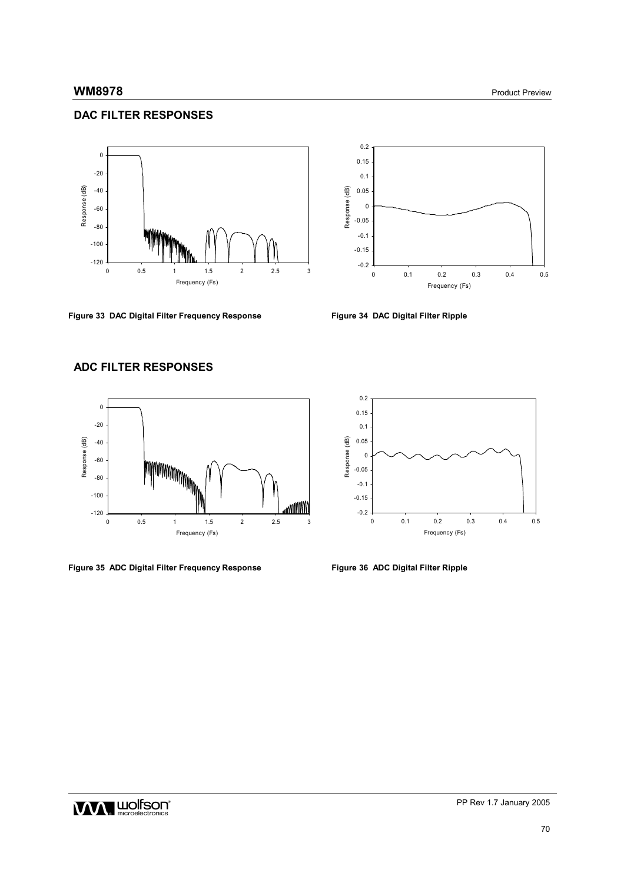## **DAC FILTER RESPONSES**







## **ADC FILTER RESPONSES**



**Figure 35 ADC Digital Filter Frequency Response Figure 36 ADC Digital Filter Ripple** 



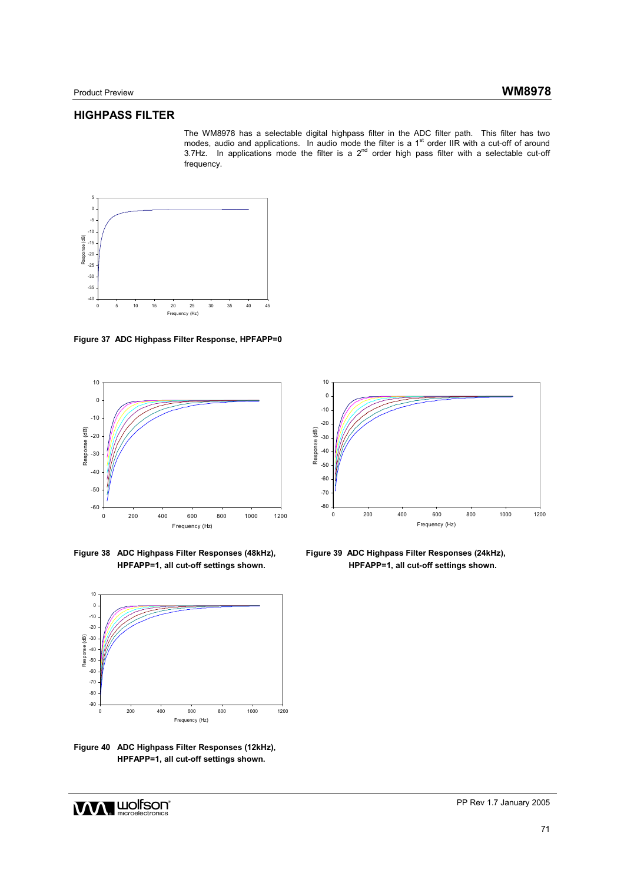The WM8978 has a selectable digital highpass filter in the ADC filter path. This filter has two modes, audio and applications. In audio mode the filter is a 1<sup>st</sup> order IIR with a cut-off of around 3.7Hz. In applications mode the filter is a  $2<sup>nd</sup>$  order high pass filter with a selectable cut-off frequency.



**Figure 37 ADC Highpass Filter Response, HPFAPP=0** 



**Figure 38 ADC Highpass Filter Responses (48kHz), HPFAPP=1, all cut-off settings shown.** 



**Figure 40 ADC Highpass Filter Responses (12kHz), HPFAPP=1, all cut-off settings shown.** 



 **Figure 39 ADC Highpass Filter Responses (24kHz), HPFAPP=1, all cut-off settings shown.**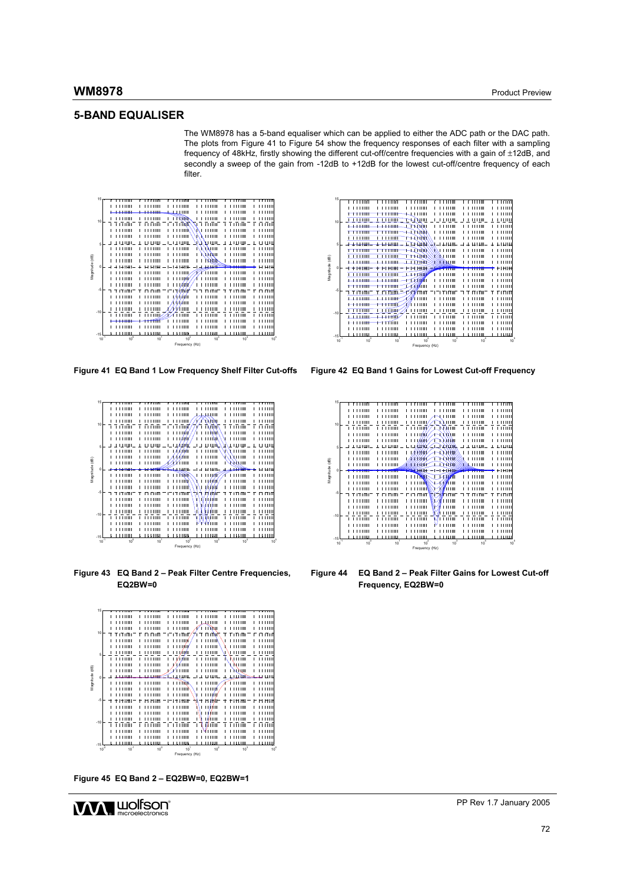The WM8978 has a 5-band equaliser which can be applied to either the ADC path or the DAC path. The plots from Figure 41 to Figure 54 show the frequency responses of each filter with a sampling frequency of 48kHz, firstly showing the different cut-off/centre frequencies with a gain of ±12dB, and secondly a sweep of the gain from -12dB to +12dB for the lowest cut-off/centre frequency of each filter.



**Figure 41 EQ Band 1 Low Frequency Shelf Filter Cut-offs Figure 42 EQ Band 1 Gains for Lowest Cut-off Frequency**



**Figure 43 EQ Band 2 – Peak Filter Centre Frequencies, EQ2BW=0** 



**Figure 45 EQ Band 2 – EQ2BW=0, EQ2BW=1** 







**Figure 44 EQ Band 2 – Peak Filter Gains for Lowest Cut-off Frequency, EQ2BW=0**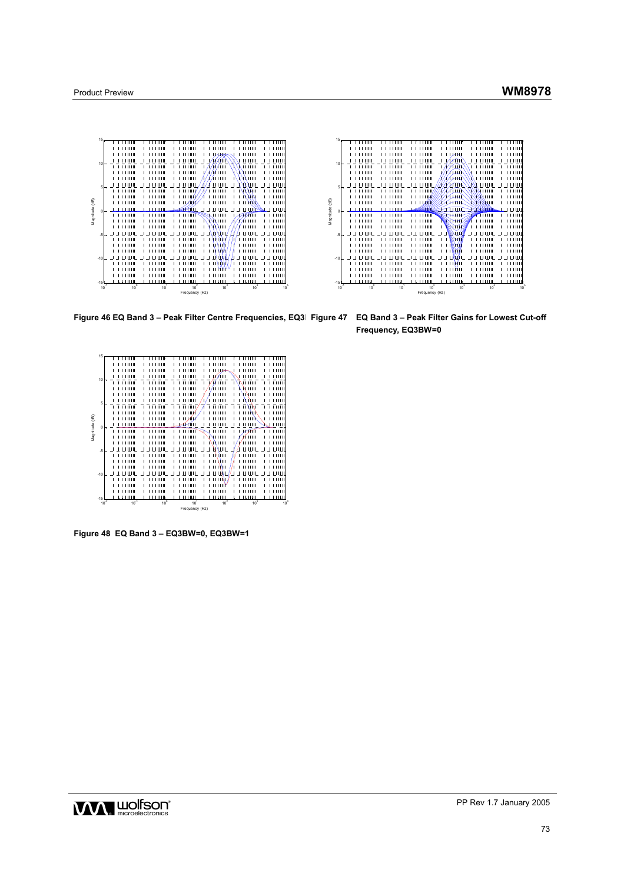



Figure 46 EQ Band 3 - Peak Filter Centre Frequencies, EQ3| Figure 47 EQ Band 3 - Peak Filter Gains for Lowest Cut-off  **Frequency, EQ3BW=0** 

|                | 15           |                 |                 |                |                      |                |                 |
|----------------|--------------|-----------------|-----------------|----------------|----------------------|----------------|-----------------|
|                |              | THILL           | 11111           | Ш              | 1111                 | $\blacksquare$ | 11111           |
|                |              |                 |                 |                |                      |                |                 |
|                |              | шш              | Ш               | ш              | <b>TTUH</b>          | 11111          | 11111           |
|                | 10           | шш              | Ш               | ш              | <b>AYUL</b>          | 1111           | 1111            |
|                |              | гили            | ш               | 11111          | <b>VMTIII</b>        | пш             | гинг            |
|                |              | шш              | ш               | нш             | шш                   | ш              | <b>THE</b>      |
|                |              | шш              | Ш               | нш             | TTH                  | TШ             | ш               |
|                |              | ш               | 11111           | ш              | 11111                | ÀШ             | 111             |
|                | 5            | шш              | шш              | THILL          | 111111               | ۱W<br>I        | 11111           |
|                |              |                 |                 | тти            | 1110                 |                | 11111           |
|                |              | THE             | Ш               |                |                      | шNШ            |                 |
|                |              | тин             | 11111           | тиш            | ш                    | шħ             | 1111            |
|                | $\mathbf{0}$ | 1 1 1 1 1 1 1 1 | THILL           | ้ากำแ          | 1111<br>$\mathbf{1}$ | 11111          | 1 H H           |
|                |              | 111111          | 11111           | шш             | 111111               | <b>LHIMT</b>   | 11111           |
| Magnitude (dB) |              | шш              | Ш               | нш             | 111111               | ∕⊥⊔แ           | 1111            |
|                | $-5$         | Ш               | Ш               | Ш              | ATHI                 | Ш              | ш               |
|                |              | шш              | 11111           | 111111         | NYTH                 | 1111           | .               |
|                |              |                 |                 |                |                      | 11110          |                 |
|                |              | 111111          | тин             | гиш            | ANTH                 |                | 11111           |
|                | $-10$        | тин             | ш               | нш             | Mu                   | Ш              | 1111            |
|                |              | 111111          | 11111           | шш             | туун<br>п            | 1111           | 11111           |
|                |              | шш              | ,,,,,,          | шш             | ти                   | ш              | гин             |
|                |              | тин             | ш               | нш             | шM                   | ШI             | 1111            |
|                |              | ш               | Ш               | Ш              | 11 H P               |                | шш              |
|                |              |                 |                 |                |                      |                |                 |
|                |              | THILL           | ш               | шш             | ш                    | ш              | ш               |
|                | $-15$        | -111111         | гтни            | поня           | 0.0000               | 111111         | 111111          |
|                | $10^{-2}$    | $10^{-1}$       | 10 <sup>o</sup> | $10^1$         | $10^2$               | $10^3$         | 10 <sup>4</sup> |
|                |              |                 |                 | Frequency (Hz) |                      |                |                 |
|                |              |                 |                 |                |                      |                |                 |

**Figure 48 EQ Band 3 – EQ3BW=0, EQ3BW=1** 

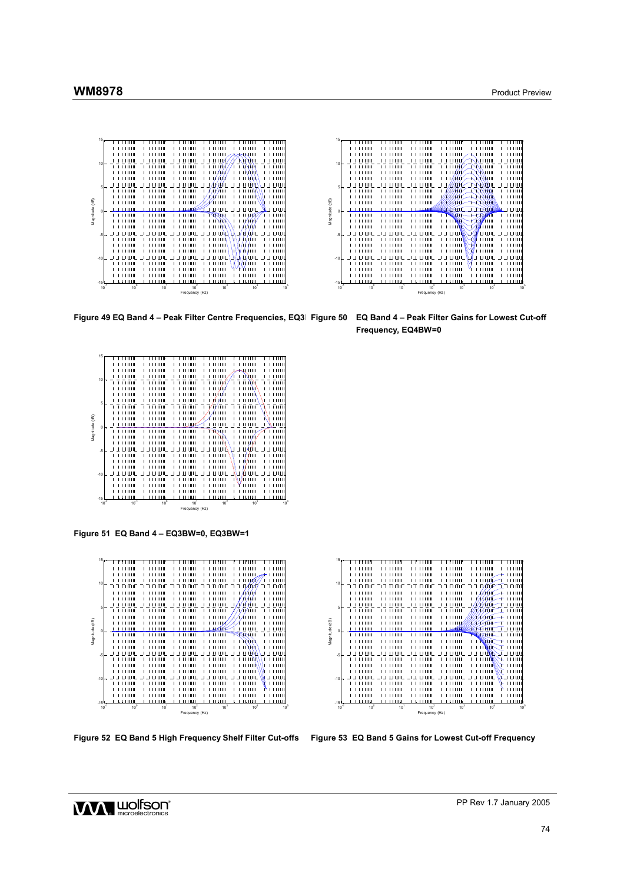





15

|                | 15                 |           |              |                 |              |                 |                 |
|----------------|--------------------|-----------|--------------|-----------------|--------------|-----------------|-----------------|
|                |                    |           |              |                 |              |                 |                 |
|                |                    | THE       | Ш            | 11111           | 1111         | ш               | 1111            |
|                |                    | Ш         | Ш            | Ш               | ш            | ₩ШШ             | HШ              |
|                |                    | Ш         | Ш            | ш               | Ш            | <b>NNII</b>     |                 |
|                | 10                 | 11111     | ПШ           | 11111           | 1Tuf         | ٨N              | ш               |
|                |                    | ш         | Ш            | ш               | 117B         | ШN              | шm              |
|                |                    | ш         | Ш            | Ш               | ит           | ш               | ш               |
|                |                    |           |              |                 | ıИш          |                 |                 |
|                | 5                  | ш         | 11111        | ш               |              | Ш               |                 |
|                |                    | нш        | шш           | ш               | 'nш          | Ш               | 1111            |
|                |                    | Ш         | Ш            | Ш               | $\mathbf{H}$ | ШI              |                 |
|                |                    | 11111     | ш            | ниш             | ш            | Ш               | Ш               |
| Magnitude (dB) | O                  | гтиш      | 111111       | 11              | 1111111      | ш               | шш              |
|                |                    | тин       | 111111       | шш              | ווערב        | 11111           | 11111           |
|                |                    | THE       | ш            | ш               | IN D         | ШИ              | ш               |
|                |                    | THE       | THILL        | ш               | Шħ           | MИ              | Ш               |
|                |                    | 11111     | 11111        | ш               | Ш            | или             | <b>HH</b>       |
|                | $-5$               |           |              |                 |              |                 |                 |
|                |                    | Ш         | Ш            | ш               | ПШ           | Vш              | Ш               |
|                |                    | Ш         | Ш            | Ш               | TШ           | илт             | ш               |
|                |                    | 11111     | ш            | ш               | 1111         | ш               | 1111            |
|                | $-10$              | ш         |              |                 | THE          | ш               | THE             |
|                |                    | 11111     | Ш            | ш               | шш           | THEFT           | 1111            |
|                |                    | 11111     | Ш            | Ш               | 1111         | Ш               | Ш               |
|                |                    | THILL     | THILL        | THILL           | 11110        | 11111           | ш               |
|                |                    | 1000      | 111111       | 111111          | LITTI        | 111111          | 1.1111          |
|                | $-15$<br>$10^{-2}$ | $10^{-1}$ | $10^{\circ}$ | 10 <sup>1</sup> | $10^2$       | 10 <sup>3</sup> |                 |
|                |                    |           |              |                 |              |                 | 10 <sup>4</sup> |
|                |                    |           |              | Frequency (Hz)  |              |                 |                 |

**Figure 51 EQ Band 4 – EQ3BW=0, EQ3BW=1** 



 $\overline{\text{mm}}$  $\overline{\text{nm}}$ 111000  $1.1\,110$ r ritum<br>Lititum E E FEITH  $1.111111$  $\frac{11400}{11400}$ 青苔晶 十日間 非常温 10 τ  $1.111111$ **COLOR**  $1.11\,\mathrm{nm}$ гани 111111 1.111.1111 1.11100 1.111111 . ganc 非常血 主旨题 ┿ 5 **THILL** 111111111 Magnitude (dB) ....... ....... Magnitude (dB) ----------<br>-----------<br>------------0 ₫ -5 תום ד -10 111111 111100 соон 111111  $\pm 11100$  $\pm 11110$ 10<sup>-1</sup> 10<sup>0</sup> 10<sup>1</sup> 10<sup>1</sup> 10<sup>1</sup> 10<sup>3</sup> 10<sup>4</sup> 10<sup>5</sup><br>10<sup>1</sup> 10<sup>0</sup> 10<sup>1</sup> 10<sup>2</sup> 10<sup>3</sup> 10<sup>4</sup> 10<sup>5</sup>

**Figure 52 EQ Band 5 High Frequency Shelf Filter Cut-offs Figure 53 EQ Band 5 Gains for Lowest Cut-off Frequency**

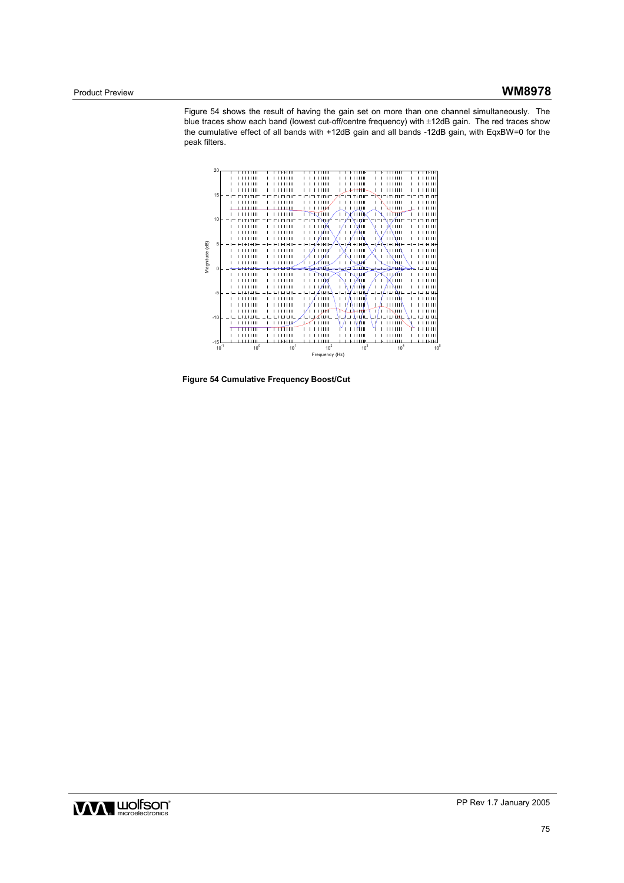Figure 54 shows the result of having the gain set on more than one channel simultaneously. The blue traces show each band (lowest cut-off/centre frequency) with ±12dB gain. The red traces show the cumulative effect of all bands with +12dB gain and all bands -12dB gain, with EqxBW=0 for the peak filters.



**Figure 54 Cumulative Frequency Boost/Cut** 

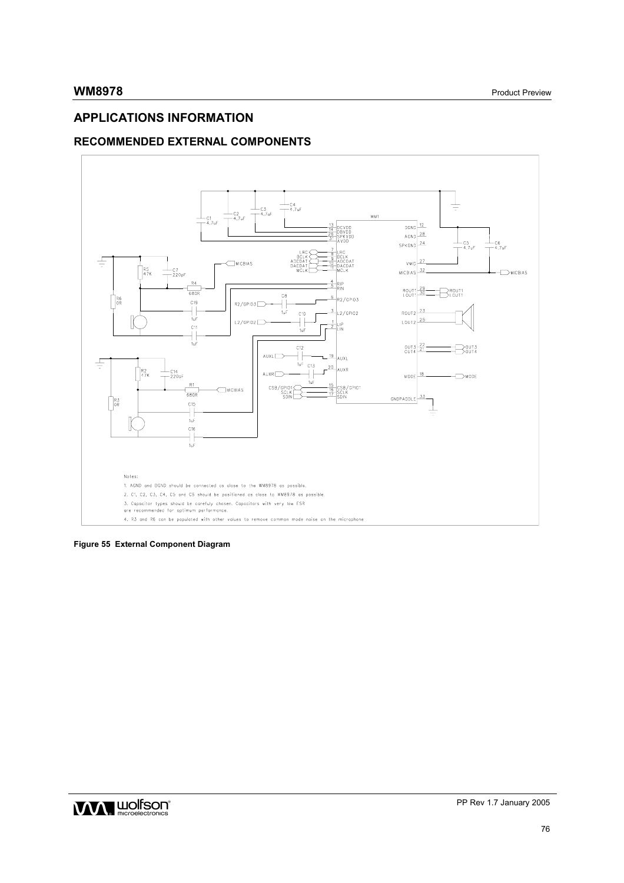# **APPLICATIONS INFORMATION**

## **RECOMMENDED EXTERNAL COMPONENTS**



**Figure 55 External Component Diagram**

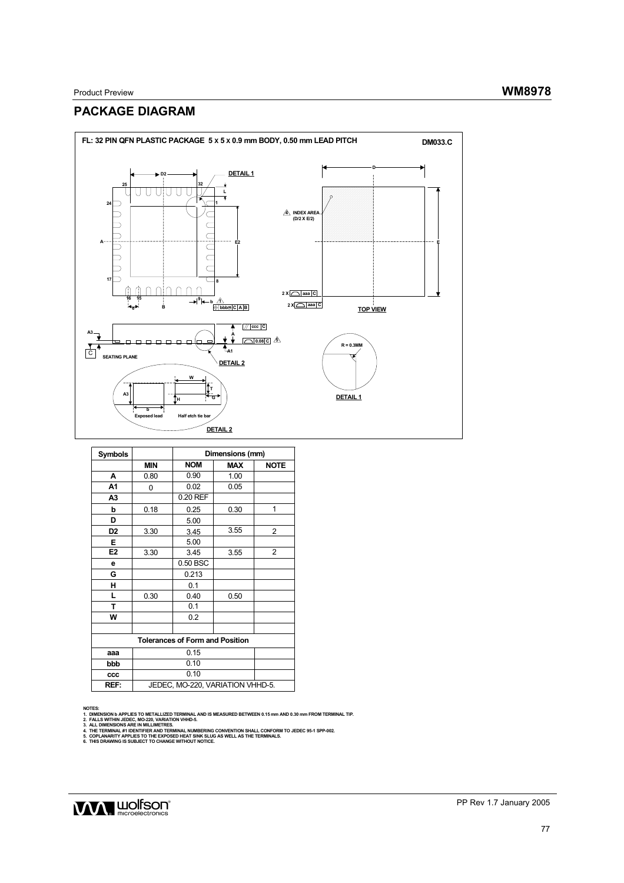Product Preview **WM8978** 

# **PACKAGE DIAGRAM**



| Symbols                                |                                  | Dimensions (mm) |            |                |  |
|----------------------------------------|----------------------------------|-----------------|------------|----------------|--|
|                                        | <b>MIN</b>                       | <b>NOM</b>      | <b>MAX</b> | <b>NOTE</b>    |  |
| A                                      | 0.80                             | 0.90            | 1.00       |                |  |
| A1                                     | 0                                | 0.02            | 0.05       |                |  |
| A <sub>3</sub>                         |                                  | 0.20 REF        |            |                |  |
| b                                      | 0.18                             | 0.25            | 0.30       | 1              |  |
| D                                      |                                  | 5.00            |            |                |  |
| D2                                     | 3.30                             | 3.45            | 3.55       | 2              |  |
| Е                                      |                                  | 5.00            |            |                |  |
| E <sub>2</sub>                         | 3.30                             | 3.45            | 3.55       | $\overline{2}$ |  |
| e                                      |                                  | 0.50 BSC        |            |                |  |
| G                                      |                                  | 0.213           |            |                |  |
| н                                      |                                  | 0.1             |            |                |  |
| L                                      | 0.30                             | 0.40            | 0.50       |                |  |
| т                                      |                                  | 0.1             |            |                |  |
| W                                      |                                  | 0.2             |            |                |  |
|                                        |                                  |                 |            |                |  |
| <b>Tolerances of Form and Position</b> |                                  |                 |            |                |  |
| aaa                                    | 0.15                             |                 |            |                |  |
| bbb                                    | 0.10                             |                 |            |                |  |
| CCC                                    |                                  |                 |            |                |  |
| REF:                                   | JEDEC, MO-220, VARIATION VHHD-5. |                 |            |                |  |

NOTES:<br>1. DIMENSION D APPLIES TO METALLIZED TERMINAL AND IS MEASURED BETWEEN 0.15 mm AND 0.30 mm FROM TERMINAL TIP.<br>2. FALLS WITHIN JEDEC, MO-220, VARIATION VHHD-5.<br>3. ALL DIMENSIONS ARE IN MILLIMETRES.<br>4. THE TERMINAL #1